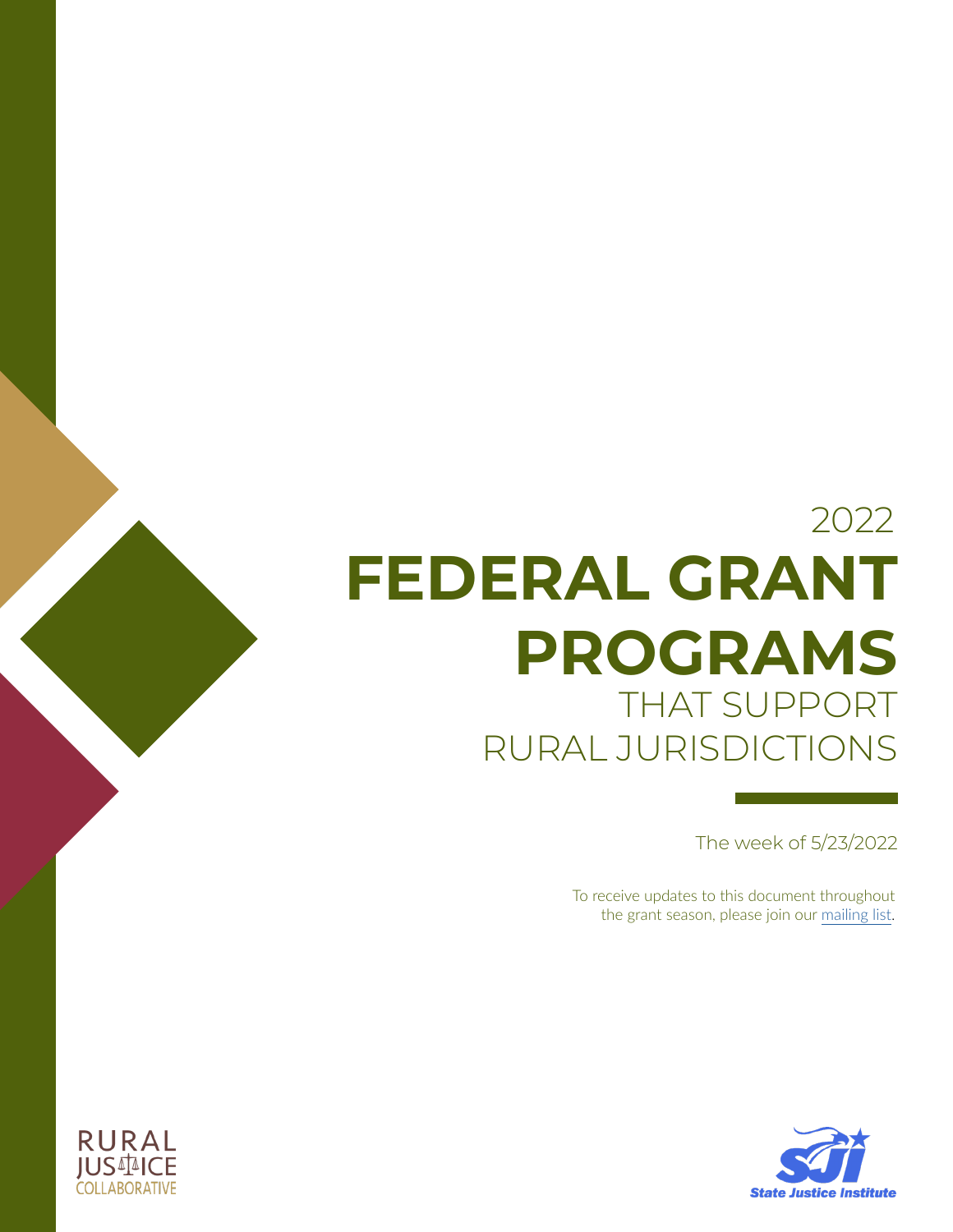# **FEDERAL GRANT PROGRAMS** THAT SUPPORT RURAL JURISDICTIONS 2022

The week of 5/23/2022

To receive updates to this document throughout the grant season, please join our [mailing list.](https://www.ruraljusticecollaborative.org/news/subscribe-to-newsletter)



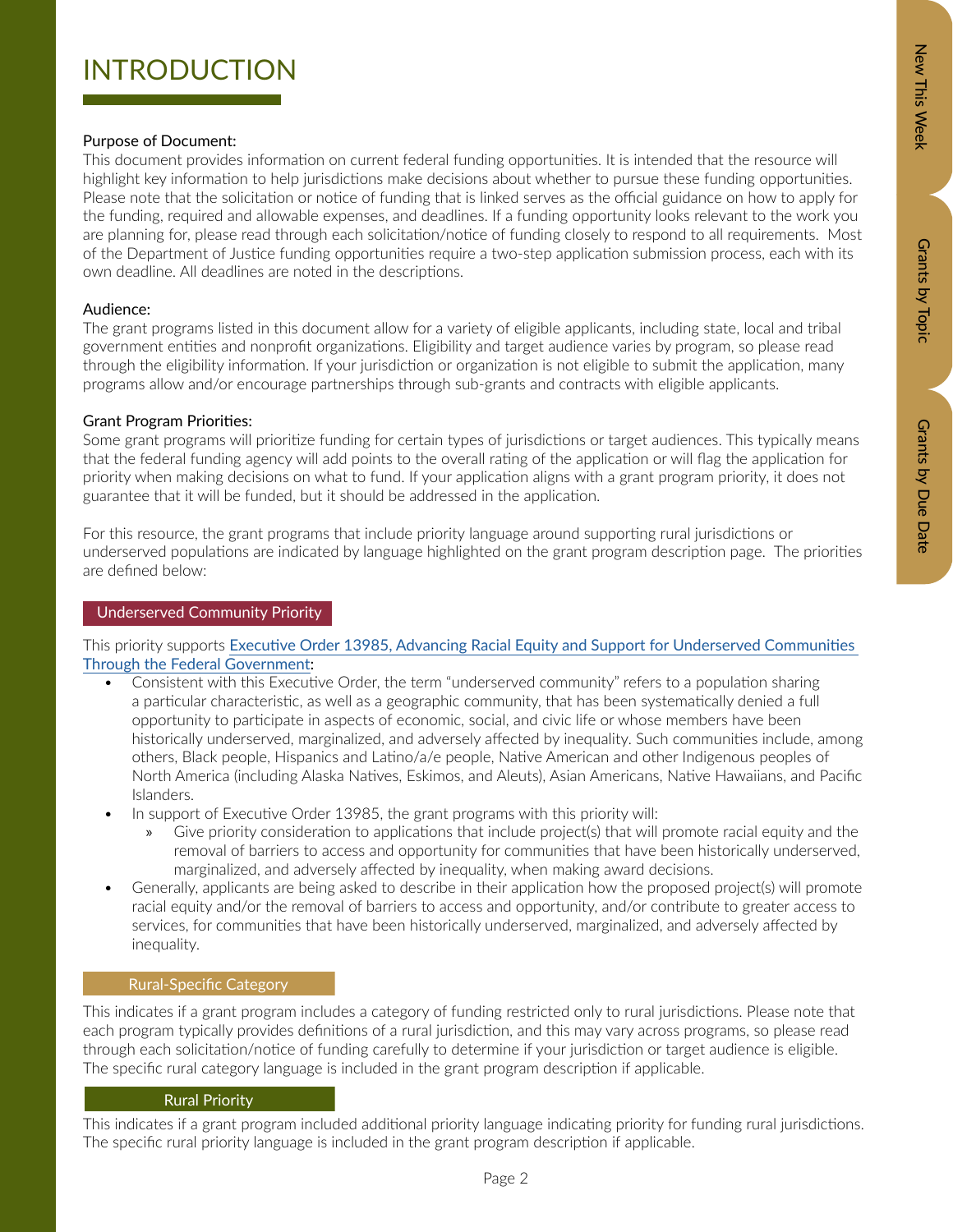# Zew This Week New Orants by Dopic Data Details by Due Data Grants by Due Date

## INTRODUCTION

### Purpose of Document:

This document provides information on current federal funding opportunities. It is intended that the resource will highlight key information to help jurisdictions make decisions about whether to pursue these funding opportunities. Please note that the solicitation or notice of funding that is linked serves as the official guidance on how to apply for the funding, required and allowable expenses, and deadlines. If a funding opportunity looks relevant to the work you are planning for, please read through each solicitation/notice of funding closely to respond to all requirements. Most of the Department of Justice funding opportunities require a two-step application submission process, each with its own deadline. All deadlines are noted in the descriptions.

### Audience:

The grant programs listed in this document allow for a variety of eligible applicants, including state, local and tribal government entities and nonprofit organizations. Eligibility and target audience varies by program, so please read through the eligibility information. If your jurisdiction or organization is not eligible to submit the application, many programs allow and/or encourage partnerships through sub-grants and contracts with eligible applicants.

### Grant Program Priorities:

Some grant programs will prioritize funding for certain types of jurisdictions or target audiences. This typically means that the federal funding agency will add points to the overall rating of the application or will flag the application for priority when making decisions on what to fund. If your application aligns with a grant program priority, it does not guarantee that it will be funded, but it should be addressed in the application.

For this resource, the grant programs that include priority language around supporting rural jurisdictions or underserved populations are indicated by language highlighted on the grant program description page. The priorities are defined below:

### Underserved Community Priority

This priority supports [Executive Order 13985, Advancing Racial Equity and Support for Underserved Communities](https://public-inspection.federalregister.gov/2021-01753.pdf)  [Through the Federal Government](https://public-inspection.federalregister.gov/2021-01753.pdf):

- Consistent with this Executive Order, the term "underserved community" refers to a population sharing a particular characteristic, as well as a geographic community, that has been systematically denied a full opportunity to participate in aspects of economic, social, and civic life or whose members have been historically underserved, marginalized, and adversely affected by inequality. Such communities include, among others, Black people, Hispanics and Latino/a/e people, Native American and other Indigenous peoples of North America (including Alaska Natives, Eskimos, and Aleuts), Asian Americans, Native Hawaiians, and Pacific Islanders.
- In support of Executive Order 13985, the grant programs with this priority will:
	- » Give priority consideration to applications that include project(s) that will promote racial equity and the removal of barriers to access and opportunity for communities that have been historically underserved, marginalized, and adversely affected by inequality, when making award decisions.
- Generally, applicants are being asked to describe in their application how the proposed project(s) will promote racial equity and/or the removal of barriers to access and opportunity, and/or contribute to greater access to services, for communities that have been historically underserved, marginalized, and adversely affected by inequality.

This indicates if a grant program includes a category of funding restricted only to rural jurisdictions. Please note that each program typically provides definitions of a rural jurisdiction, and this may vary across programs, so please read through each solicitation/notice of funding carefully to determine if your jurisdiction or target audience is eligible. The specific rural category language is included in the grant program description if applicable. Rural-Specific Category<br>dicates if a grant program<br>rogram typically provide<br>h each solicitation/notic<br>ecific rural category lang<br>Rural Priority

This indicates if a grant program included additional priority language indicating priority for funding rural jurisdictions. The specific rural priority language is included in the grant program description if applicable.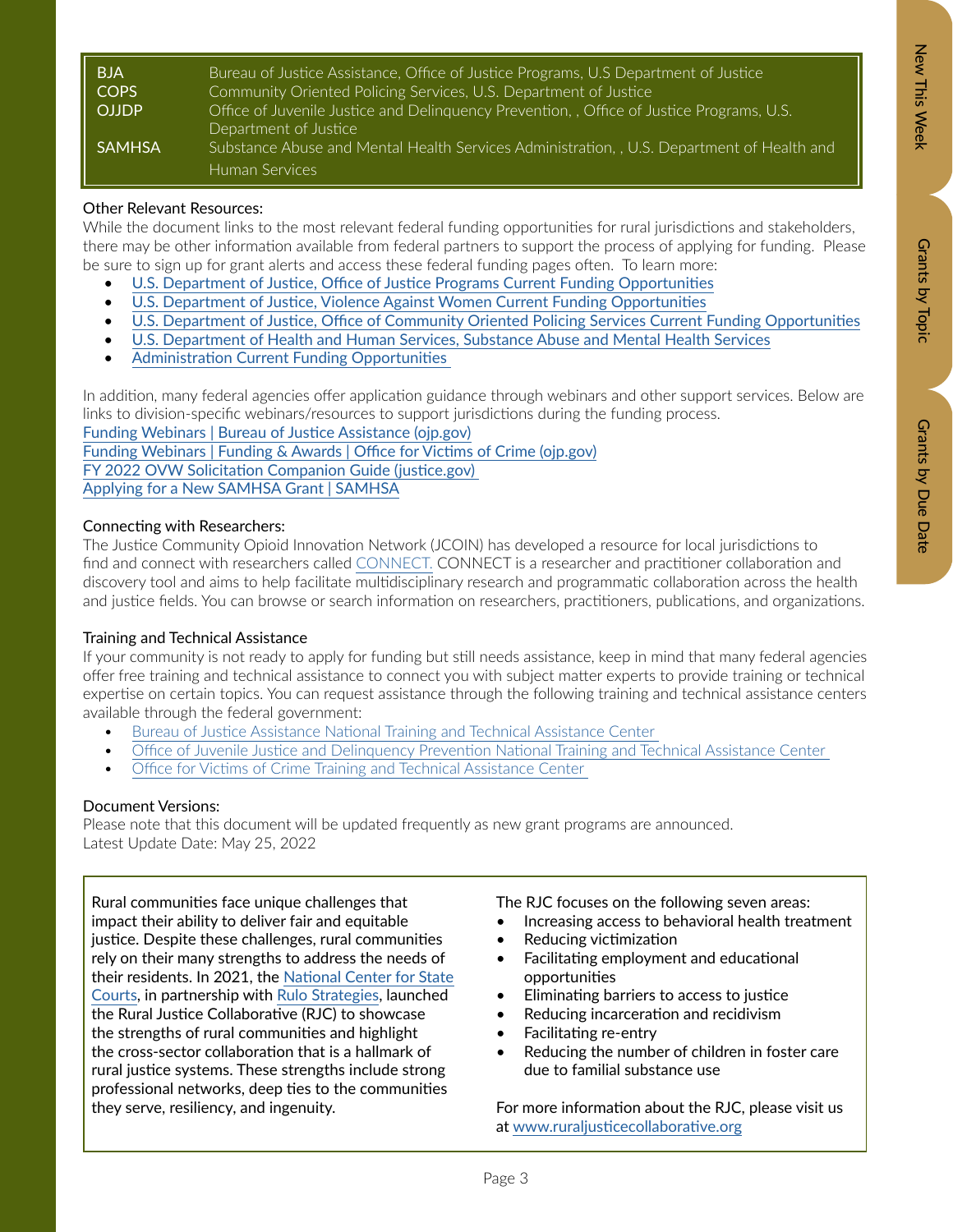Grants by Due Date

| <b>BJA</b>   | Bureau of Justice Assistance, Office of Justice Programs, U.S Department of Justice        |
|--------------|--------------------------------------------------------------------------------------------|
| COPS         | Community Oriented Policing Services, U.S. Department of Justice                           |
| <b>OJJDP</b> | Office of Juvenile Justice and Delinquency Prevention,, Office of Justice Programs, U.S.   |
|              | Department of Justice                                                                      |
| SAMHSA       | Substance Abuse and Mental Health Services Administration, , U.S. Department of Health and |
|              | Human Services                                                                             |

### Other Relevant Resources:

While the document links to the most relevant federal funding opportunities for rural jurisdictions and stakeholders, there may be other information available from federal partners to support the process of applying for funding. Please be sure to sign up for grant alerts and access these federal funding pages often. To learn more:

- [U.S. Department of Justice, Office of Justice Programs Current Funding Opportunities](https://www.ojp.gov/funding/explore/current-funding-opportunities)
- [U.S. Department of Justice, Violence Against Women Current Funding Opportunities](http://U.S. Department of Justice, Violence Against Women Current Funding Opportunities)
- [U.S. Department of Justice, Office of Community Oriented Policing Services Current Funding Opportunities](https://cops.usdoj.gov/grants)
- [U.S. Department of Health and Human Services, Substance Abuse and Mental Health Services](https://www.samhsa.gov/grants/grant-announcements-2022)
- [Administration Current Funding Opportunities](https://www.samhsa.gov/grants/grant-announcements-2022)

In addition, many federal agencies offer application guidance through webinars and other support services. Below are links to division-specific webinars/resources to support jurisdictions during the funding process.

[Funding Webinars | Bureau of Justice Assistance \(ojp.gov\)](https://bja.ojp.gov/events/funding-webinars) [Funding Webinars | Funding & Awards | Office for Victims of Crime \(ojp.gov\)](https://ovc.ojp.gov/funding/funding-webinars) [FY 2022 OVW Solicitation Companion Guide \(justice.gov\)](https://www.justice.gov/ovw/page/file/1463936/download)  [Applying for a New SAMHSA Grant | SAMHSA](https://www.samhsa.gov/grants/applying)

### Connecting with Researchers:

The Justice Community Opioid Innovation Network (JCOIN) has developed a resource for local jurisdictions to find and connect with researchers called [CONNECT.](https://connect.jcoinctc.org/) CONNECT is a researcher and practitioner collaboration and discovery tool and aims to help facilitate multidisciplinary research and programmatic collaboration across the health and justice fields. You can browse or search information on researchers, practitioners, publications, and organizations.

### Training and Technical Assistance

If your community is not ready to apply for funding but still needs assistance, keep in mind that many federal agencies offer free training and technical assistance to connect you with subject matter experts to provide training or technical expertise on certain topics. You can request assistance through the following training and technical assistance centers available through the federal government:

- [Bureau of Justice Assistance National Training and Technical Assistance Center](https://bjatta.bja.ojp.gov/)
- Office of Juvenile Justice and Delinquency Prevention National Training and Technical Assistance Center
- [Office for Victims of Crime Training and Technical Assistance Center](https://www.ovcttac.gov/)

### Document Versions:

Please note that this document will be updated frequently as new grant programs are announced. Latest Update Date: May 25, 2022

Rural communities face unique challenges that impact their ability to deliver fair and equitable justice. Despite these challenges, rural communities rely on their many strengths to address the needs of their residents. In 2021, the [National Center for State](https://www.ncsc.org/)  [Courts](https://www.ncsc.org/), in partnership with [Rulo Strategies,](https://www.rulostrategies.com/) launched the Rural Justice Collaborative (RJC) to showcase the strengths of rural communities and highlight the cross-sector collaboration that is a hallmark of rural justice systems. These strengths include strong professional networks, deep ties to the communities they serve, resiliency, and ingenuity.

The RJC focuses on the following seven areas:

- Increasing access to behavioral health treatment
- Reducing victimization
- Facilitating employment and educational opportunities
- Eliminating barriers to access to justice
- Reducing incarceration and recidivism
- Facilitating re-entry
- Reducing the number of children in foster care due to familial substance use

For more information about the RJC, please visit us at [www.ruraljusticecollaborative.org](http://www.ruraljusticecollaborative.org)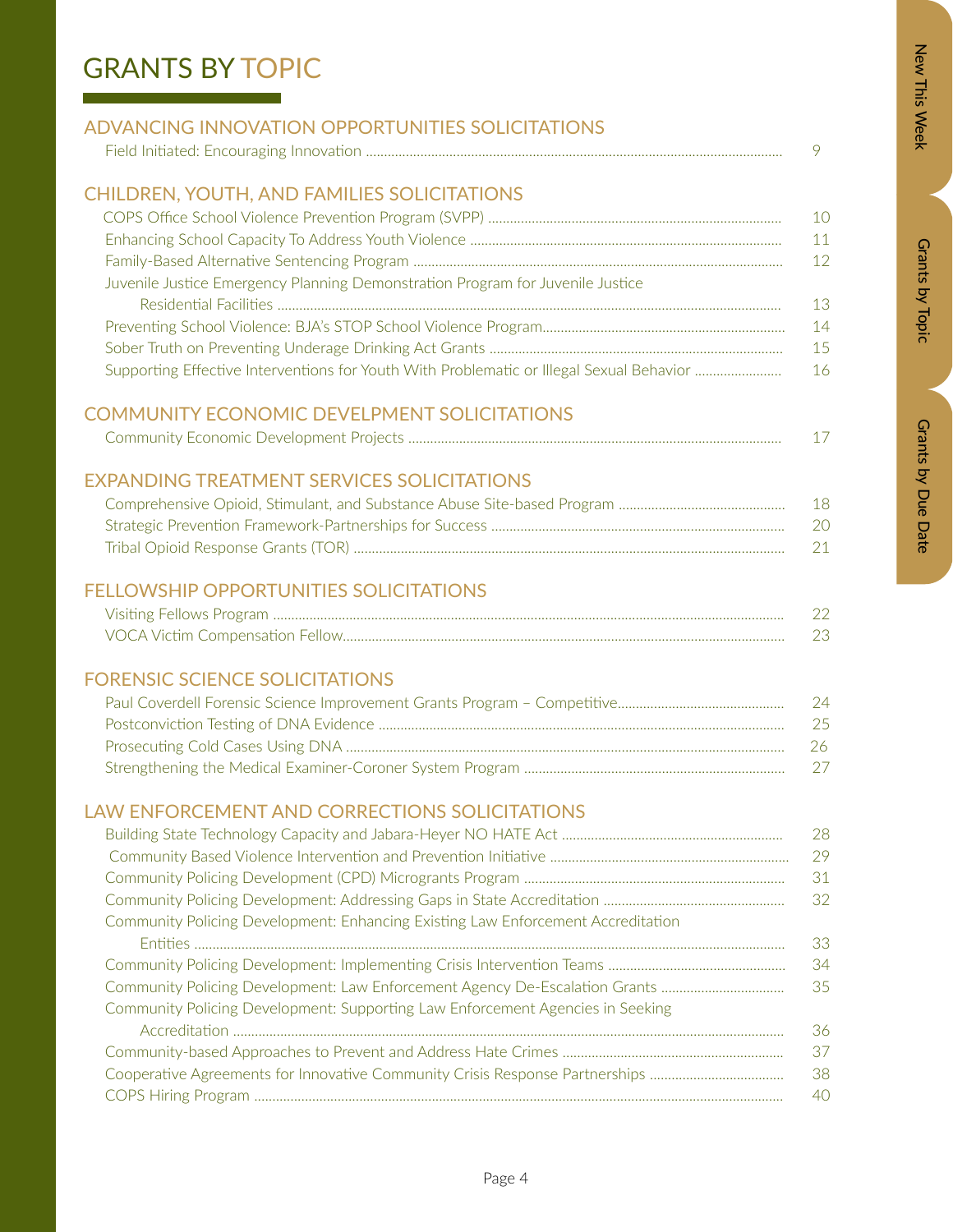# New This Week

# Zew This Week New Orants by Dopic Data Details by Due Data Grants by Due Date

## GRANTS BY TOPIC

and the state of the state of the state of

| ADVANCING INNOVATION OPPORTUNITIES SOLICITATIONS |  |
|--------------------------------------------------|--|
|                                                  |  |

### CHILDREN, YOUTH, AND FAMILIES SOLICITATIONS

|                                                                                          | -10 |
|------------------------------------------------------------------------------------------|-----|
|                                                                                          | 11  |
|                                                                                          | -12 |
| Juvenile Justice Emergency Planning Demonstration Program for Juvenile Justice           |     |
|                                                                                          | 13  |
|                                                                                          | 14  |
|                                                                                          | -15 |
| Supporting Effective Interventions for Youth With Problematic or Illegal Sexual Behavior | -16 |

### COMMUNITY ECONOMIC DEVELPMENT SOLICITATIONS

| Community Economic Development Projects |  |
|-----------------------------------------|--|
|-----------------------------------------|--|

### EXPANDING TREATMENT SERVICES SOLICITATIONS

| -18 |
|-----|
| 20  |
| 21  |

### FELLOWSHIP OPPORTUNITIES SOLICITATIONS

### FORENSIC SCIENCE SOLICITATIONS

| -24  |
|------|
| -25- |
| -26- |
|      |

### LAW ENFORCEMENT AND CORRECTIONS SOLICITATIONS

|                                                                                  | 28 |
|----------------------------------------------------------------------------------|----|
|                                                                                  | 29 |
|                                                                                  | 31 |
|                                                                                  | 32 |
| Community Policing Development: Enhancing Existing Law Enforcement Accreditation |    |
|                                                                                  | 33 |
|                                                                                  | 34 |
| Community Policing Development: Law Enforcement Agency De-Escalation Grants      | 35 |
| Community Policing Development: Supporting Law Enforcement Agencies in Seeking   |    |
|                                                                                  | 36 |
|                                                                                  | 37 |
|                                                                                  | 38 |
|                                                                                  | 40 |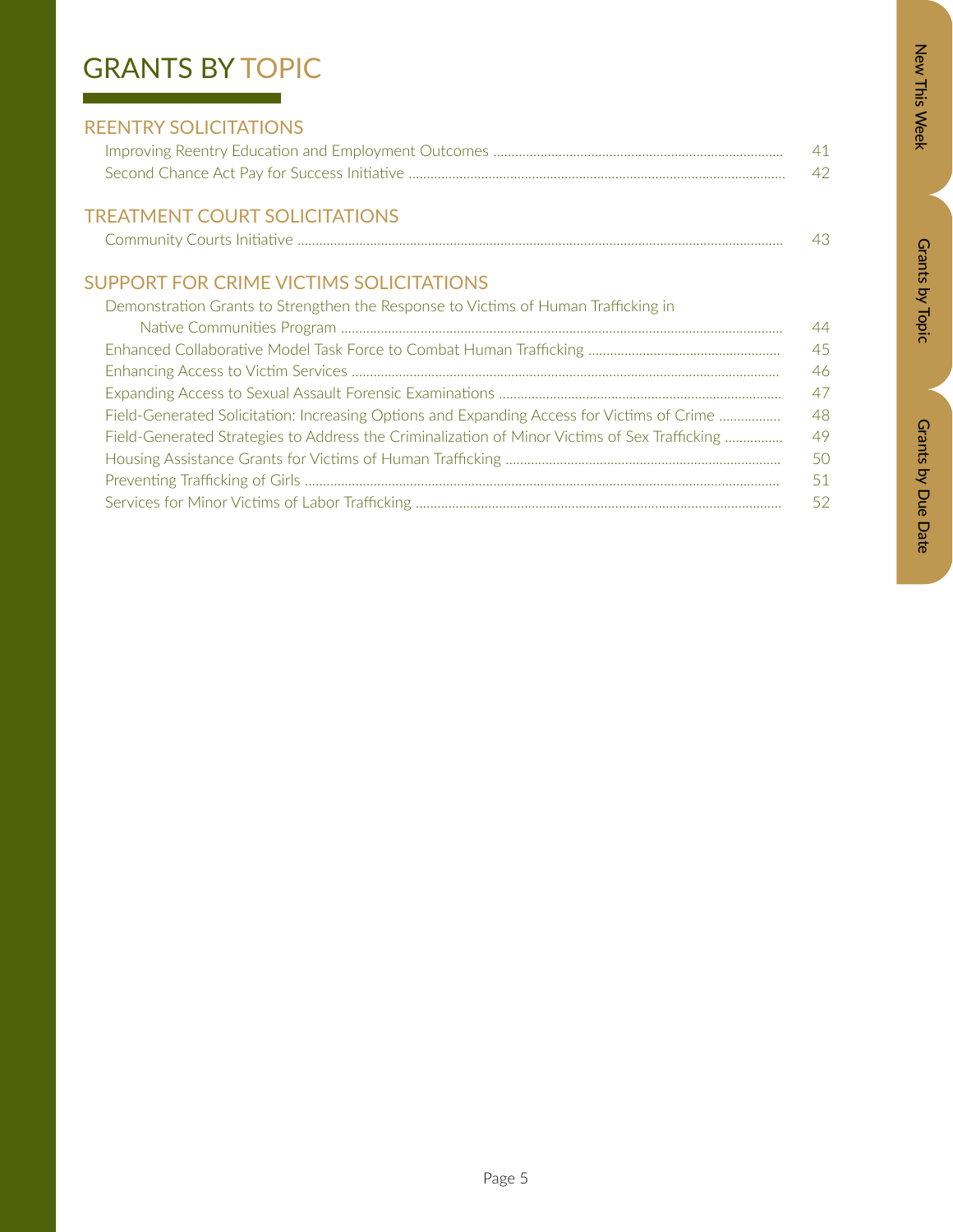# New This Week

# Zew This Week New Orants by Dopic Data Details by Due Data Grants by Due Date

## GRANTS BY TOPIC

| <b>REENTRY SOLICITATIONS</b>     |    |
|----------------------------------|----|
|                                  | 41 |
|                                  | 42 |
| TREATLACHE COURT COURT ET ATLANT |    |

### TREATMENT COURT SOLICITATIONS Community Courts Initiative ...................................................................................................................................... 43

### SUPPORT FOR CRIME VICTIMS SOLICITATIONS

| Demonstration Grants to Strengthen the Response to Victims of Human Trafficking in            |     |
|-----------------------------------------------------------------------------------------------|-----|
|                                                                                               | 44  |
|                                                                                               | 45  |
|                                                                                               | 46  |
|                                                                                               | 47  |
| Field-Generated Solicitation: Increasing Options and Expanding Access for Victims of Crime    | 48  |
| Field-Generated Strategies to Address the Criminalization of Minor Victims of Sex Trafficking | 49  |
|                                                                                               | 50  |
|                                                                                               | -51 |
|                                                                                               | -52 |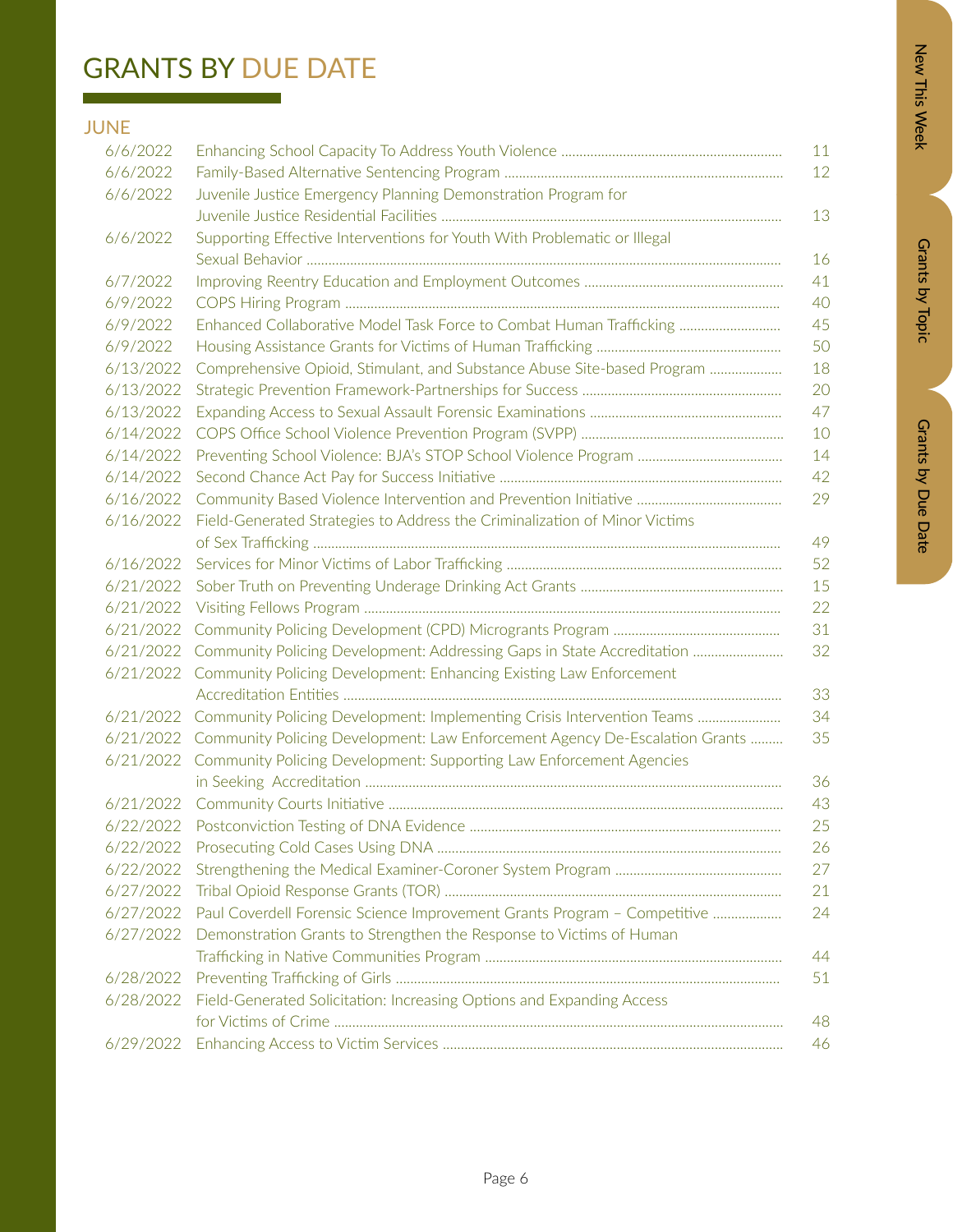# Zew This Week New Orants by Dopic Data Details by Due Data Grants by Due Date

# GRANTS BY DUE DATE

### JUNE

| 6/6/2022  | 11                                                                                          |
|-----------|---------------------------------------------------------------------------------------------|
| 6/6/2022  | 12                                                                                          |
| 6/6/2022  | Juvenile Justice Emergency Planning Demonstration Program for                               |
|           | 13                                                                                          |
| 6/6/2022  | Supporting Effective Interventions for Youth With Problematic or Illegal                    |
|           | 16                                                                                          |
| 6/7/2022  | 41                                                                                          |
| 6/9/2022  | 40                                                                                          |
| 6/9/2022  | Enhanced Collaborative Model Task Force to Combat Human Trafficking<br>45                   |
| 6/9/2022  | 50                                                                                          |
| 6/13/2022 | Comprehensive Opioid, Stimulant, and Substance Abuse Site-based Program<br>18               |
| 6/13/2022 | 20                                                                                          |
| 6/13/2022 | 47                                                                                          |
| 6/14/2022 | 10                                                                                          |
| 6/14/2022 | 14                                                                                          |
| 6/14/2022 | 42                                                                                          |
| 6/16/2022 | 29                                                                                          |
| 6/16/2022 | Field-Generated Strategies to Address the Criminalization of Minor Victims                  |
|           | 49                                                                                          |
| 6/16/2022 | 52                                                                                          |
| 6/21/2022 | 15                                                                                          |
| 6/21/2022 | 22                                                                                          |
| 6/21/2022 | 31                                                                                          |
|           | 32<br>6/21/2022 Community Policing Development: Addressing Gaps in State Accreditation      |
|           | 6/21/2022 Community Policing Development: Enhancing Existing Law Enforcement                |
|           | 33                                                                                          |
|           | 6/21/2022 Community Policing Development: Implementing Crisis Intervention Teams<br>34      |
|           | 35<br>6/21/2022 Community Policing Development: Law Enforcement Agency De-Escalation Grants |
|           | 6/21/2022 Community Policing Development: Supporting Law Enforcement Agencies               |
|           | 36                                                                                          |
| 6/21/2022 | 43                                                                                          |
|           | 25                                                                                          |
| 6/22/2022 | 26                                                                                          |
| 6/22/2022 | 27                                                                                          |
| 6/27/2022 | 21                                                                                          |
| 6/27/2022 | Paul Coverdell Forensic Science Improvement Grants Program - Competitive<br>24              |
| 6/27/2022 | Demonstration Grants to Strengthen the Response to Victims of Human                         |
|           | 44                                                                                          |
| 6/28/2022 | 51                                                                                          |
| 6/28/2022 | Field-Generated Solicitation: Increasing Options and Expanding Access                       |
|           | 48                                                                                          |
| 6/29/2022 | 46                                                                                          |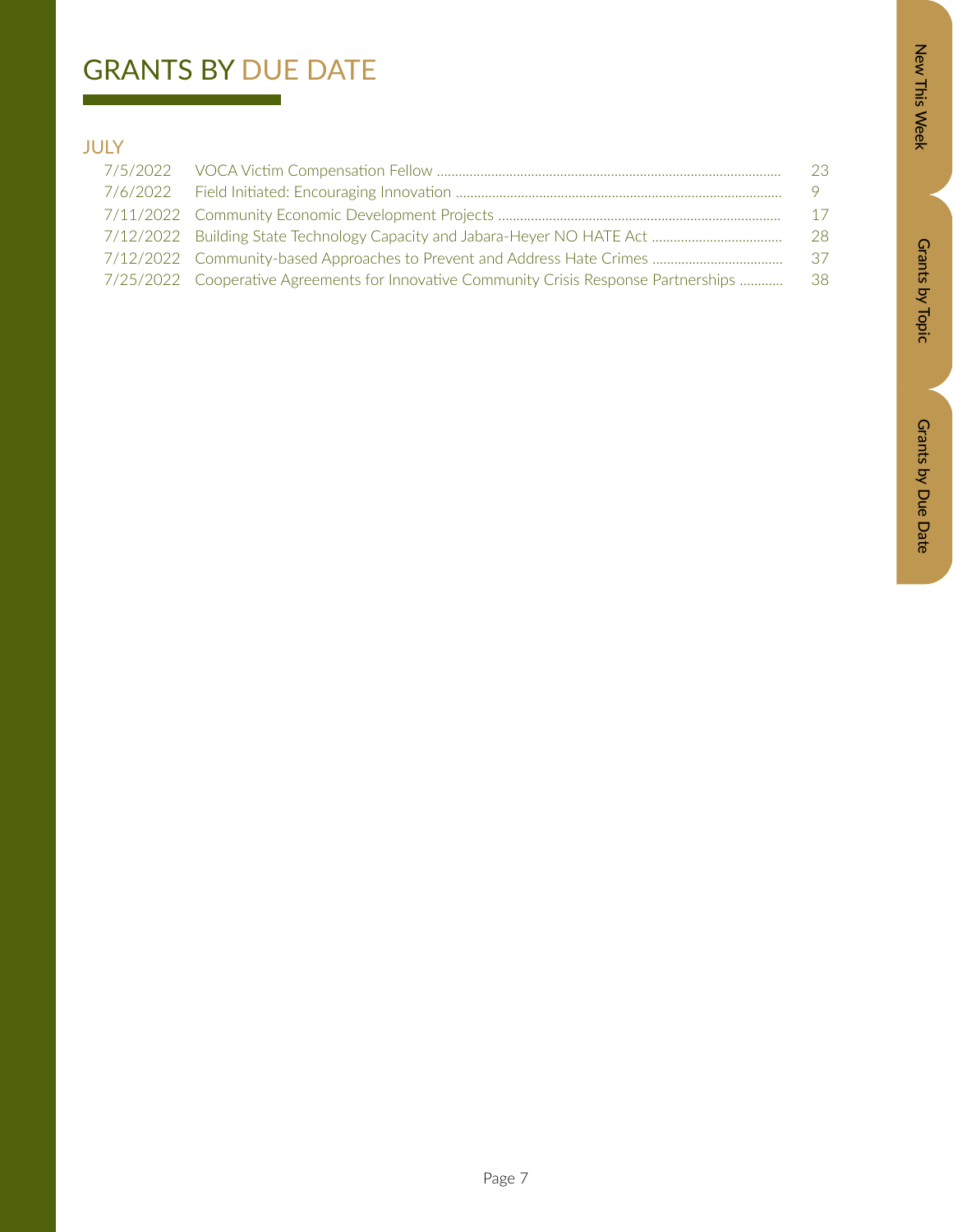## GRANTS BY DUE DATE

### JULY

|                                                                                        | 23       |
|----------------------------------------------------------------------------------------|----------|
|                                                                                        | $\sim$ 9 |
|                                                                                        | 17       |
|                                                                                        | -28.     |
|                                                                                        | -37-     |
| 7/25/2022 Cooperative Agreements for Innovative Community Crisis Response Partnerships | -38-     |
|                                                                                        |          |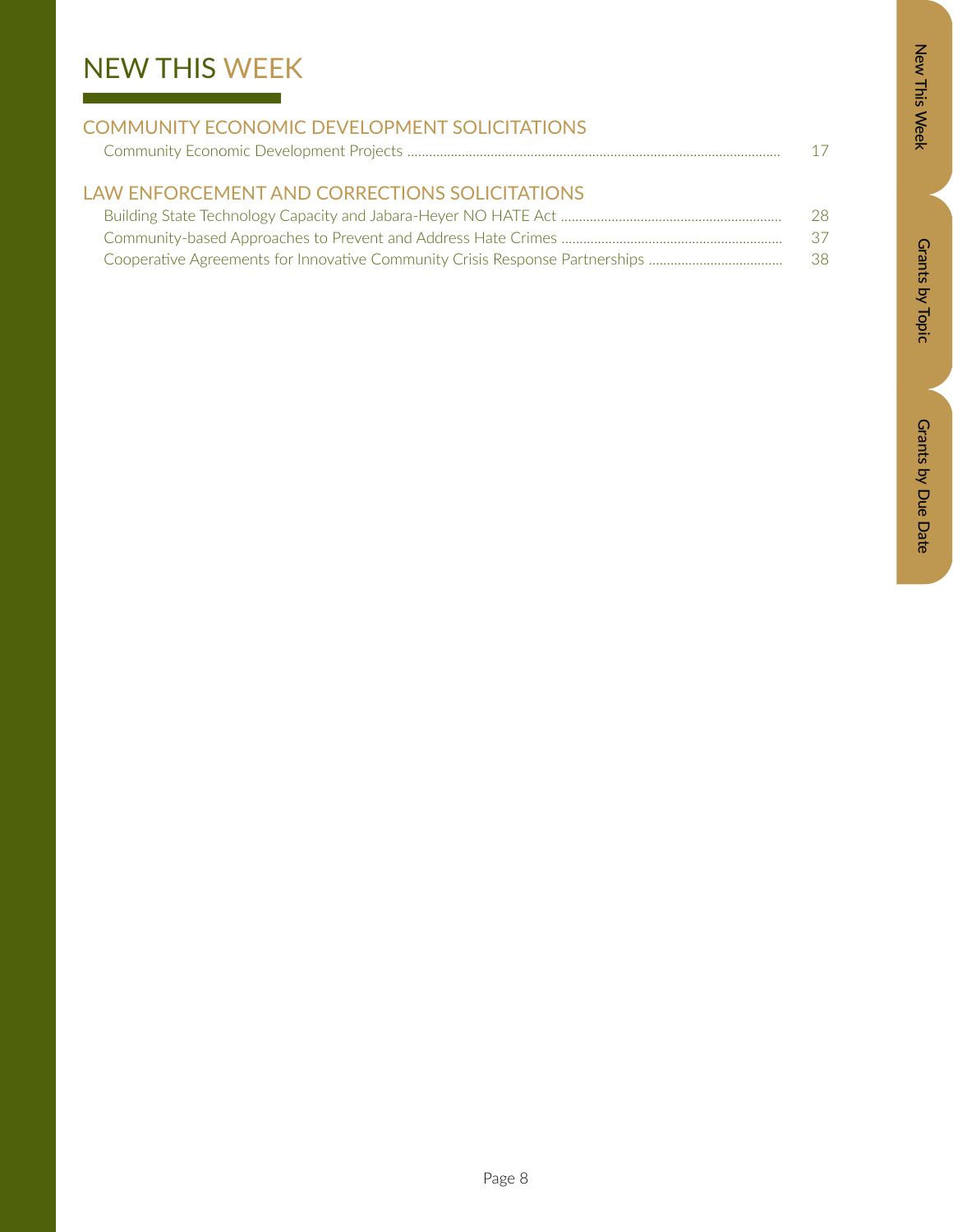# NEW THIS WEEK

| <b>COMMUNITY ECONOMIC DEVELOPMENT SOLICITATIONS</b> |     |
|-----------------------------------------------------|-----|
|                                                     | 17  |
|                                                     |     |
| LAW ENFORCEMENT AND CORRECTIONS SOLICITATIONS       |     |
|                                                     | -28 |

| Cooperative Agreements for Innovative Community Crisis Response Partnerships | 38 |
|------------------------------------------------------------------------------|----|

Grants by Topic

Grants by Topic

New This Week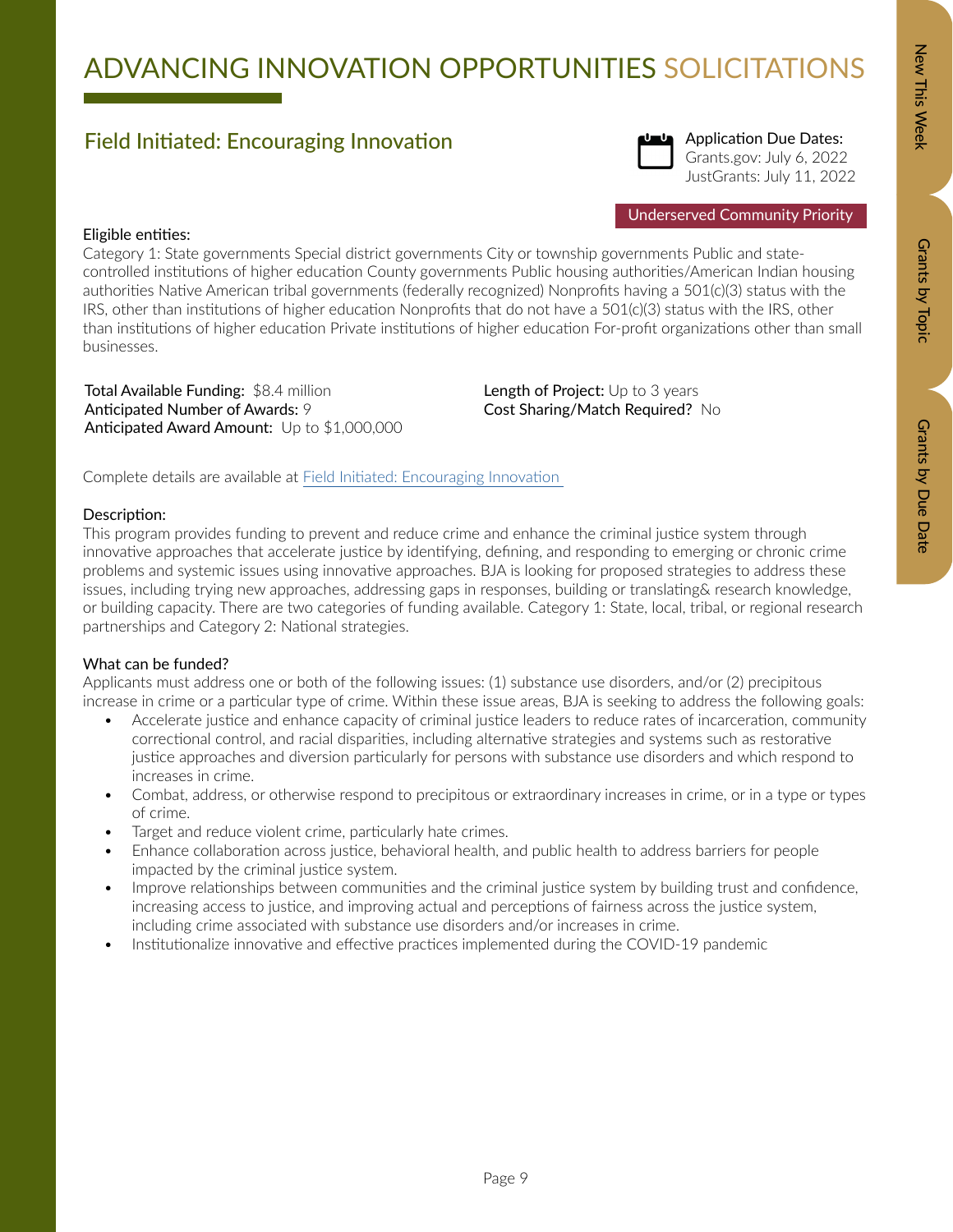# ADVANCING INNOVATION OPPORTUNITIES SOLICITATIONS

### Field Initiated: Encouraging Innovation



Application Due Dates: Grants.gov: July 6, 2022 JustGrants: July 11, 2022

Underserved Community Priority

### Eligible entities:

Category 1: State governments Special district governments City or township governments Public and statecontrolled institutions of higher education County governments Public housing authorities/American Indian housing authorities Native American tribal governments (federally recognized) Nonprofits having a 501(c)(3) status with the IRS, other than institutions of higher education Nonprofits that do not have a 501(c)(3) status with the IRS, other than institutions of higher education Private institutions of higher education For-profit organizations other than small businesses.

Total Available Funding: \$8.4 million Anticipated Number of Awards: 9 Anticipated Award Amount: Up to \$1,000,000 Length of Project: Up to 3 years Cost Sharing/Match Required? No

Complete details are available at [Field Initiated: Encouraging Innovation](https://www.bja.ojp.gov/funding/opportunities/o-bja-2022-171325) 

### Description:

This program provides funding to prevent and reduce crime and enhance the criminal justice system through innovative approaches that accelerate justice by identifying, defining, and responding to emerging or chronic crime problems and systemic issues using innovative approaches. BJA is looking for proposed strategies to address these issues, including trying new approaches, addressing gaps in responses, building or translating& research knowledge, or building capacity. There are two categories of funding available. Category 1: State, local, tribal, or regional research partnerships and Category 2: National strategies.

### What can be funded?

Applicants must address one or both of the following issues: (1) substance use disorders, and/or (2) precipitous increase in crime or a particular type of crime. Within these issue areas, BJA is seeking to address the following goals:

- Accelerate justice and enhance capacity of criminal justice leaders to reduce rates of incarceration, community correctional control, and racial disparities, including alternative strategies and systems such as restorative justice approaches and diversion particularly for persons with substance use disorders and which respond to increases in crime.
- Combat, address, or otherwise respond to precipitous or extraordinary increases in crime, or in a type or types of crime.
- Target and reduce violent crime, particularly hate crimes.
- Enhance collaboration across justice, behavioral health, and public health to address barriers for people impacted by the criminal justice system.
- Improve relationships between communities and the criminal justice system by building trust and confidence, increasing access to justice, and improving actual and perceptions of fairness across the justice system, including crime associated with substance use disorders and/or increases in crime.
- Institutionalize innovative and effective practices implemented during the COVID-19 pandemic

Grants by Topic

Grants by Topic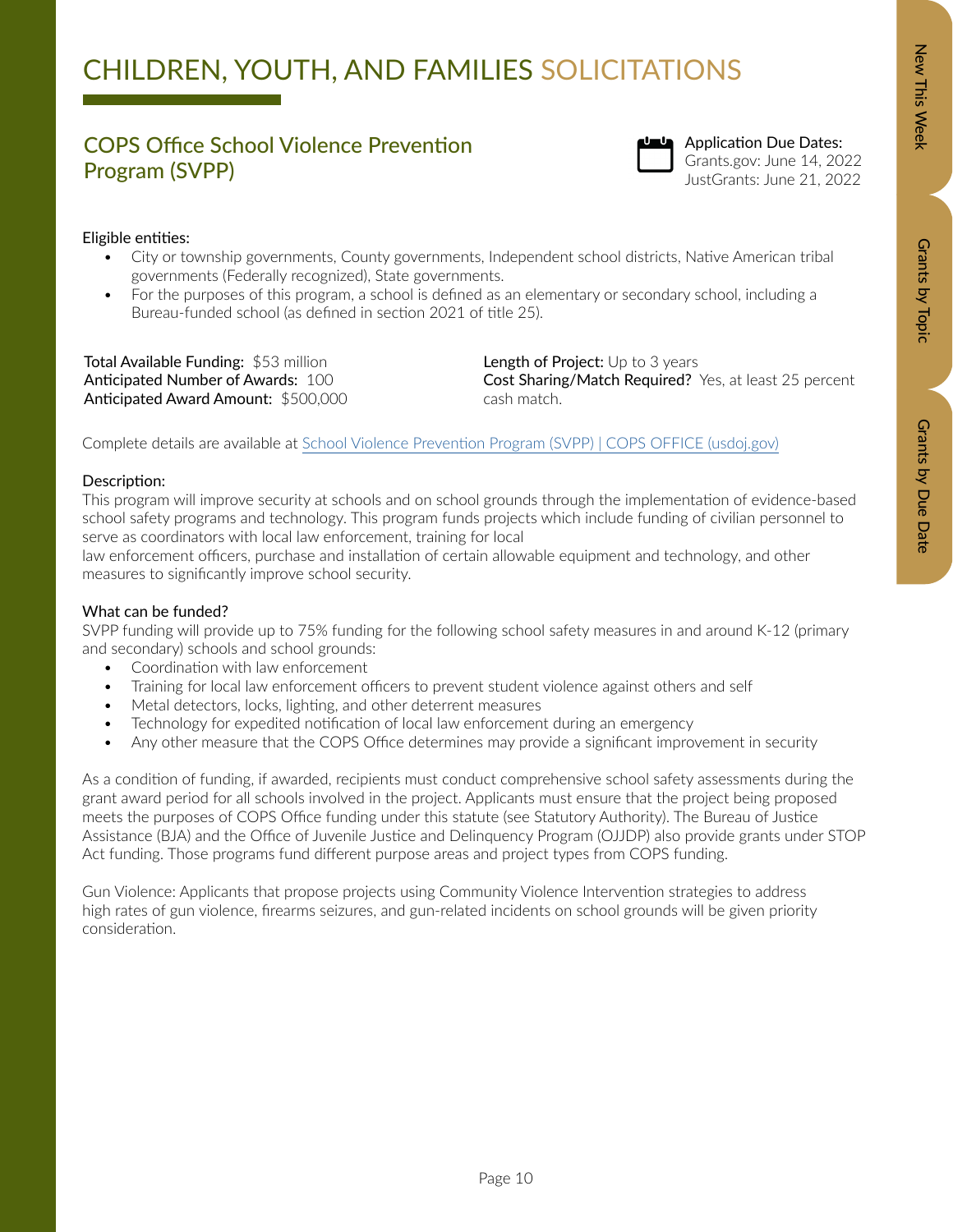### COPS Office School Violence Prevention Program (SVPP)



Application Due Dates: Grants.gov: June 14, 2022 JustGrants: June 21, 2022

### Eligible entities:

- City or township governments, County governments, Independent school districts, Native American tribal governments (Federally recognized), State governments.
- For the purposes of this program, a school is defined as an elementary or secondary school, including a Bureau-funded school (as defined in section 2021 of title 25).

Total Available Funding: \$53 million Anticipated Number of Awards: 100 Anticipated Award Amount: \$500,000 Length of Project: Up to 3 years Cost Sharing/Match Required? Yes, at least 25 percent cash match.

Complete details are available at [School Violence Prevention Program \(SVPP\) | COPS OFFICE \(usdoj.gov\)](https://cops.usdoj.gov/svpp)

### Description:

This program will improve security at schools and on school grounds through the implementation of evidence-based school safety programs and technology. This program funds projects which include funding of civilian personnel to serve as coordinators with local law enforcement, training for local

law enforcement officers, purchase and installation of certain allowable equipment and technology, and other measures to significantly improve school security.

### What can be funded?

SVPP funding will provide up to 75% funding for the following school safety measures in and around K-12 (primary and secondary) schools and school grounds:

- Coordination with law enforcement
- Training for local law enforcement officers to prevent student violence against others and self
- Metal detectors, locks, lighting, and other deterrent measures
- Technology for expedited notification of local law enforcement during an emergency
- Any other measure that the COPS Office determines may provide a significant improvement in security

As a condition of funding, if awarded, recipients must conduct comprehensive school safety assessments during the grant award period for all schools involved in the project. Applicants must ensure that the project being proposed meets the purposes of COPS Office funding under this statute (see Statutory Authority). The Bureau of Justice Assistance (BJA) and the Office of Juvenile Justice and Delinquency Program (OJJDP) also provide grants under STOP Act funding. Those programs fund different purpose areas and project types from COPS funding.

Gun Violence: Applicants that propose projects using Community Violence Intervention strategies to address high rates of gun violence, firearms seizures, and gun-related incidents on school grounds will be given priority consideration.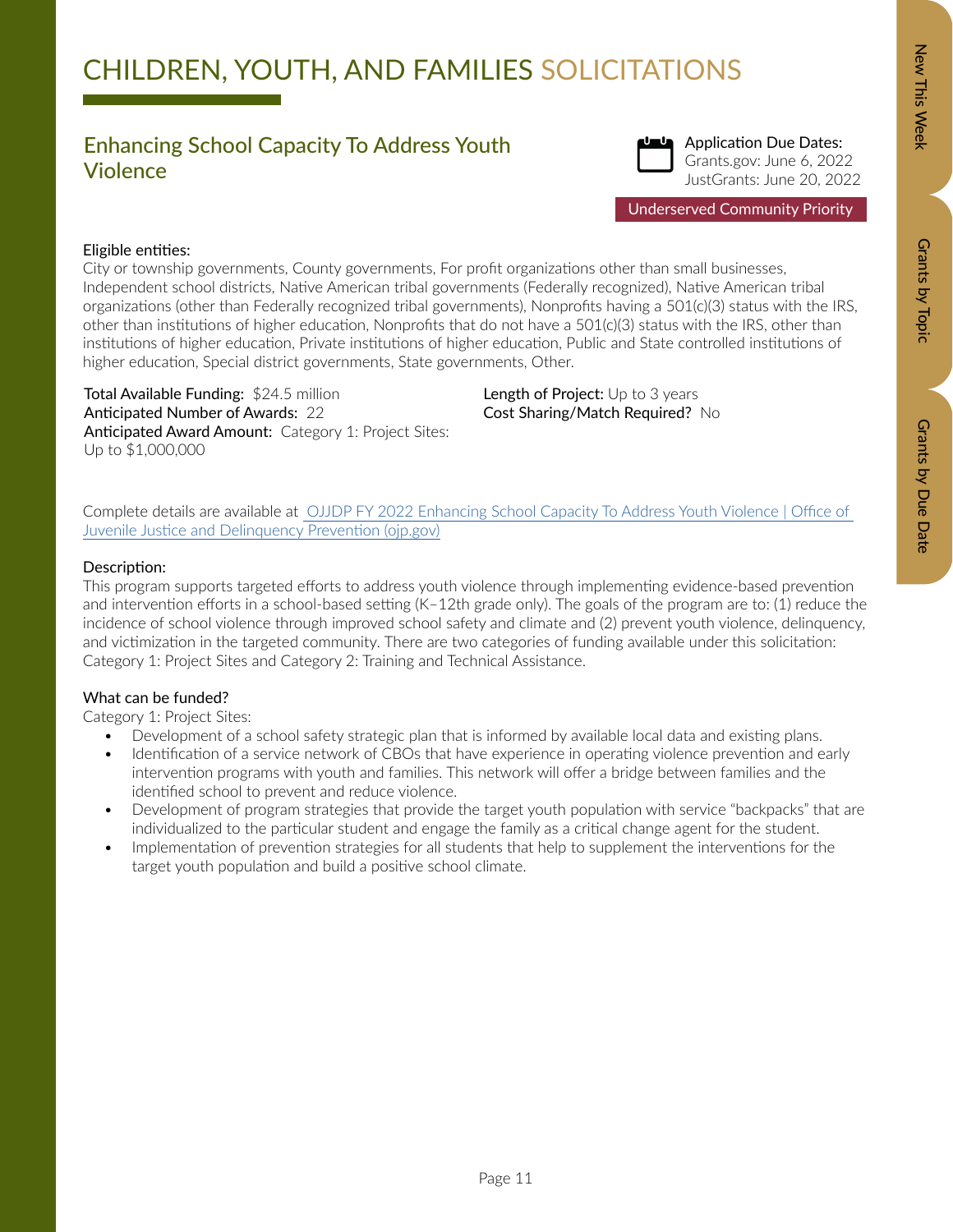### Enhancing School Capacity To Address Youth Violence



Application Due Dates: Grants.gov: June 6, 2022 JustGrants: June 20, 2022

### Eligible entities:

City or township governments, County governments, For profit organizations other than small businesses, Independent school districts, Native American tribal governments (Federally recognized), Native American tribal organizations (other than Federally recognized tribal governments), Nonprofits having a 501(c)(3) status with the IRS, other than institutions of higher education, Nonprofits that do not have a 501(c)(3) status with the IRS, other than institutions of higher education, Private institutions of higher education, Public and State controlled institutions of higher education, Special district governments, State governments, Other.

Total Available Funding: \$24.5 million Anticipated Number of Awards: 22 Anticipated Award Amount: Category 1: Project Sites: Up to \$1,000,000

Length of Project: Up to 3 years Cost Sharing/Match Required? No

Complete details are available at [OJJDP FY 2022 Enhancing School Capacity To Address Youth Violence | Office of](https://ojjdp.ojp.gov/funding/opportunities/o-ojjdp-2022-171274?utm_campaign=fundingnewsandresources&utm_medium=email&utm_source=govdelivery)  [Juvenile Justice and Delinquency Prevention \(ojp.gov\)](https://ojjdp.ojp.gov/funding/opportunities/o-ojjdp-2022-171274?utm_campaign=fundingnewsandresources&utm_medium=email&utm_source=govdelivery)

### Description:

This program supports targeted efforts to address youth violence through implementing evidence-based prevention and intervention efforts in a school-based setting (K–12th grade only). The goals of the program are to: (1) reduce the incidence of school violence through improved school safety and climate and (2) prevent youth violence, delinquency, and victimization in the targeted community. There are two categories of funding available under this solicitation: Category 1: Project Sites and Category 2: Training and Technical Assistance.

### What can be funded?

Category 1: Project Sites:

- Development of a school safety strategic plan that is informed by available local data and existing plans.
- Identification of a service network of CBOs that have experience in operating violence prevention and early intervention programs with youth and families. This network will offer a bridge between families and the identified school to prevent and reduce violence.
- Development of program strategies that provide the target youth population with service "backpacks" that are individualized to the particular student and engage the family as a critical change agent for the student.

Page 11

• Implementation of prevention strategies for all students that help to supplement the interventions for the target youth population and build a positive school climate.

Grants by Due Date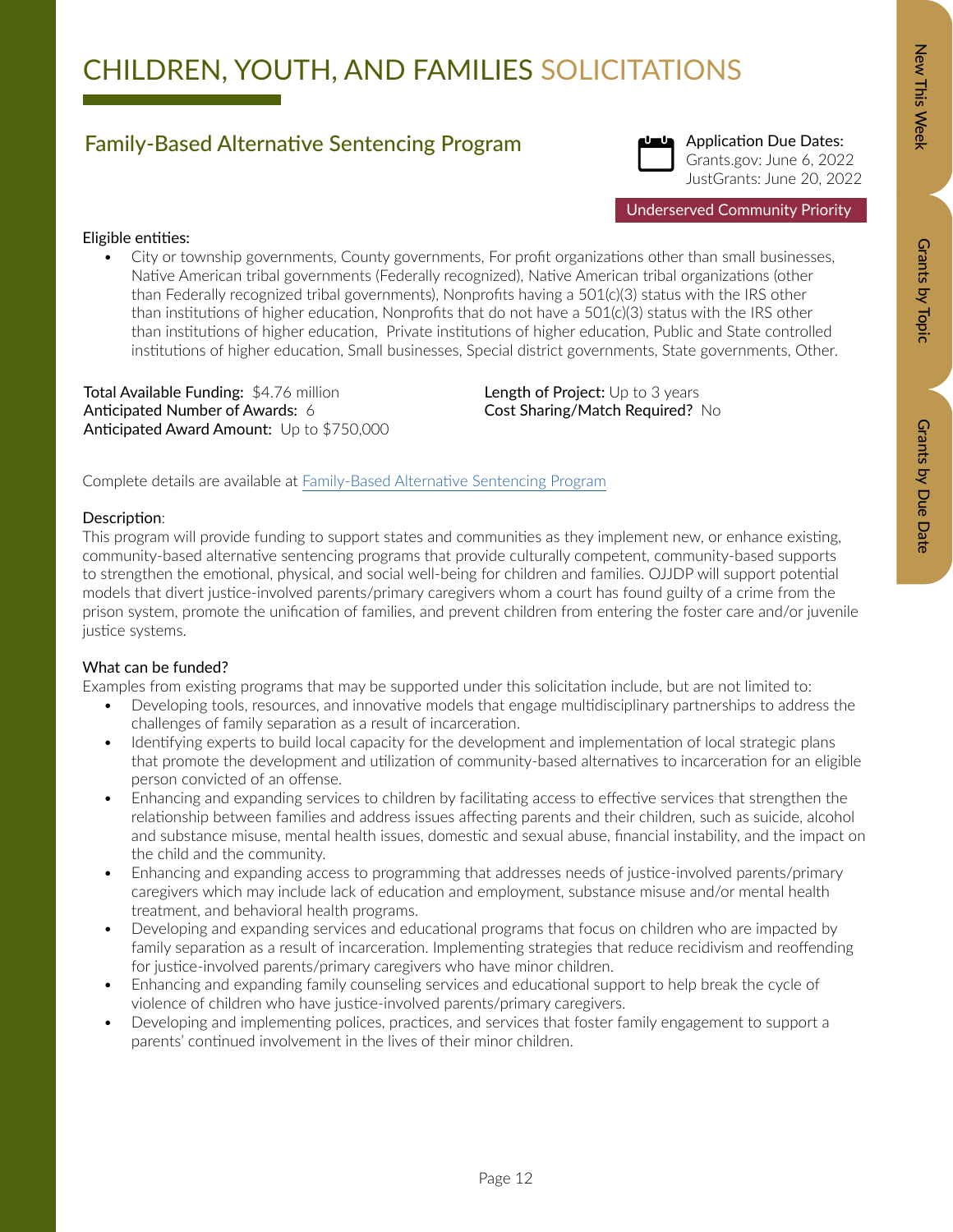### Family-Based Alternative Sentencing Program



Application Due Dates: Grants.gov: June 6, 2022 JustGrants: June 20, 2022

### Eligible entities:

• City or township governments, County governments, For profit organizations other than small businesses, Native American tribal governments (Federally recognized), Native American tribal organizations (other than Federally recognized tribal governments), Nonprofits having a 501(c)(3) status with the IRS other than institutions of higher education, Nonprofits that do not have a  $501(c)(3)$  status with the IRS other than institutions of higher education, Private institutions of higher education, Public and State controlled institutions of higher education, Small businesses, Special district governments, State governments, Other.

Total Available Funding: \$4.76 million Anticipated Number of Awards: 6 Anticipated Award Amount: Up to \$750,000 Length of Project: Up to 3 years Cost Sharing/Match Required? No

Complete details are available at [Family-Based Alternative Sentencing Program](https://ojjdp.ojp.gov/funding/opportunities/o-ojjdp-2022-171258)

### Description:

This program will provide funding to support states and communities as they implement new, or enhance existing, community-based alternative sentencing programs that provide culturally competent, community-based supports to strengthen the emotional, physical, and social well-being for children and families. OJJDP will support potential models that divert justice-involved parents/primary caregivers whom a court has found guilty of a crime from the prison system, promote the unification of families, and prevent children from entering the foster care and/or juvenile justice systems.

### What can be funded?

Examples from existing programs that may be supported under this solicitation include, but are not limited to:

- Developing tools, resources, and innovative models that engage multidisciplinary partnerships to address the challenges of family separation as a result of incarceration.
- Identifying experts to build local capacity for the development and implementation of local strategic plans that promote the development and utilization of community-based alternatives to incarceration for an eligible person convicted of an offense.
- Enhancing and expanding services to children by facilitating access to effective services that strengthen the relationship between families and address issues affecting parents and their children, such as suicide, alcohol and substance misuse, mental health issues, domestic and sexual abuse, financial instability, and the impact on the child and the community.
- Enhancing and expanding access to programming that addresses needs of justice-involved parents/primary caregivers which may include lack of education and employment, substance misuse and/or mental health treatment, and behavioral health programs.
- Developing and expanding services and educational programs that focus on children who are impacted by family separation as a result of incarceration. Implementing strategies that reduce recidivism and reoffending for justice-involved parents/primary caregivers who have minor children.
- Enhancing and expanding family counseling services and educational support to help break the cycle of violence of children who have justice-involved parents/primary caregivers.
- Developing and implementing polices, practices, and services that foster family engagement to support a parents' continued involvement in the lives of their minor children.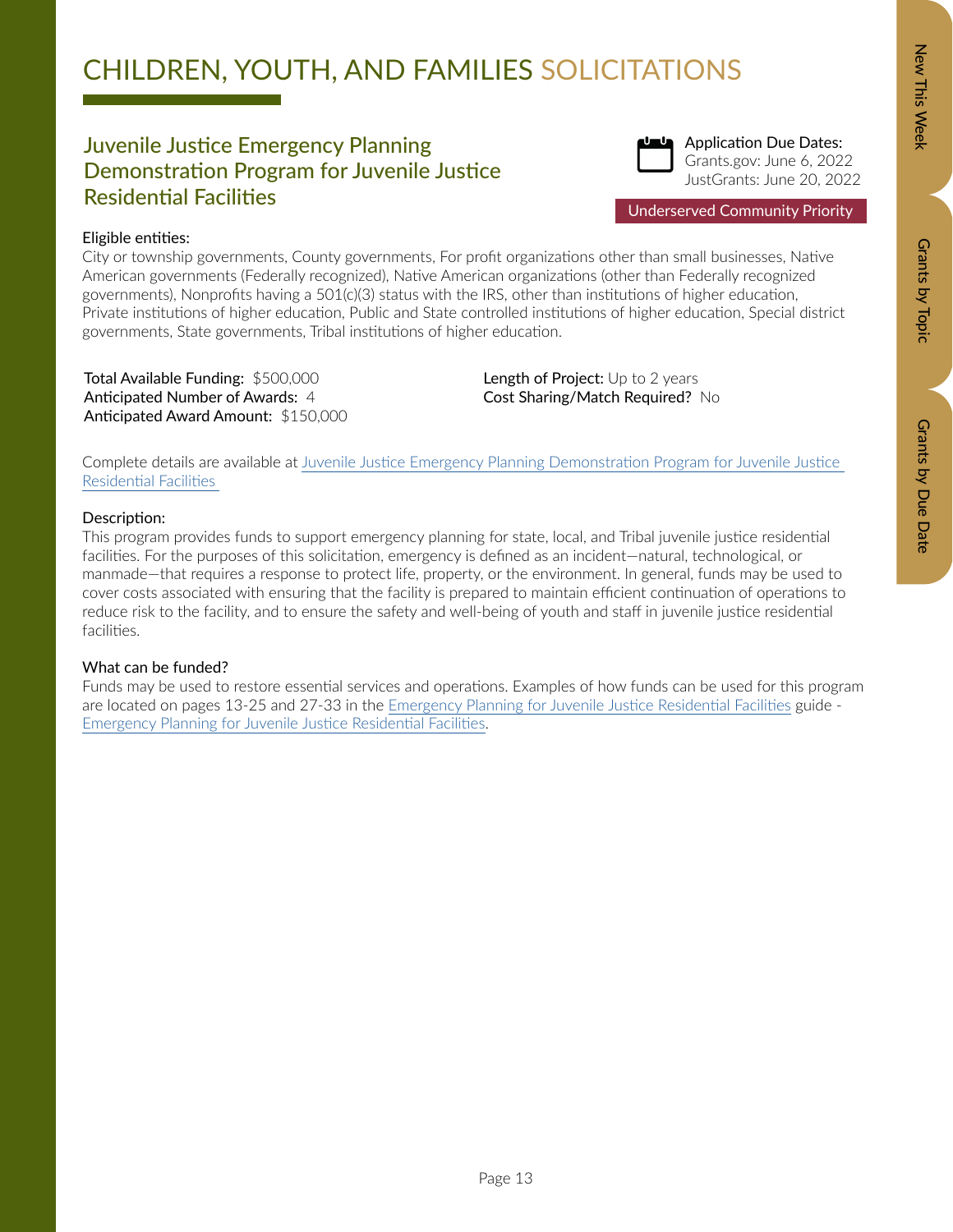### Juvenile Justice Emergency Planning Demonstration Program for Juvenile Justice Residential Facilities



Application Due Dates: Grants.gov: June 6, 2022 JustGrants: June 20, 2022

Underserved Community Priority

### Eligible entities:

City or township governments, County governments, For profit organizations other than small businesses, Native American governments (Federally recognized), Native American organizations (other than Federally recognized governments), Nonprofits having a 501(c)(3) status with the IRS, other than institutions of higher education, Private institutions of higher education, Public and State controlled institutions of higher education, Special district governments, State governments, Tribal institutions of higher education.

Total Available Funding: \$500,000 Anticipated Number of Awards: 4 Anticipated Award Amount: \$150,000 Length of Project: Up to 2 years Cost Sharing/Match Required? No

Complete details are available at Juvenile Justice Emergency Planning Demonstration Program for Juvenile Justice Residential Facilities

### Description:

This program provides funds to support emergency planning for state, local, and Tribal juvenile justice residential facilities. For the purposes of this solicitation, emergency is defined as an incident—natural, technological, or manmade—that requires a response to protect life, property, or the environment. In general, funds may be used to cover costs associated with ensuring that the facility is prepared to maintain efficient continuation of operations to reduce risk to the facility, and to ensure the safety and well-being of youth and staff in juvenile justice residential facilities.

### What can be funded?

Funds may be used to restore essential services and operations. Examples of how funds can be used for this program are located on pages 13-25 and 27-33 in the [Emergency Planning for Juvenile Justice Residential Facilities](https://www.ojp.gov/pdffiles1/ojjdp/234936.pdf) guide - [Emergency Planning for Juvenile Justice Residential Facilities](https://www.ojp.gov/pdffiles1/ojjdp/234936.pdf).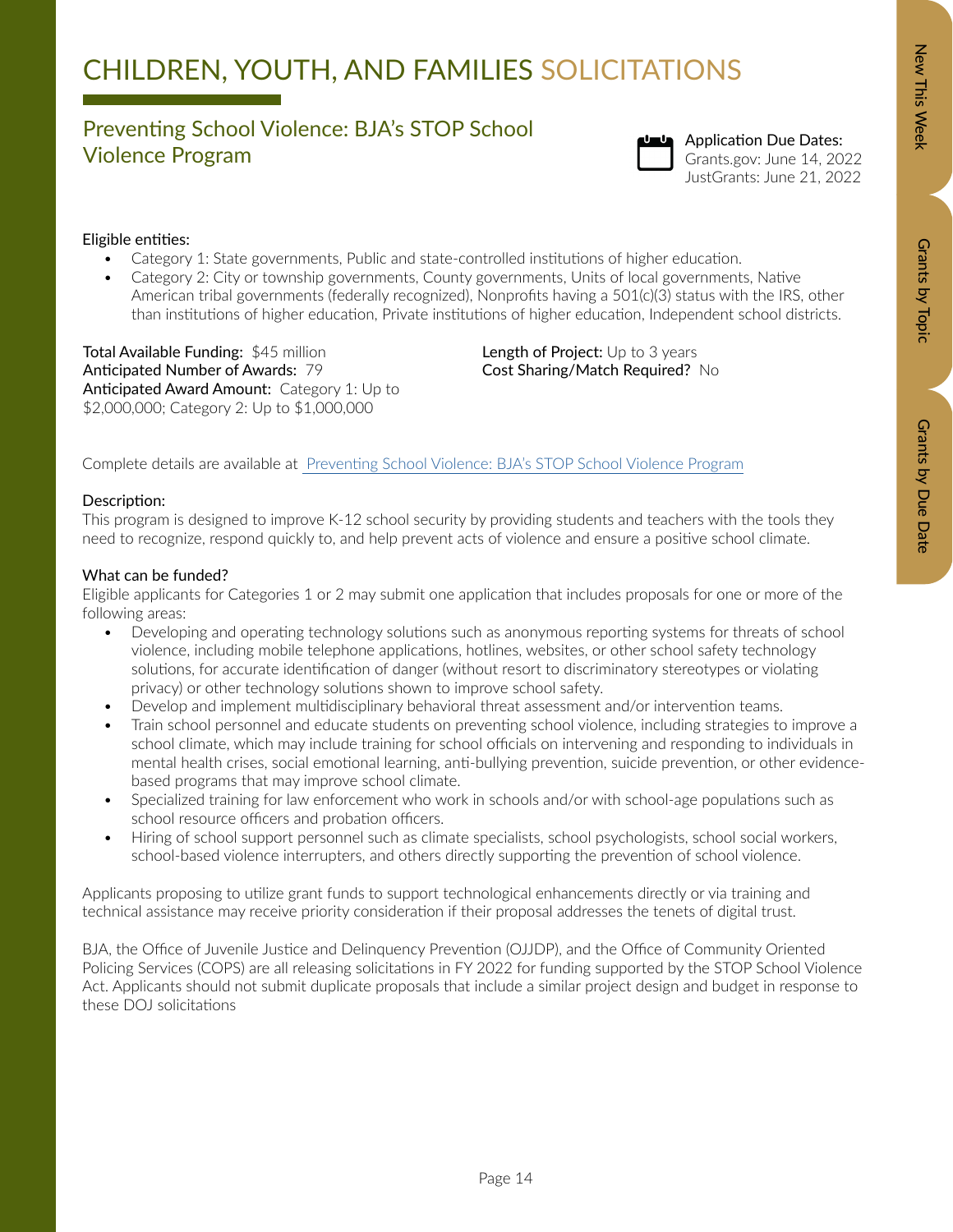### Preventing School Violence: BJA's STOP School The Ventung School Violence. BJAS STOT School Chronication Due Dates:<br>Violence Program Chronication Due 14, 20



## Grants.gov: June 14, 2022

JustGrants: June 21, 2022

### Eligible entities:

- Category 1: State governments, Public and state-controlled institutions of higher education.
- Category 2: City or township governments, County governments, Units of local governments, Native American tribal governments (federally recognized), Nonprofits having a 501(c)(3) status with the IRS, other than institutions of higher education, Private institutions of higher education, Independent school districts.

Total Available Funding: \$45 million Anticipated Number of Awards: 79 Anticipated Award Amount: Category 1: Up to \$2,000,000; Category 2: Up to \$1,000,000

Length of Project: Up to 3 years Cost Sharing/Match Required? No

Complete details are available at [Preventing School Violence: BJA's STOP School Violence Program](https://bja.ojp.gov/funding/O-BJA-2022-171118.pdf)

### Description:

This program is designed to improve K-12 school security by providing students and teachers with the tools they need to recognize, respond quickly to, and help prevent acts of violence and ensure a positive school climate.

### What can be funded?

Eligible applicants for Categories 1 or 2 may submit one application that includes proposals for one or more of the following areas:

- Developing and operating technology solutions such as anonymous reporting systems for threats of school violence, including mobile telephone applications, hotlines, websites, or other school safety technology solutions, for accurate identification of danger (without resort to discriminatory stereotypes or violating privacy) or other technology solutions shown to improve school safety.
- Develop and implement multidisciplinary behavioral threat assessment and/or intervention teams.
- Train school personnel and educate students on preventing school violence, including strategies to improve a school climate, which may include training for school officials on intervening and responding to individuals in mental health crises, social emotional learning, anti-bullying prevention, suicide prevention, or other evidencebased programs that may improve school climate.
- Specialized training for law enforcement who work in schools and/or with school-age populations such as school resource officers and probation officers.
- Hiring of school support personnel such as climate specialists, school psychologists, school social workers, school-based violence interrupters, and others directly supporting the prevention of school violence.

Applicants proposing to utilize grant funds to support technological enhancements directly or via training and technical assistance may receive priority consideration if their proposal addresses the tenets of digital trust.

BJA, the Office of Juvenile Justice and Delinquency Prevention (OJJDP), and the Office of Community Oriented Policing Services (COPS) are all releasing solicitations in FY 2022 for funding supported by the STOP School Violence Act. Applicants should not submit duplicate proposals that include a similar project design and budget in response to these DOJ solicitations

Page 14

Grants by Due Date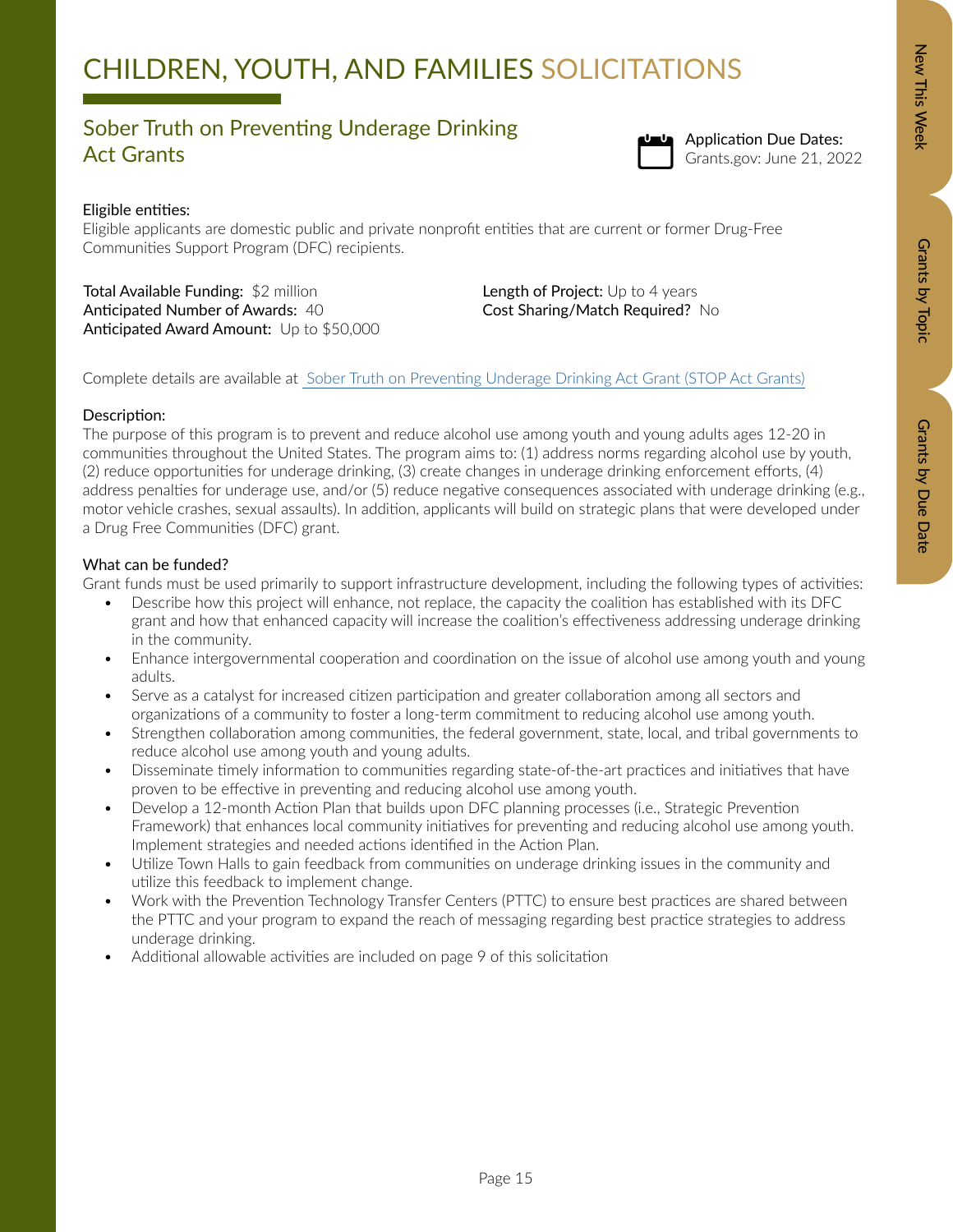### Sober Truth on Preventing Underage Drinking Sober Hath off Fevering Shaerage Drimming<br>Act Grants Grants (Standard Grants.gov: June 21, 20)



### Eligible entities:

Eligible applicants are domestic public and private nonprofit entities that are current or former Drug-Free Communities Support Program (DFC) recipients.

Total Available Funding: \$2 million Anticipated Number of Awards: 40 Anticipated Award Amount: Up to \$50,000 Length of Project: Up to 4 years Cost Sharing/Match Required? No

Complete details are available at [Sober Truth on Preventing Underage Drinking Act Grant \(STOP Act Grants\)](https://www.samhsa.gov/sites/default/files/grants/pdf/fy-22-stop-act-nofo.pdf)

### Description:

The purpose of this program is to prevent and reduce alcohol use among youth and young adults ages 12-20 in communities throughout the United States. The program aims to: (1) address norms regarding alcohol use by youth, (2) reduce opportunities for underage drinking, (3) create changes in underage drinking enforcement efforts, (4) address penalties for underage use, and/or (5) reduce negative consequences associated with underage drinking (e.g., motor vehicle crashes, sexual assaults). In addition, applicants will build on strategic plans that were developed under a Drug Free Communities (DFC) grant.

### What can be funded?

Grant funds must be used primarily to support infrastructure development, including the following types of activities:

- Describe how this project will enhance, not replace, the capacity the coalition has established with its DFC grant and how that enhanced capacity will increase the coalition's effectiveness addressing underage drinking in the community.
- Enhance intergovernmental cooperation and coordination on the issue of alcohol use among youth and young adults.
- Serve as a catalyst for increased citizen participation and greater collaboration among all sectors and organizations of a community to foster a long-term commitment to reducing alcohol use among youth.
- Strengthen collaboration among communities, the federal government, state, local, and tribal governments to reduce alcohol use among youth and young adults.
- Disseminate timely information to communities regarding state-of-the-art practices and initiatives that have proven to be effective in preventing and reducing alcohol use among youth.
- Develop a 12-month Action Plan that builds upon DFC planning processes (i.e., Strategic Prevention Framework) that enhances local community initiatives for preventing and reducing alcohol use among youth. Implement strategies and needed actions identified in the Action Plan.
- Utilize Town Halls to gain feedback from communities on underage drinking issues in the community and utilize this feedback to implement change.
- Work with the Prevention Technology Transfer Centers (PTTC) to ensure best practices are shared between the PTTC and your program to expand the reach of messaging regarding best practice strategies to address underage drinking.
- Additional allowable activities are included on page 9 of this solicitation

New This Week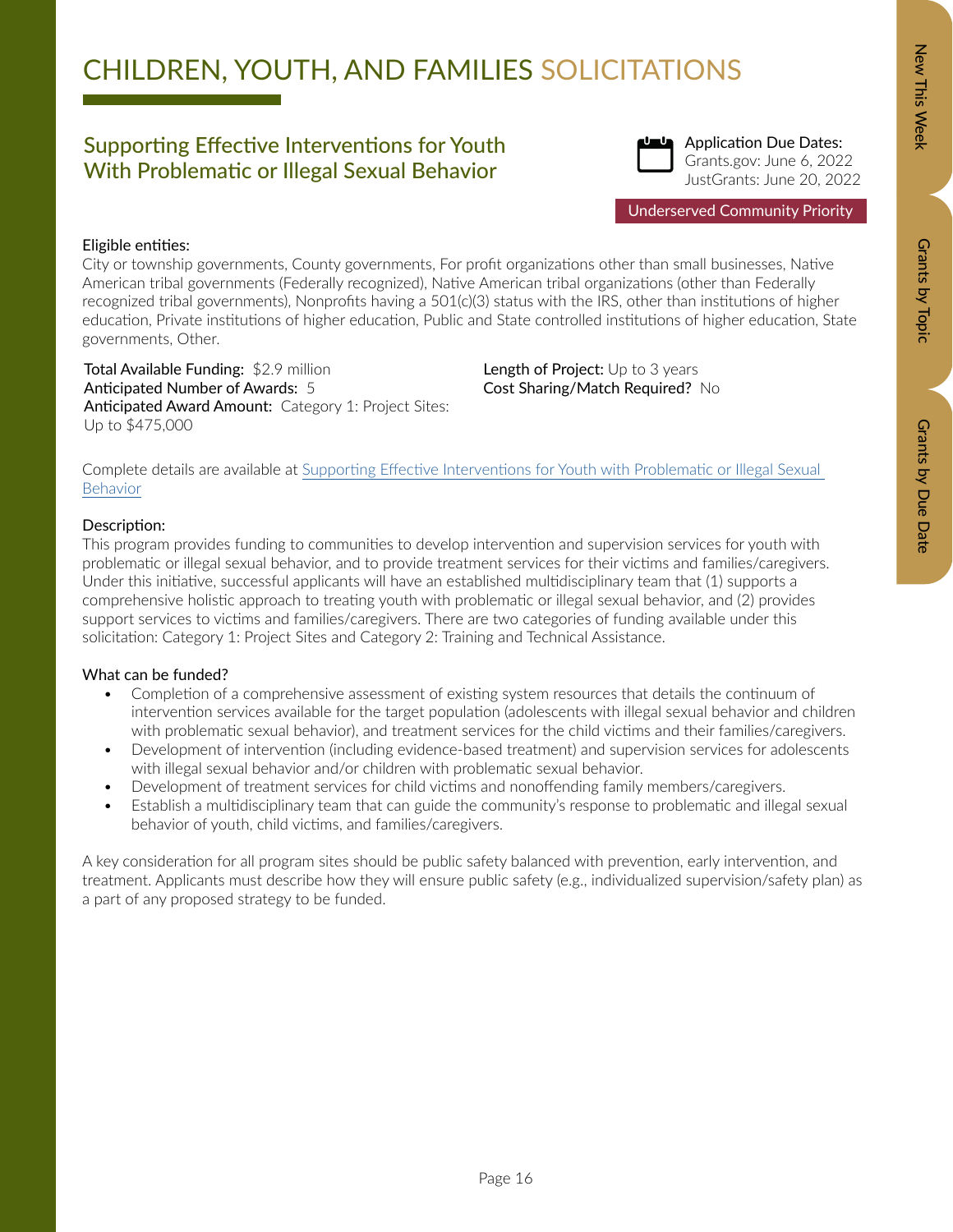### Supporting Effective Interventions for Youth With Problematic or Illegal Sexual Behavior



Application Due Dates: Grants.gov: June 6, 2022 JustGrants: June 20, 2022

### Eligible entities:

City or township governments, County governments, For profit organizations other than small businesses, Native American tribal governments (Federally recognized), Native American tribal organizations (other than Federally recognized tribal governments), Nonprofits having a 501(c)(3) status with the IRS, other than institutions of higher education, Private institutions of higher education, Public and State controlled institutions of higher education, State governments, Other.

Total Available Funding: \$2.9 million Anticipated Number of Awards: 5 Anticipated Award Amount: Category 1: Project Sites: Up to \$475,000

Length of Project: Up to 3 years Cost Sharing/Match Required? No

Complete details are available at [Supporting Effective Interventions for Youth with Problematic or Illegal Sexual](https://ojjdp.ojp.gov/funding/opportunities/o-ojjdp-2022-171269)  [Behavior](https://ojjdp.ojp.gov/funding/opportunities/o-ojjdp-2022-171269)

### Description:

This program provides funding to communities to develop intervention and supervision services for youth with problematic or illegal sexual behavior, and to provide treatment services for their victims and families/caregivers. Under this initiative, successful applicants will have an established multidisciplinary team that (1) supports a comprehensive holistic approach to treating youth with problematic or illegal sexual behavior, and (2) provides support services to victims and families/caregivers. There are two categories of funding available under this solicitation: Category 1: Project Sites and Category 2: Training and Technical Assistance.

### What can be funded?

- Completion of a comprehensive assessment of existing system resources that details the continuum of intervention services available for the target population (adolescents with illegal sexual behavior and children with problematic sexual behavior), and treatment services for the child victims and their families/caregivers.
- Development of intervention (including evidence-based treatment) and supervision services for adolescents with illegal sexual behavior and/or children with problematic sexual behavior.
- Development of treatment services for child victims and nonoffending family members/caregivers.
- Establish a multidisciplinary team that can guide the community's response to problematic and illegal sexual behavior of youth, child victims, and families/caregivers.

A key consideration for all program sites should be public safety balanced with prevention, early intervention, and treatment. Applicants must describe how they will ensure public safety (e.g., individualized supervision/safety plan) as a part of any proposed strategy to be funded.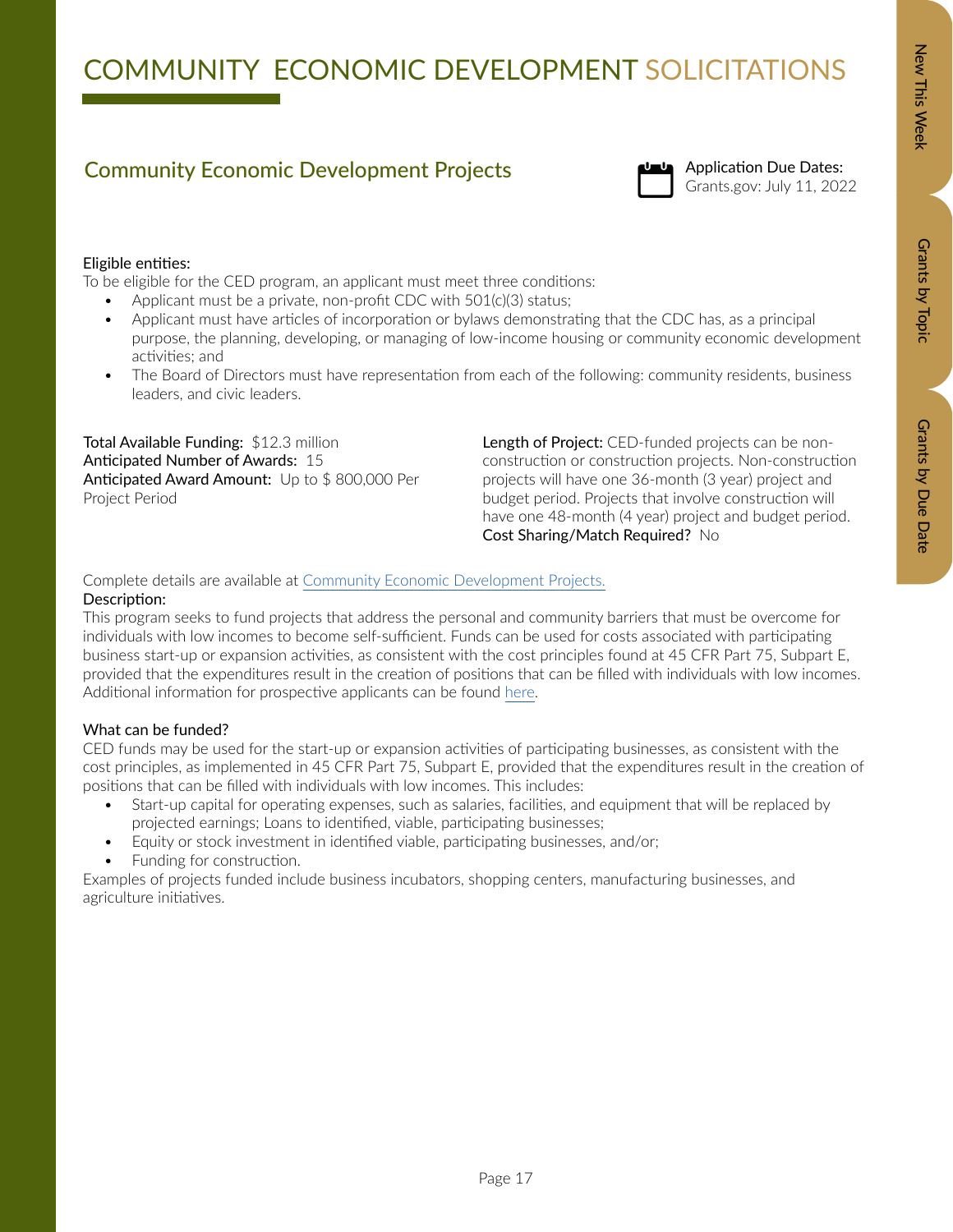# Community Economic Development Projects<br>Grants.gov: July 11, 2022



### Eligible entities:

To be eligible for the CED program, an applicant must meet three conditions:

- Applicant must be a private, non-profit CDC with 501(c)(3) status;
- Applicant must have articles of incorporation or bylaws demonstrating that the CDC has, as a principal purpose, the planning, developing, or managing of low-income housing or community economic development activities; and
- The Board of Directors must have representation from each of the following: community residents, business leaders, and civic leaders.

Total Available Funding: \$12.3 million Anticipated Number of Awards: 15 Anticipated Award Amount: Up to \$800,000 Per Project Period

Length of Project: CED-funded projects can be nonconstruction or construction projects. Non-construction projects will have one 36-month (3 year) project and budget period. Projects that involve construction will have one 48-month (4 year) project and budget period. Cost Sharing/Match Required? No

### Complete details are available at [Community Economic Development Projects.](https://www.acf.hhs.gov/sites/default/files/documents/ocs/HHS-2021-ACF-OCS-EE-1965-1.pdf)

### Description:

This program seeks to fund projects that address the personal and community barriers that must be overcome for individuals with low incomes to become self-sufficient. Funds can be used for costs associated with participating business start-up or expansion activities, as consistent with the cost principles found at 45 CFR Part 75, Subpart E, provided that the expenditures result in the creation of positions that can be filled with individuals with low incomes. Additional information for prospective applicants can be found [here.](https://www.acf.hhs.gov/ocs/ced-information-propsective-applicants)

### What can be funded?

CED funds may be used for the start-up or expansion activities of participating businesses, as consistent with the cost principles, as implemented in 45 CFR Part 75, Subpart E, provided that the expenditures result in the creation of positions that can be filled with individuals with low incomes. This includes:

- Start-up capital for operating expenses, such as salaries, facilities, and equipment that will be replaced by projected earnings; Loans to identified, viable, participating businesses;
- Equity or stock investment in identified viable, participating businesses, and/or;
- Funding for construction.

Examples of projects funded include business incubators, shopping centers, manufacturing businesses, and agriculture initiatives.

Grants by Topic

Grants by Topic

New This Week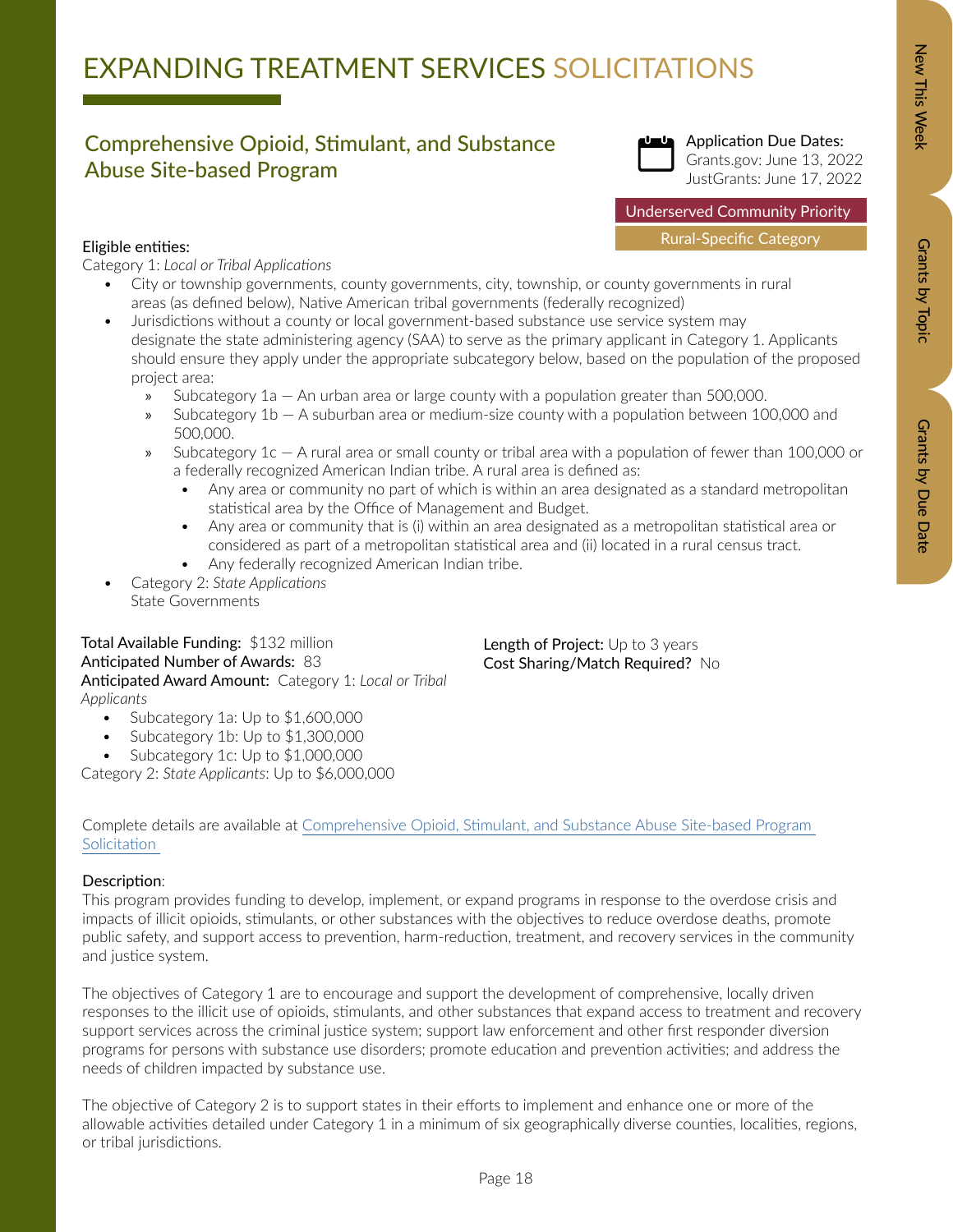# EXPANDING TREATMENT SERVICES SOLICITATIONS

### Comprehensive Opioid, Stimulant, and Substance Abuse Site-based Program



Application Due Dates: Grants.gov: June 13, 2022 JustGrants: June 17, 2022

Underserved Community Priority

Rural-Specific Category

### Eligible entities:

Category 1: *Local or Tribal Applications*

- City or township governments, county governments, city, township, or county governments in rural areas (as defined below), Native American tribal governments (federally recognized)
- Jurisdictions without a county or local government-based substance use service system may designate the state administering agency (SAA) to serve as the primary applicant in Category 1. Applicants should ensure they apply under the appropriate subcategory below, based on the population of the proposed project area:
	- » Subcategory 1a An urban area or large county with a population greater than 500,000.
	- » Subcategory 1b A suburban area or medium-size county with a population between 100,000 and 500,000.
	- » Subcategory 1c A rural area or small county or tribal area with a population of fewer than 100,000 or a federally recognized American Indian tribe. A rural area is defined as:
		- Any area or community no part of which is within an area designated as a standard metropolitan statistical area by the Office of Management and Budget.
		- Any area or community that is (i) within an area designated as a metropolitan statistical area or considered as part of a metropolitan statistical area and (ii) located in a rural census tract.

Length of Project: Up to 3 years Cost Sharing/Match Required? No

- Any federally recognized American Indian tribe.
- Category 2: *State Applications* State Governments

Total Available Funding: \$132 million Anticipated Number of Awards: 83 Anticipated Award Amount: Category 1: *Local or Tribal Applicants*

- Subcategory 1a: Up to \$1,600,000
- Subcategory 1b: Up to \$1,300,000
- Subcategory 1c: Up to \$1,000,000

Category 2: *State Applicants*: Up to \$6,000,000

Complete details are available at [Comprehensive Opioid, Stimulant, and Substance Abuse Site-based Program](https://bja.ojp.gov/funding/O-BJA-2022-171280.pdf)  [Solicitation](https://bja.ojp.gov/funding/O-BJA-2022-171280.pdf) 

### Description:

This program provides funding to develop, implement, or expand programs in response to the overdose crisis and impacts of illicit opioids, stimulants, or other substances with the objectives to reduce overdose deaths, promote public safety, and support access to prevention, harm-reduction, treatment, and recovery services in the community and justice system.

The objectives of Category 1 are to encourage and support the development of comprehensive, locally driven responses to the illicit use of opioids, stimulants, and other substances that expand access to treatment and recovery support services across the criminal justice system; support law enforcement and other first responder diversion programs for persons with substance use disorders; promote education and prevention activities; and address the needs of children impacted by substance use.

The objective of Category 2 is to support states in their efforts to implement and enhance one or more of the allowable activities detailed under Category 1 in a minimum of six geographically diverse counties, localities, regions, or tribal jurisdictions.

Grants by Topic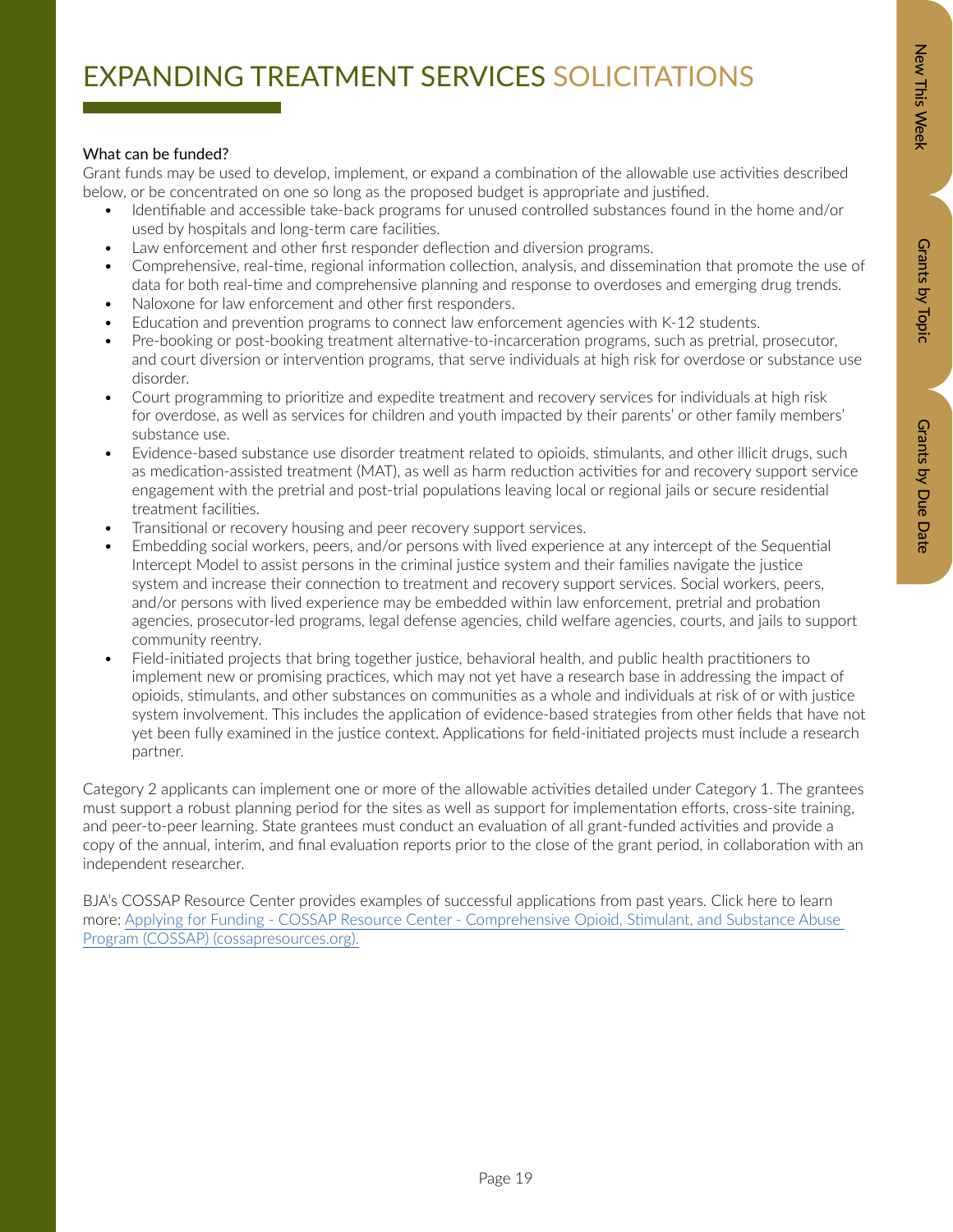# Zew This Week New Orants by Dopic Data Details by Due Data Grants by Due Date

### What can be funded?

Grant funds may be used to develop, implement, or expand a combination of the allowable use activities described below, or be concentrated on one so long as the proposed budget is appropriate and justified.

- Identifiable and accessible take-back programs for unused controlled substances found in the home and/or used by hospitals and long-term care facilities.
- Law enforcement and other first responder deflection and diversion programs.
- Comprehensive, real-time, regional information collection, analysis, and dissemination that promote the use of data for both real-time and comprehensive planning and response to overdoses and emerging drug trends.
- Naloxone for law enforcement and other first responders.
- Education and prevention programs to connect law enforcement agencies with K-12 students.
- Pre-booking or post-booking treatment alternative-to-incarceration programs, such as pretrial, prosecutor, and court diversion or intervention programs, that serve individuals at high risk for overdose or substance use disorder.
- Court programming to prioritize and expedite treatment and recovery services for individuals at high risk for overdose, as well as services for children and youth impacted by their parents' or other family members' substance use.
- Evidence-based substance use disorder treatment related to opioids, stimulants, and other illicit drugs, such as medication-assisted treatment (MAT), as well as harm reduction activities for and recovery support service engagement with the pretrial and post-trial populations leaving local or regional jails or secure residential treatment facilities.
- Transitional or recovery housing and peer recovery support services.
- Embedding social workers, peers, and/or persons with lived experience at any intercept of the Sequential Intercept Model to assist persons in the criminal justice system and their families navigate the justice system and increase their connection to treatment and recovery support services. Social workers, peers, and/or persons with lived experience may be embedded within law enforcement, pretrial and probation agencies, prosecutor-led programs, legal defense agencies, child welfare agencies, courts, and jails to support community reentry.
- Field-initiated projects that bring together justice, behavioral health, and public health practitioners to implement new or promising practices, which may not yet have a research base in addressing the impact of opioids, stimulants, and other substances on communities as a whole and individuals at risk of or with justice system involvement. This includes the application of evidence-based strategies from other fields that have not yet been fully examined in the justice context. Applications for field-initiated projects must include a research partner.

Category 2 applicants can implement one or more of the allowable activities detailed under Category 1. The grantees must support a robust planning period for the sites as well as support for implementation efforts, cross-site training, and peer-to-peer learning. State grantees must conduct an evaluation of all grant-funded activities and provide a copy of the annual, interim, and final evaluation reports prior to the close of the grant period, in collaboration with an independent researcher.

BJA's COSSAP Resource Center provides examples of successful applications from past years. Click here to learn more: [Applying for Funding - COSSAP Resource Center - Comprehensive Opioid, Stimulant, and Substance Abuse](https://www.cossapresources.org/Program/Applying#ApplicantResources)  [Program \(COSSAP\) \(cossapresources.org\).](https://www.cossapresources.org/Program/Applying#ApplicantResources)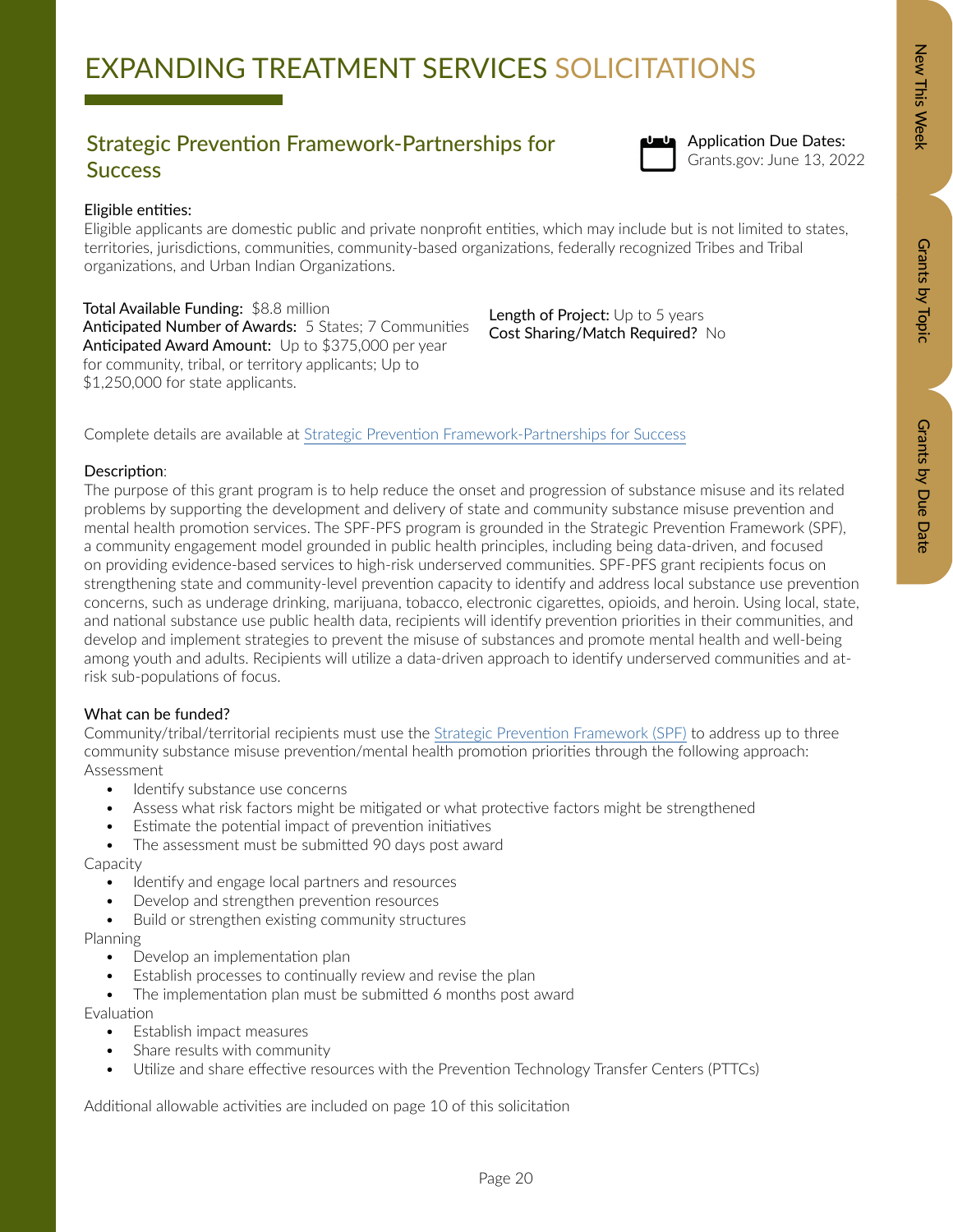### Grategic Prevention Framework-Partnerships for<br>Grants.gov: June 13, 2022 **Success**



Application Due Dates:

### Eligible entities:

Eligible applicants are domestic public and private nonprofit entities, which may include but is not limited to states, territories, jurisdictions, communities, community-based organizations, federally recognized Tribes and Tribal organizations, and Urban Indian Organizations.

Total Available Funding: \$8.8 million Anticipated Number of Awards: 5 States; 7 Communities Anticipated Award Amount: Up to \$375,000 per year for community, tribal, or territory applicants; Up to \$1,250,000 for state applicants.

Length of Project: Up to 5 years Cost Sharing/Match Required? No

Complete details are available at Strategic Prevention Framework-Partnerships for Success

### Description:

The purpose of this grant program is to help reduce the onset and progression of substance misuse and its related problems by supporting the development and delivery of state and community substance misuse prevention and mental health promotion services. The SPF-PFS program is grounded in the Strategic Prevention Framework (SPF), a community engagement model grounded in public health principles, including being data-driven, and focused on providing evidence-based services to high-risk underserved communities. SPF-PFS grant recipients focus on strengthening state and community-level prevention capacity to identify and address local substance use prevention concerns, such as underage drinking, marijuana, tobacco, electronic cigarettes, opioids, and heroin. Using local, state, and national substance use public health data, recipients will identify prevention priorities in their communities, and develop and implement strategies to prevent the misuse of substances and promote mental health and well-being among youth and adults. Recipients will utilize a data-driven approach to identify underserved communities and atrisk sub-populations of focus.

### What can be funded?

Community/tribal/territorial recipients must use the [Strategic Prevention Framework \(SPF\)](https://www.samhsa.gov/sites/default/files/20190620-samhsa-strategic-prevention-framework-guide.pdf) to address up to three community substance misuse prevention/mental health promotion priorities through the following approach: Assessment

- Identify substance use concerns
- Assess what risk factors might be mitigated or what protective factors might be strengthened
- Estimate the potential impact of prevention initiatives
- The assessment must be submitted 90 days post award

Capacity

- Identify and engage local partners and resources
- Develop and strengthen prevention resources
- Build or strengthen existing community structures

Planning

- Develop an implementation plan
- Establish processes to continually review and revise the plan
- The implementation plan must be submitted 6 months post award

Evaluation

- Establish impact measures
- Share results with community
- Utilize and share effective resources with the Prevention Technology Transfer Centers (PTTCs)

Additional allowable activities are included on page 10 of this solicitation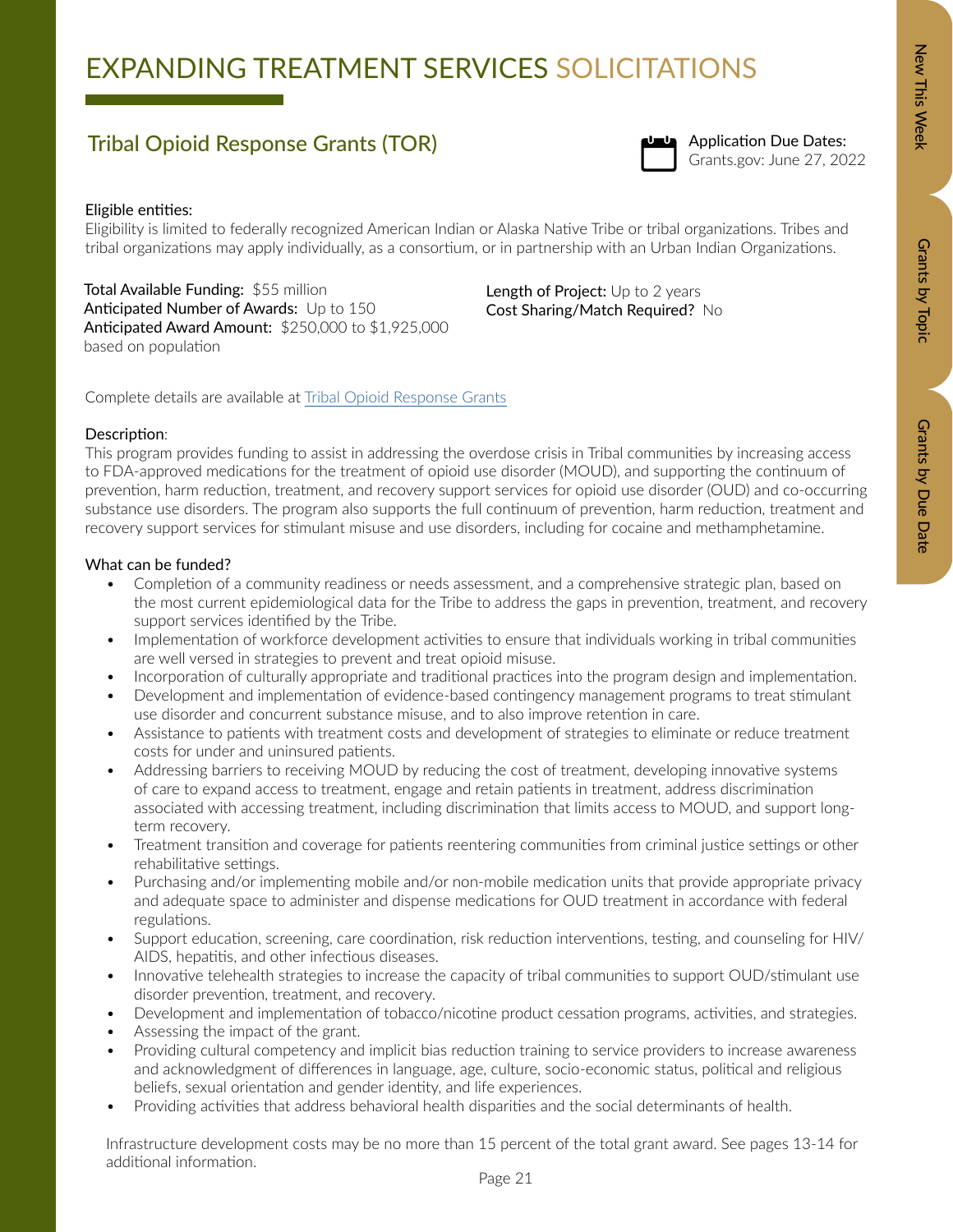# EXPANDING TREATMENT SERVICES SOLICITATIONS

# Tribal Opioid Response Grants (TOR) and Superintendent Control of the Second States:<br>Grants.gov: June 27, 2022



Application Due Dates:

### Eligible entities:

Eligibility is limited to federally recognized American Indian or Alaska Native Tribe or tribal organizations. Tribes and tribal organizations may apply individually, as a consortium, or in partnership with an Urban Indian Organizations.

Total Available Funding: \$55 million Anticipated Number of Awards: Up to 150 Anticipated Award Amount: \$250,000 to \$1,925,000 based on population

Length of Project: Up to 2 years Cost Sharing/Match Required? No

Complete details are available at [Tribal Opioid Response Grants](https://www.samhsa.gov/grants/grant-announcements/ti-22-006)

### Description:

This program provides funding to assist in addressing the overdose crisis in Tribal communities by increasing access to FDA-approved medications for the treatment of opioid use disorder (MOUD), and supporting the continuum of prevention, harm reduction, treatment, and recovery support services for opioid use disorder (OUD) and co-occurring substance use disorders. The program also supports the full continuum of prevention, harm reduction, treatment and recovery support services for stimulant misuse and use disorders, including for cocaine and methamphetamine.

### What can be funded?

- Completion of a community readiness or needs assessment, and a comprehensive strategic plan, based on the most current epidemiological data for the Tribe to address the gaps in prevention, treatment, and recovery support services identified by the Tribe.
- Implementation of workforce development activities to ensure that individuals working in tribal communities are well versed in strategies to prevent and treat opioid misuse.
- Incorporation of culturally appropriate and traditional practices into the program design and implementation.
- Development and implementation of evidence-based contingency management programs to treat stimulant use disorder and concurrent substance misuse, and to also improve retention in care.
- Assistance to patients with treatment costs and development of strategies to eliminate or reduce treatment costs for under and uninsured patients.
- Addressing barriers to receiving MOUD by reducing the cost of treatment, developing innovative systems of care to expand access to treatment, engage and retain patients in treatment, address discrimination associated with accessing treatment, including discrimination that limits access to MOUD, and support longterm recovery.
- Treatment transition and coverage for patients reentering communities from criminal justice settings or other rehabilitative settings.
- Purchasing and/or implementing mobile and/or non-mobile medication units that provide appropriate privacy and adequate space to administer and dispense medications for OUD treatment in accordance with federal regulations.
- Support education, screening, care coordination, risk reduction interventions, testing, and counseling for HIV/ AIDS, hepatitis, and other infectious diseases.
- Innovative telehealth strategies to increase the capacity of tribal communities to support OUD/stimulant use disorder prevention, treatment, and recovery.
- Development and implementation of tobacco/nicotine product cessation programs, activities, and strategies.
- Assessing the impact of the grant.
- Providing cultural competency and implicit bias reduction training to service providers to increase awareness and acknowledgment of differences in language, age, culture, socio-economic status, political and religious beliefs, sexual orientation and gender identity, and life experiences.
- Providing activities that address behavioral health disparities and the social determinants of health.

Infrastructure development costs may be no more than 15 percent of the total grant award. See pages 13-14 for additional information.

Grants by Topic

Grants by Topic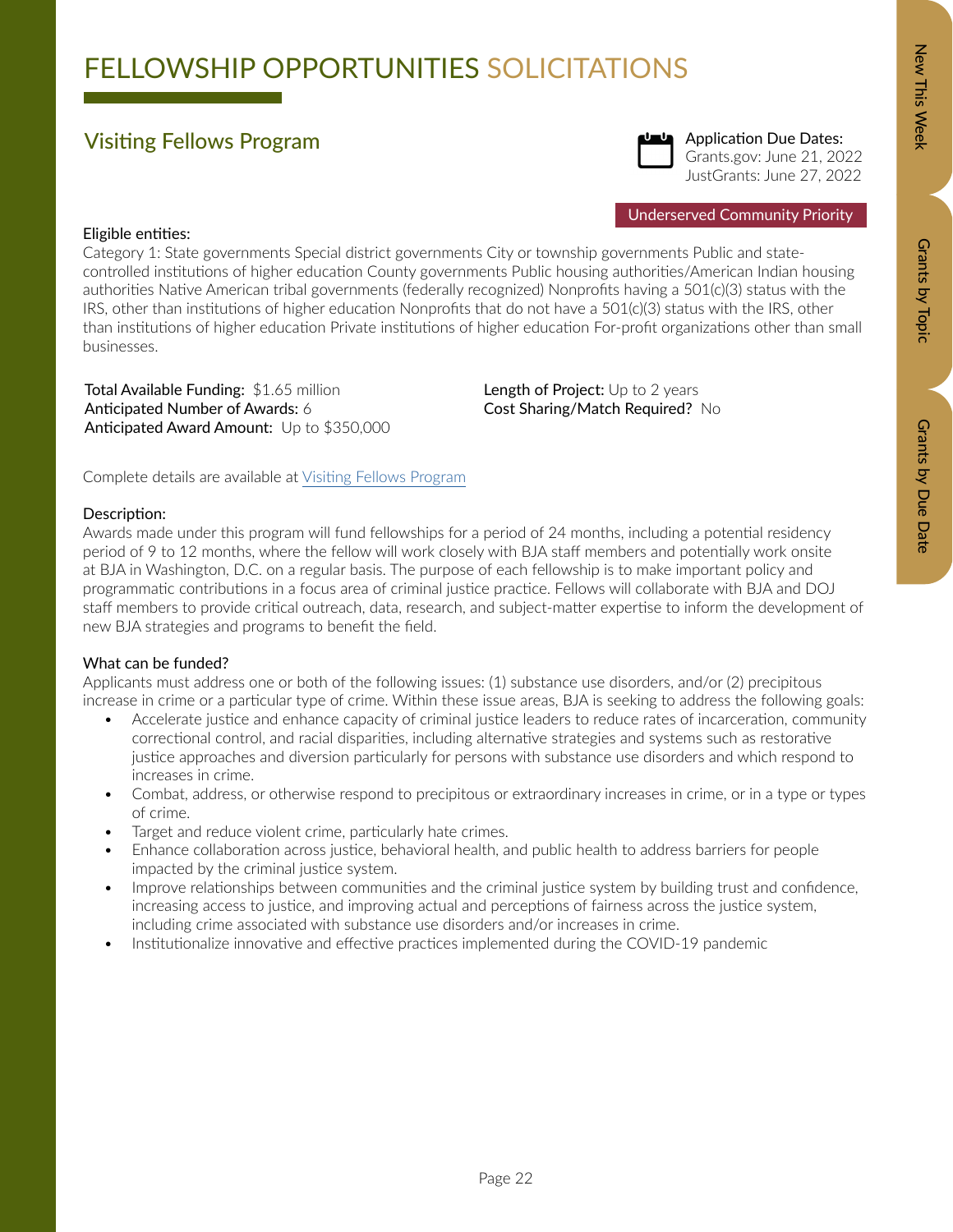## FELLOWSHIP OPPORTUNITIES SOLICITATIONS

### Visiting Fellows Program



Underserved Community Priority

### Eligible entities:

Category 1: State governments Special district governments City or township governments Public and statecontrolled institutions of higher education County governments Public housing authorities/American Indian housing authorities Native American tribal governments (federally recognized) Nonprofits having a 501(c)(3) status with the IRS, other than institutions of higher education Nonprofits that do not have a 501(c)(3) status with the IRS, other than institutions of higher education Private institutions of higher education For-profit organizations other than small businesses.

Total Available Funding: \$1.65 million Anticipated Number of Awards: 6 Anticipated Award Amount: Up to \$350,000 Length of Project: Up to 2 years Cost Sharing/Match Required? No

Complete details are available at [Visiting Fellows Program](https://bja.ojp.gov/funding/opportunities/o-bja-2022-171145)

### Description:

Awards made under this program will fund fellowships for a period of 24 months, including a potential residency period of 9 to 12 months, where the fellow will work closely with BJA staff members and potentially work onsite at BJA in Washington, D.C. on a regular basis. The purpose of each fellowship is to make important policy and programmatic contributions in a focus area of criminal justice practice. Fellows will collaborate with BJA and DOJ staff members to provide critical outreach, data, research, and subject-matter expertise to inform the development of new BJA strategies and programs to benefit the field.

### What can be funded?

Applicants must address one or both of the following issues: (1) substance use disorders, and/or (2) precipitous increase in crime or a particular type of crime. Within these issue areas, BJA is seeking to address the following goals:

- Accelerate justice and enhance capacity of criminal justice leaders to reduce rates of incarceration, community correctional control, and racial disparities, including alternative strategies and systems such as restorative justice approaches and diversion particularly for persons with substance use disorders and which respond to increases in crime.
- Combat, address, or otherwise respond to precipitous or extraordinary increases in crime, or in a type or types of crime.
- Target and reduce violent crime, particularly hate crimes.
- Enhance collaboration across justice, behavioral health, and public health to address barriers for people impacted by the criminal justice system.
- Improve relationships between communities and the criminal justice system by building trust and confidence, increasing access to justice, and improving actual and perceptions of fairness across the justice system, including crime associated with substance use disorders and/or increases in crime.
- Institutionalize innovative and effective practices implemented during the COVID-19 pandemic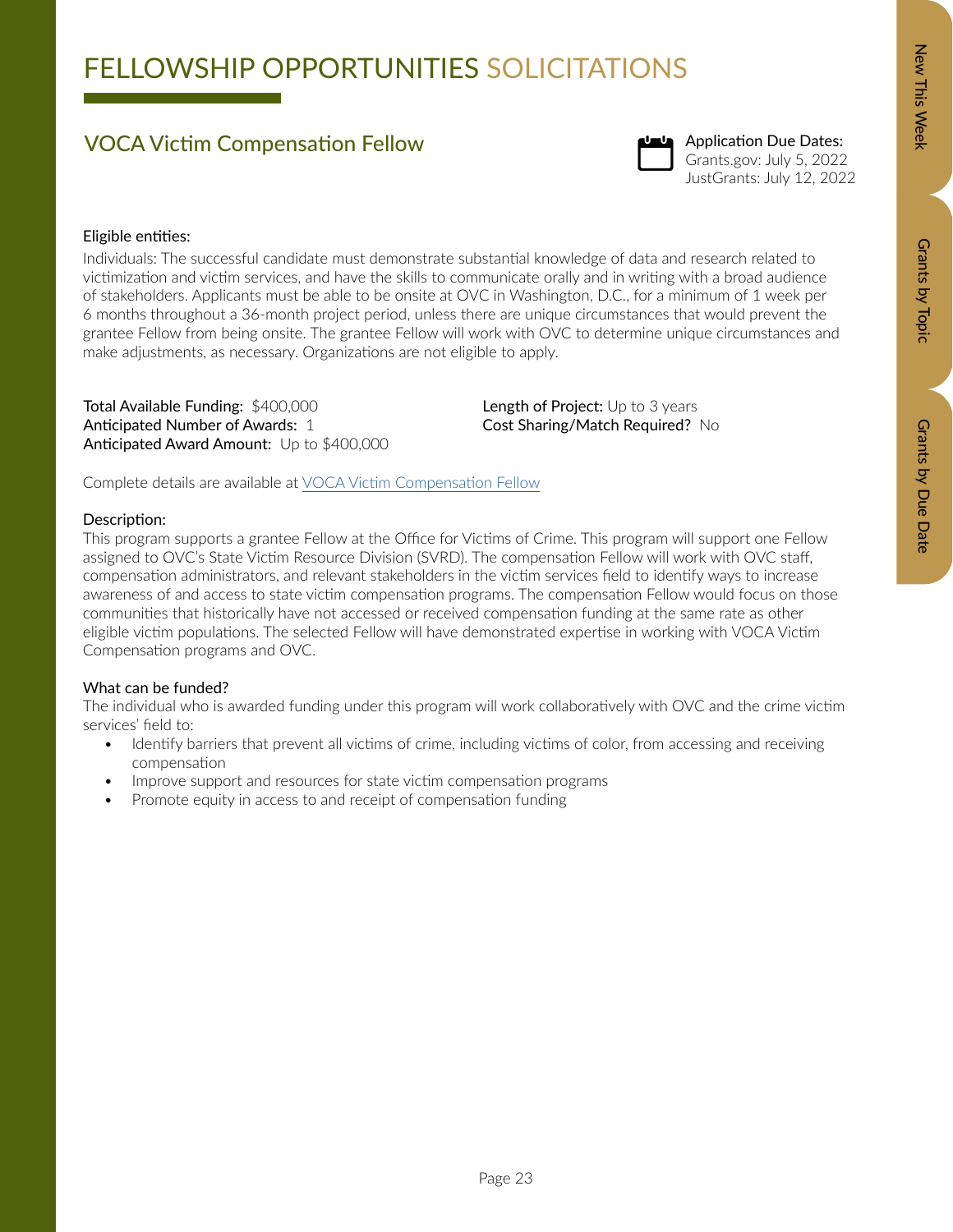## FELLOWSHIP OPPORTUNITIES SOLICITATIONS

### VOCA Victim Compensation Fellow



### Application Due Dates: Grants.gov: July 5, 2022 JustGrants: July 12, 2022

### Eligible entities:

Individuals: The successful candidate must demonstrate substantial knowledge of data and research related to victimization and victim services, and have the skills to communicate orally and in writing with a broad audience of stakeholders. Applicants must be able to be onsite at OVC in Washington, D.C., for a minimum of 1 week per 6 months throughout a 36-month project period, unless there are unique circumstances that would prevent the grantee Fellow from being onsite. The grantee Fellow will work with OVC to determine unique circumstances and make adjustments, as necessary. Organizations are not eligible to apply.

Total Available Funding: \$400,000 Anticipated Number of Awards: 1 Anticipated Award Amount: Up to \$400,000 Length of Project: Up to 3 years Cost Sharing/Match Required? No

Complete details are available at [VOCA Victim Compensation Fellow](https://ovc.ojp.gov/funding/opportunities/o-ovc-2022-171333)

### Description:

This program supports a grantee Fellow at the Office for Victims of Crime. This program will support one Fellow assigned to OVC's State Victim Resource Division (SVRD). The compensation Fellow will work with OVC staff, compensation administrators, and relevant stakeholders in the victim services field to identify ways to increase awareness of and access to state victim compensation programs. The compensation Fellow would focus on those communities that historically have not accessed or received compensation funding at the same rate as other eligible victim populations. The selected Fellow will have demonstrated expertise in working with VOCA Victim Compensation programs and OVC.

### What can be funded?

The individual who is awarded funding under this program will work collaboratively with OVC and the crime victim services' field to:

- Identify barriers that prevent all victims of crime, including victims of color, from accessing and receiving compensation
- Improve support and resources for state victim compensation programs
- Promote equity in access to and receipt of compensation funding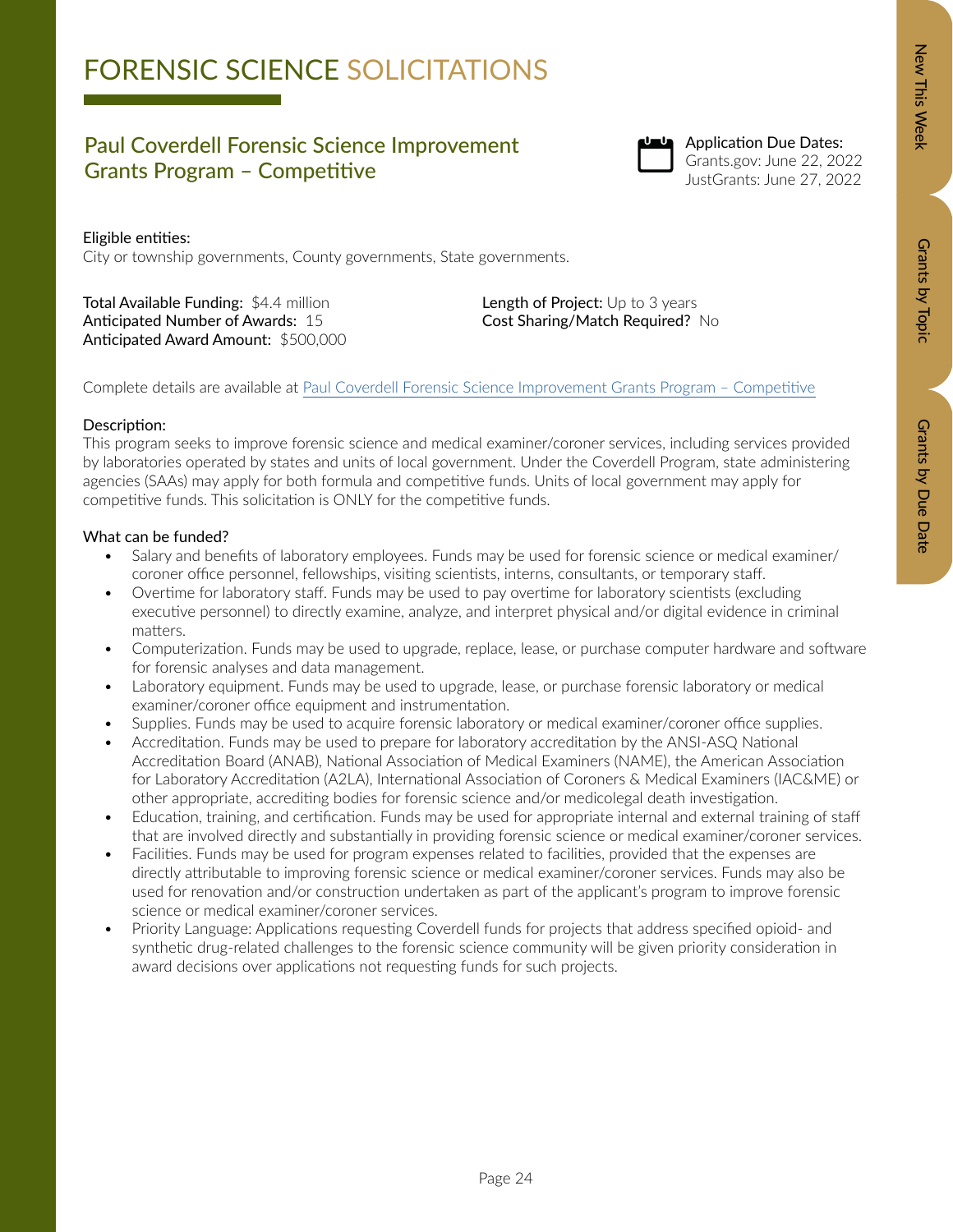# Zew This Week New Orants by Dopic Data Details by Due Data Grants by Due Date

# FORENSIC SCIENCE SOLICITATIONS

### Paul Coverdell Forensic Science Improvement Grants Program – Competitive



Application Due Dates: Grants.gov: June 22, 2022 JustGrants: June 27, 2022

### Eligible entities:

City or township governments, County governments, State governments.

Total Available Funding: \$4.4 million Anticipated Number of Awards: 15 Anticipated Award Amount: \$500,000 Length of Project: Up to 3 years Cost Sharing/Match Required? No

Complete details are available at [Paul Coverdell Forensic Science Improvement Grants Program – Competitive](https://bja.ojp.gov/funding/opportunities/o-bja-2022-171341)

### Description:

This program seeks to improve forensic science and medical examiner/coroner services, including services provided by laboratories operated by states and units of local government. Under the Coverdell Program, state administering agencies (SAAs) may apply for both formula and competitive funds. Units of local government may apply for competitive funds. This solicitation is ONLY for the competitive funds.

- Salary and benefits of laboratory employees. Funds may be used for forensic science or medical examiner/ coroner office personnel, fellowships, visiting scientists, interns, consultants, or temporary staff.
- Overtime for laboratory staff. Funds may be used to pay overtime for laboratory scientists (excluding executive personnel) to directly examine, analyze, and interpret physical and/or digital evidence in criminal matters.
- Computerization. Funds may be used to upgrade, replace, lease, or purchase computer hardware and software for forensic analyses and data management.
- Laboratory equipment. Funds may be used to upgrade, lease, or purchase forensic laboratory or medical examiner/coroner office equipment and instrumentation.
- Supplies. Funds may be used to acquire forensic laboratory or medical examiner/coroner office supplies.
- Accreditation. Funds may be used to prepare for laboratory accreditation by the ANSI-ASQ National Accreditation Board (ANAB), National Association of Medical Examiners (NAME), the American Association for Laboratory Accreditation (A2LA), International Association of Coroners & Medical Examiners (IAC&ME) or other appropriate, accrediting bodies for forensic science and/or medicolegal death investigation.
- Education, training, and certification. Funds may be used for appropriate internal and external training of staff that are involved directly and substantially in providing forensic science or medical examiner/coroner services.
- Facilities. Funds may be used for program expenses related to facilities, provided that the expenses are directly attributable to improving forensic science or medical examiner/coroner services. Funds may also be used for renovation and/or construction undertaken as part of the applicant's program to improve forensic science or medical examiner/coroner services.
- Priority Language: Applications requesting Coverdell funds for projects that address specified opioid- and synthetic drug-related challenges to the forensic science community will be given priority consideration in award decisions over applications not requesting funds for such projects.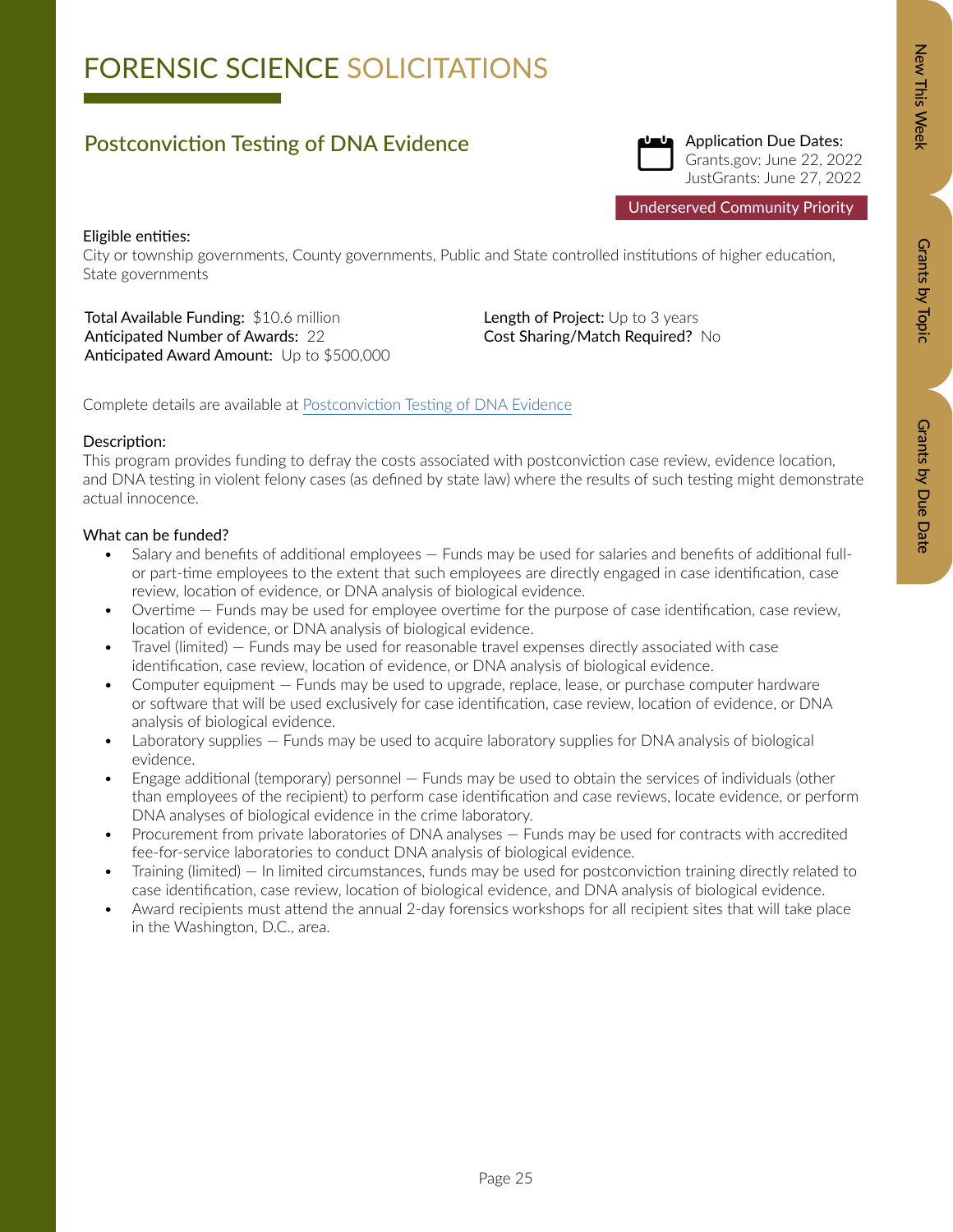# Zew This Week New Orants by Dopic Data Details by Due Data Grants by Due Date

# FORENSIC SCIENCE SOLICITATIONS

### Postconviction Testing of DNA Evidence



Application Due Dates: Grants.gov: June 22, 2022 JustGrants: June 27, 2022

Underserved Community Priority

### Eligible entities:

City or township governments, County governments, Public and State controlled institutions of higher education, State governments

Total Available Funding: \$10.6 million Anticipated Number of Awards: 22 Anticipated Award Amount: Up to \$500,000 Length of Project: Up to 3 years Cost Sharing/Match Required? No

Complete details are available at [Postconviction Testing of DNA Evidence](https://bja.ojp.gov/funding/opportunities/o-bja-2022-171340)

### Description:

This program provides funding to defray the costs associated with postconviction case review, evidence location, and DNA testing in violent felony cases (as defined by state law) where the results of such testing might demonstrate actual innocence.

- Salary and benefits of additional employees Funds may be used for salaries and benefits of additional fullor part-time employees to the extent that such employees are directly engaged in case identification, case review, location of evidence, or DNA analysis of biological evidence.
- Overtime Funds may be used for employee overtime for the purpose of case identification, case review, location of evidence, or DNA analysis of biological evidence.
- Travel (limited) Funds may be used for reasonable travel expenses directly associated with case identification, case review, location of evidence, or DNA analysis of biological evidence.
- Computer equipment Funds may be used to upgrade, replace, lease, or purchase computer hardware or software that will be used exclusively for case identification, case review, location of evidence, or DNA analysis of biological evidence.
- Laboratory supplies Funds may be used to acquire laboratory supplies for DNA analysis of biological evidence.
- Engage additional (temporary) personnel Funds may be used to obtain the services of individuals (other than employees of the recipient) to perform case identification and case reviews, locate evidence, or perform DNA analyses of biological evidence in the crime laboratory.
- Procurement from private laboratories of DNA analyses Funds may be used for contracts with accredited fee-for-service laboratories to conduct DNA analysis of biological evidence.
- Training (limited) In limited circumstances, funds may be used for postconviction training directly related to case identification, case review, location of biological evidence, and DNA analysis of biological evidence.
- Award recipients must attend the annual 2-day forensics workshops for all recipient sites that will take place in the Washington, D.C., area.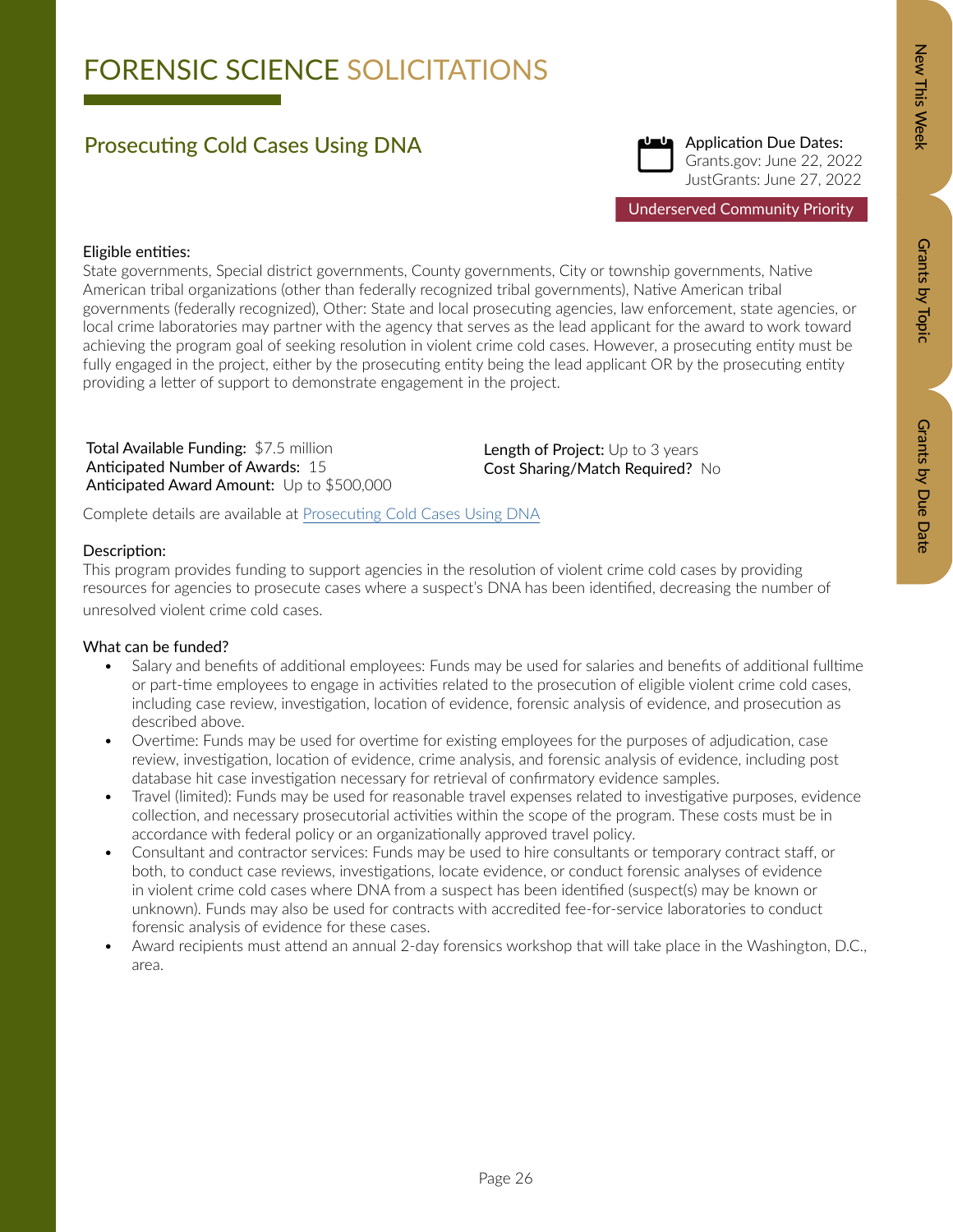# Zew This Week New Orants by Dopic Data Details by Due Data Grants by Due Date

### Prosecuting Cold Cases Using DNA



Application Due Dates: Grants.gov: June 22, 2022 JustGrants: June 27, 2022

Underserved Community Priority

### Eligible entities:

State governments, Special district governments, County governments, City or township governments, Native American tribal organizations (other than federally recognized tribal governments), Native American tribal governments (federally recognized), Other: State and local prosecuting agencies, law enforcement, state agencies, or local crime laboratories may partner with the agency that serves as the lead applicant for the award to work toward achieving the program goal of seeking resolution in violent crime cold cases. However, a prosecuting entity must be fully engaged in the project, either by the prosecuting entity being the lead applicant OR by the prosecuting entity providing a letter of support to demonstrate engagement in the project.

Total Available Funding: \$7.5 million Anticipated Number of Awards: 15 Anticipated Award Amount: Up to \$500,000 Length of Project: Up to 3 years Cost Sharing/Match Required? No

Complete details are available at [Prosecuting Cold Cases Using DNA](https://bja.ojp.gov/funding/opportunities/o-bja-2022-171337)

### Description:

This program provides funding to support agencies in the resolution of violent crime cold cases by providing resources for agencies to prosecute cases where a suspect's DNA has been identified, decreasing the number of unresolved violent crime cold cases.

- Salary and benefits of additional employees: Funds may be used for salaries and benefits of additional fulltime or part-time employees to engage in activities related to the prosecution of eligible violent crime cold cases, including case review, investigation, location of evidence, forensic analysis of evidence, and prosecution as described above.
- Overtime: Funds may be used for overtime for existing employees for the purposes of adjudication, case review, investigation, location of evidence, crime analysis, and forensic analysis of evidence, including post database hit case investigation necessary for retrieval of confirmatory evidence samples.
- Travel (limited): Funds may be used for reasonable travel expenses related to investigative purposes, evidence collection, and necessary prosecutorial activities within the scope of the program. These costs must be in accordance with federal policy or an organizationally approved travel policy.
- Consultant and contractor services: Funds may be used to hire consultants or temporary contract staff, or both, to conduct case reviews, investigations, locate evidence, or conduct forensic analyses of evidence in violent crime cold cases where DNA from a suspect has been identified (suspect(s) may be known or unknown). Funds may also be used for contracts with accredited fee-for-service laboratories to conduct forensic analysis of evidence for these cases.
- Award recipients must attend an annual 2-day forensics workshop that will take place in the Washington, D.C., area.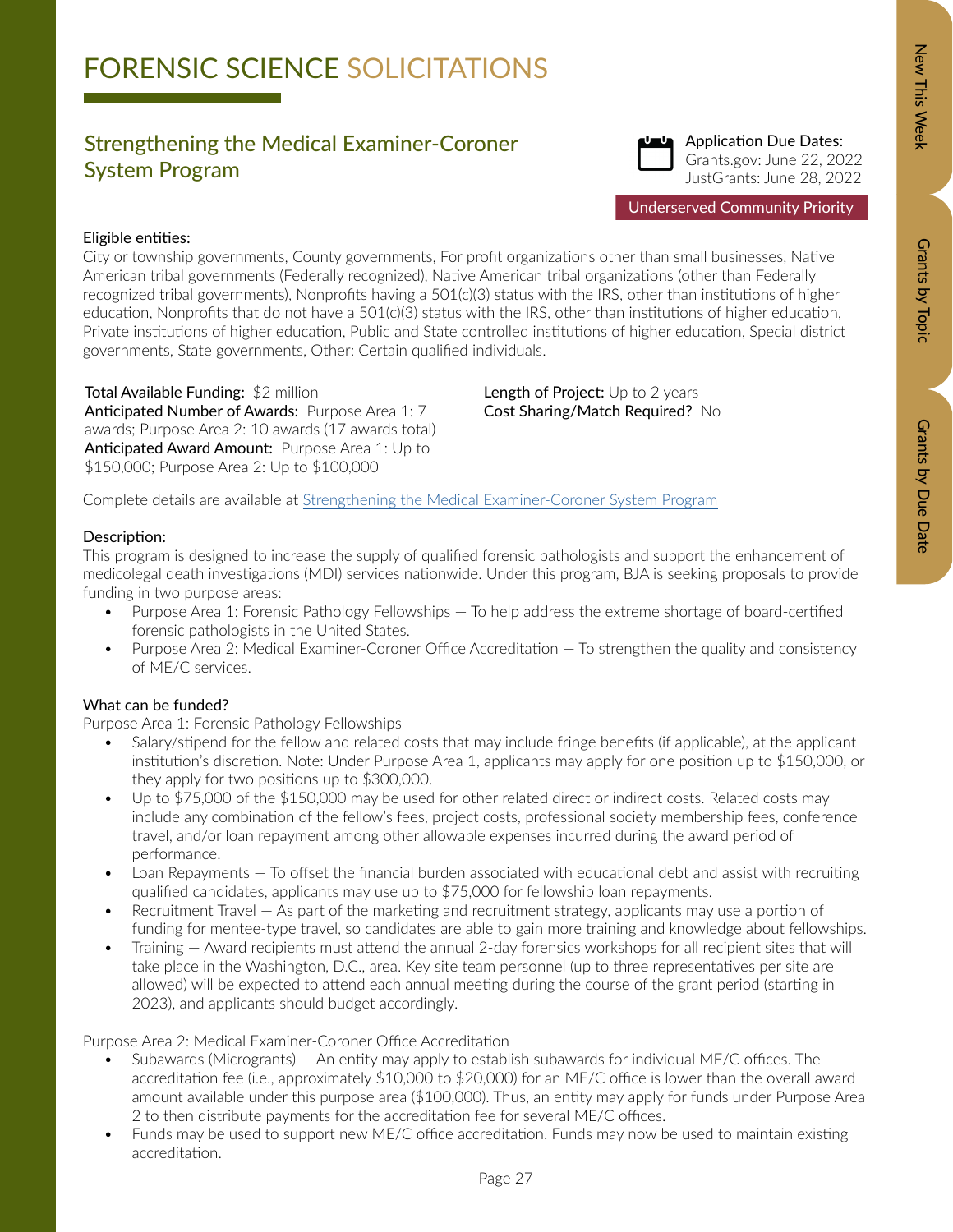# Zew This Week New Orants by Dopic Data Details by Due Data Grants by Due Date

# FORENSIC SCIENCE SOLICITATIONS

### Strengthening the Medical Examiner-Coroner System Program



Application Due Dates: Grants.gov: June 22, 2022 JustGrants: June 28, 2022

Underserved Community Priority

### Eligible entities:

City or township governments, County governments, For profit organizations other than small businesses, Native American tribal governments (Federally recognized), Native American tribal organizations (other than Federally recognized tribal governments), Nonprofits having a 501(c)(3) status with the IRS, other than institutions of higher education, Nonprofits that do not have a 501(c)(3) status with the IRS, other than institutions of higher education, Private institutions of higher education, Public and State controlled institutions of higher education, Special district governments, State governments, Other: Certain qualified individuals.

Total Available Funding: \$2 million Anticipated Number of Awards: Purpose Area 1: 7 awards; Purpose Area 2: 10 awards (17 awards total) Anticipated Award Amount: Purpose Area 1: Up to \$150,000; Purpose Area 2: Up to \$100,000

Length of Project: Up to 2 years Cost Sharing/Match Required? No

Complete details are available at [Strengthening the Medical Examiner-Coroner System Program](https://bja.ojp.gov/funding/opportunities/o-bja-2022-171339)

### Description:

This program is designed to increase the supply of qualified forensic pathologists and support the enhancement of medicolegal death investigations (MDI) services nationwide. Under this program, BJA is seeking proposals to provide funding in two purpose areas:

- Purpose Area 1: Forensic Pathology Fellowships To help address the extreme shortage of board-certified forensic pathologists in the United States.
- Purpose Area 2: Medical Examiner-Coroner Office Accreditation To strengthen the quality and consistency of ME/C services.

### What can be funded?

Purpose Area 1: Forensic Pathology Fellowships

- Salary/stipend for the fellow and related costs that may include fringe benefits (if applicable), at the applicant institution's discretion. Note: Under Purpose Area 1, applicants may apply for one position up to \$150,000, or they apply for two positions up to \$300,000.
- Up to \$75,000 of the \$150,000 may be used for other related direct or indirect costs. Related costs may include any combination of the fellow's fees, project costs, professional society membership fees, conference travel, and/or loan repayment among other allowable expenses incurred during the award period of performance.
- Loan Repayments To offset the financial burden associated with educational debt and assist with recruiting qualified candidates, applicants may use up to \$75,000 for fellowship loan repayments.
- Recruitment Travel As part of the marketing and recruitment strategy, applicants may use a portion of funding for mentee-type travel, so candidates are able to gain more training and knowledge about fellowships.
- Training Award recipients must attend the annual 2-day forensics workshops for all recipient sites that will take place in the Washington, D.C., area. Key site team personnel (up to three representatives per site are allowed) will be expected to attend each annual meeting during the course of the grant period (starting in 2023), and applicants should budget accordingly.

Purpose Area 2: Medical Examiner-Coroner Office Accreditation

- Subawards (Microgrants) An entity may apply to establish subawards for individual ME/C offices. The accreditation fee (i.e., approximately \$10,000 to \$20,000) for an ME/C office is lower than the overall award amount available under this purpose area (\$100,000). Thus, an entity may apply for funds under Purpose Area 2 to then distribute payments for the accreditation fee for several ME/C offices.
- Funds may be used to support new ME/C office accreditation. Funds may now be used to maintain existing accreditation.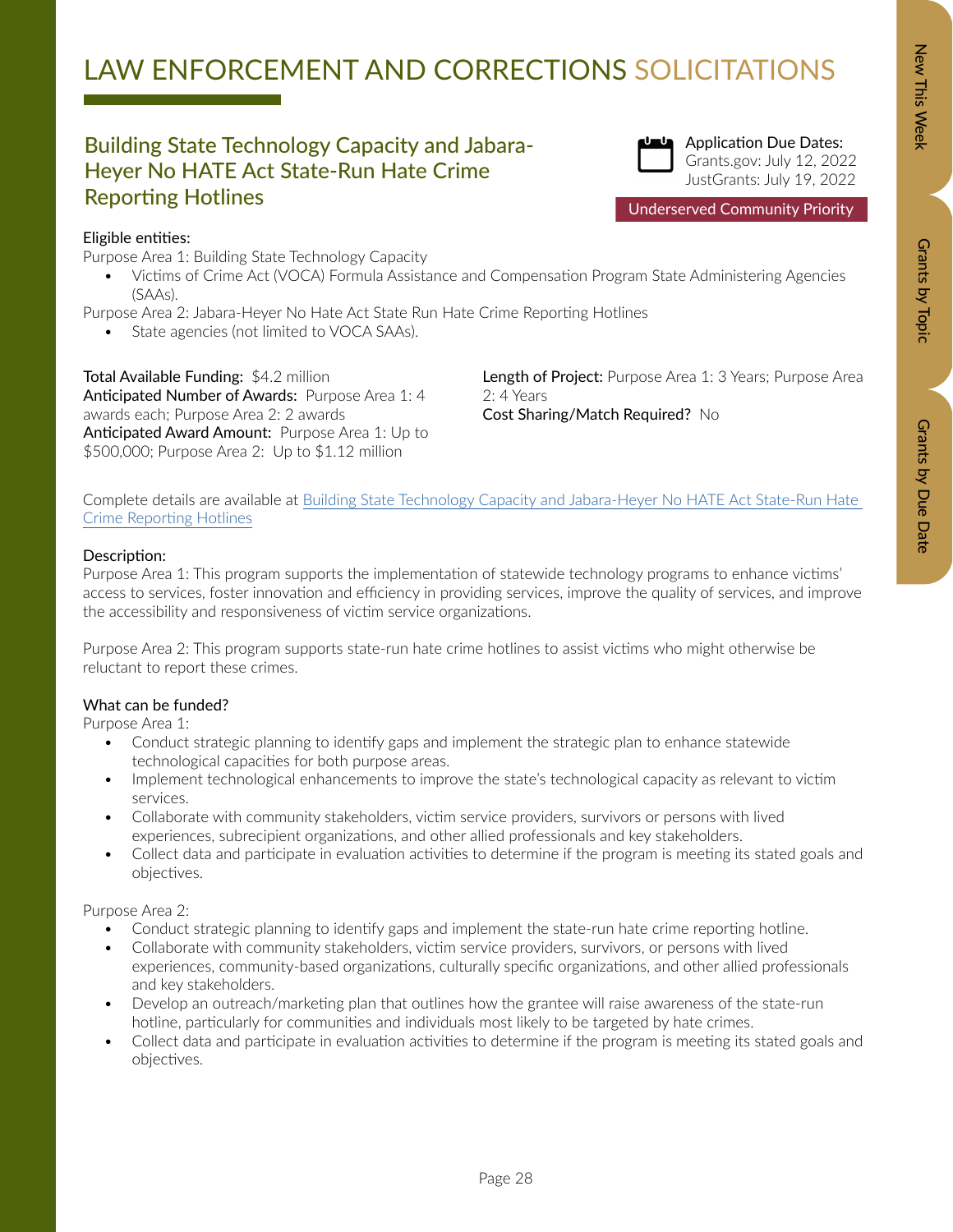### Building State Technology Capacity and Jabara-Heyer No HATE Act State-Run Hate Crime Reporting Hotlines



Application Due Dates: Grants.gov: July 12, 2022 JustGrants: July 19, 2022

Underserved Community Priority

New This Week

Eligible entities: Purpose Area 1: Building State Technology Capacity

• Victims of Crime Act (VOCA) Formula Assistance and Compensation Program State Administering Agencies (SAAs).

Purpose Area 2: Jabara-Heyer No Hate Act State Run Hate Crime Reporting Hotlines

State agencies (not limited to VOCA SAAs).

Total Available Funding: \$4.2 million Anticipated Number of Awards: Purpose Area 1: 4 awards each; Purpose Area 2: 2 awards Anticipated Award Amount: Purpose Area 1: Up to \$500,000; Purpose Area 2: Up to \$1.12 million

Length of Project: Purpose Area 1: 3 Years; Purpose Area 2: 4 Years Cost Sharing/Match Required? No

Complete details are available at [Building State Technology Capacity and Jabara-Heyer No HATE Act State-Run Hate](https://ovc.ojp.gov/funding/opportunities/o-ovc-2022-171342)  [Crime Reporting Hotlines](https://ovc.ojp.gov/funding/opportunities/o-ovc-2022-171342)

### Description:

Purpose Area 1: This program supports the implementation of statewide technology programs to enhance victims' access to services, foster innovation and efficiency in providing services, improve the quality of services, and improve the accessibility and responsiveness of victim service organizations.

Purpose Area 2: This program supports state-run hate crime hotlines to assist victims who might otherwise be reluctant to report these crimes.

### What can be funded?

Purpose Area 1:

- Conduct strategic planning to identify gaps and implement the strategic plan to enhance statewide technological capacities for both purpose areas.
- Implement technological enhancements to improve the state's technological capacity as relevant to victim services.
- Collaborate with community stakeholders, victim service providers, survivors or persons with lived experiences, subrecipient organizations, and other allied professionals and key stakeholders.
- Collect data and participate in evaluation activities to determine if the program is meeting its stated goals and objectives.

Purpose Area 2:

- Conduct strategic planning to identify gaps and implement the state-run hate crime reporting hotline.
- Collaborate with community stakeholders, victim service providers, survivors, or persons with lived experiences, community-based organizations, culturally specific organizations, and other allied professionals and key stakeholders.
- Develop an outreach/marketing plan that outlines how the grantee will raise awareness of the state-run hotline, particularly for communities and individuals most likely to be targeted by hate crimes.
- Collect data and participate in evaluation activities to determine if the program is meeting its stated goals and objectives.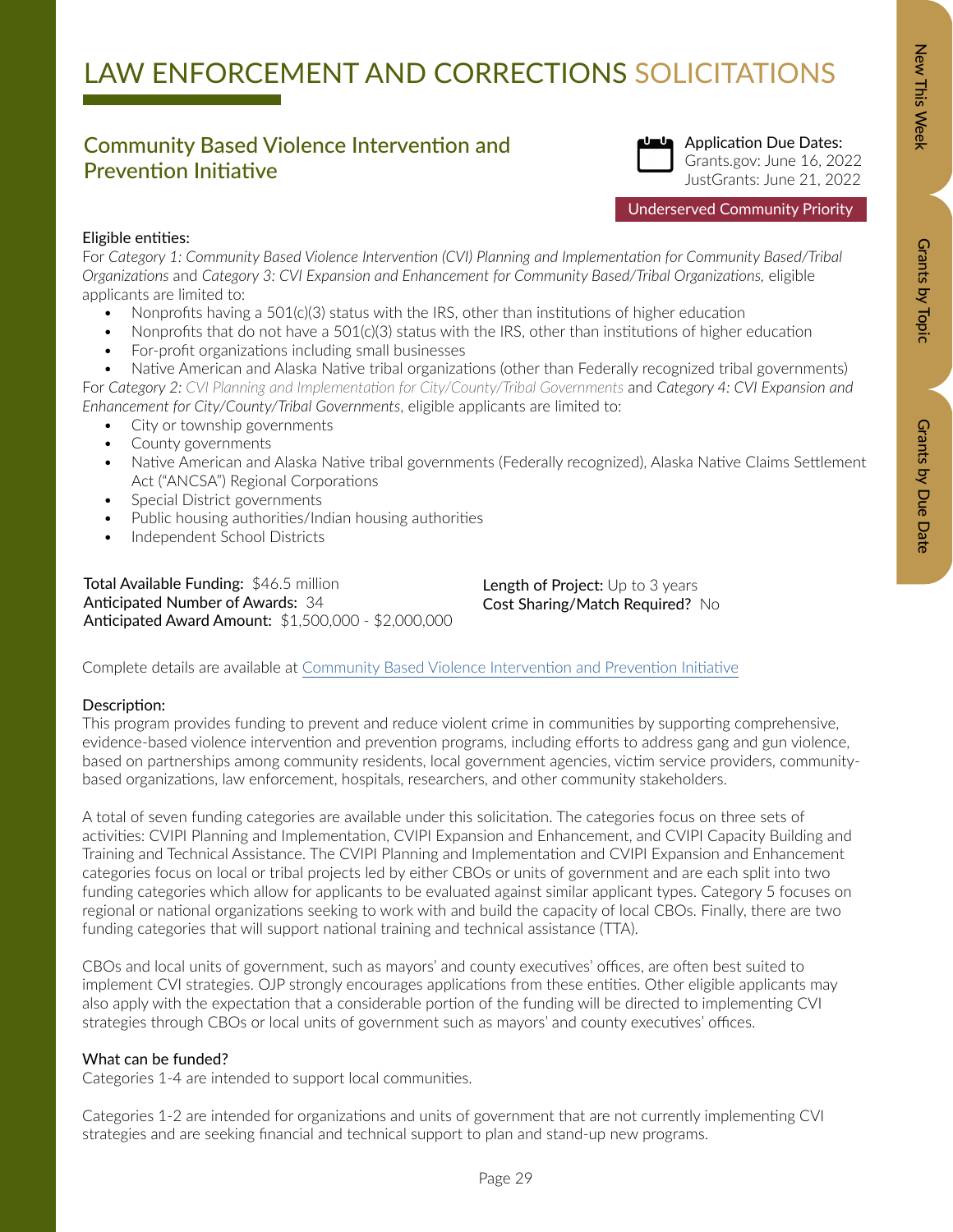### Community Based Violence Intervention and Prevention Initiative



Application Due Dates: Grants.gov: June 16, 2022 JustGrants: June 21, 2022

Underserved Community Priority

### Eligible entities:

For *Category 1: Community Based Violence Intervention (CVI) Planning and Implementation for Community Based/Tribal Organizations* and *Category 3: CVI Expansion and Enhancement for Community Based/Tribal Organizations,* eligible applicants are limited to:

- Nonprofits having a 501(c)(3) status with the IRS, other than institutions of higher education
- Nonprofits that do not have a 501(c)(3) status with the IRS, other than institutions of higher education
- For-profit organizations including small businesses
- Native American and Alaska Native tribal organizations (other than Federally recognized tribal governments) For *Category 2: CVI Planning and Implementation for City/County/Tribal Governments* and *Category 4: CVI Expansion and Enhancement for City/County/Tribal Governments*, eligible applicants are limited to:
	- City or township governments
	- County governments
	- Native American and Alaska Native tribal governments (Federally recognized), Alaska Native Claims Settlement Act ("ANCSA") Regional Corporations
	- Special District governments
	- Public housing authorities/Indian housing authorities
	- Independent School Districts

Total Available Funding: \$46.5 million Anticipated Number of Awards: 34 Anticipated Award Amount: \$1,500,000 - \$2,000,000

Length of Project: Up to 3 years Cost Sharing/Match Required? No

Complete details are available at [Community Based Violence Intervention and Prevention Initiative](https://bja.ojp.gov/funding/O-BJA-2022-171282.pdf)

### Description:

This program provides funding to prevent and reduce violent crime in communities by supporting comprehensive, evidence-based violence intervention and prevention programs, including efforts to address gang and gun violence, based on partnerships among community residents, local government agencies, victim service providers, communitybased organizations, law enforcement, hospitals, researchers, and other community stakeholders.

A total of seven funding categories are available under this solicitation. The categories focus on three sets of activities: CVIPI Planning and Implementation, CVIPI Expansion and Enhancement, and CVIPI Capacity Building and Training and Technical Assistance. The CVIPI Planning and Implementation and CVIPI Expansion and Enhancement categories focus on local or tribal projects led by either CBOs or units of government and are each split into two funding categories which allow for applicants to be evaluated against similar applicant types. Category 5 focuses on regional or national organizations seeking to work with and build the capacity of local CBOs. Finally, there are two funding categories that will support national training and technical assistance (TTA).

CBOs and local units of government, such as mayors' and county executives' offices, are often best suited to implement CVI strategies. OJP strongly encourages applications from these entities. Other eligible applicants may also apply with the expectation that a considerable portion of the funding will be directed to implementing CVI strategies through CBOs or local units of government such as mayors' and county executives' offices.

### What can be funded?

Categories 1-4 are intended to support local communities.

Categories 1-2 are intended for organizations and units of government that are not currently implementing CVI strategies and are seeking financial and technical support to plan and stand-up new programs.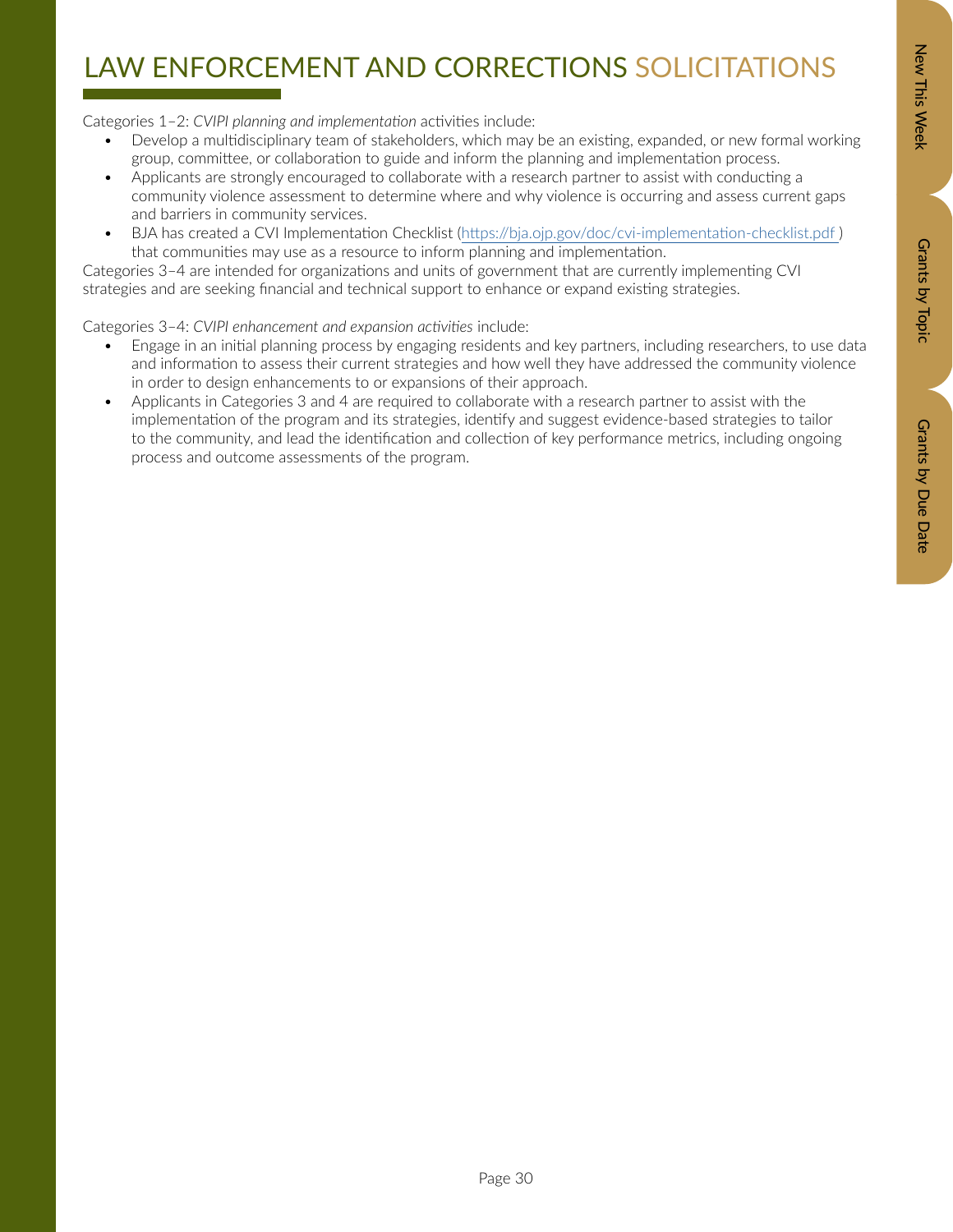# Zew This Week New Orants by Dopic Data Details by Due Data Grants by Due Date

# LAW ENFORCEMENT AND CORRECTIONS SOLICITATIONS

Categories 1–2: *CVIPI planning and implementation* activities include:

- Develop a multidisciplinary team of stakeholders, which may be an existing, expanded, or new formal working group, committee, or collaboration to guide and inform the planning and implementation process.
- Applicants are strongly encouraged to collaborate with a research partner to assist with conducting a community violence assessment to determine where and why violence is occurring and assess current gaps and barriers in community services.
- BJA has created a CVI Implementation Checklist (https://bja.ojp.gov/doc/cvi-implementation-checklist.pdf) that communities may use as a resource to inform planning and implementation.

Categories 3–4 are intended for organizations and units of government that are currently implementing CVI strategies and are seeking financial and technical support to enhance or expand existing strategies.

Categories 3–4: *CVIPI enhancement and expansion activities* include:

- Engage in an initial planning process by engaging residents and key partners, including researchers, to use data and information to assess their current strategies and how well they have addressed the community violence in order to design enhancements to or expansions of their approach.
- Applicants in Categories 3 and 4 are required to collaborate with a research partner to assist with the implementation of the program and its strategies, identify and suggest evidence-based strategies to tailor to the community, and lead the identification and collection of key performance metrics, including ongoing process and outcome assessments of the program.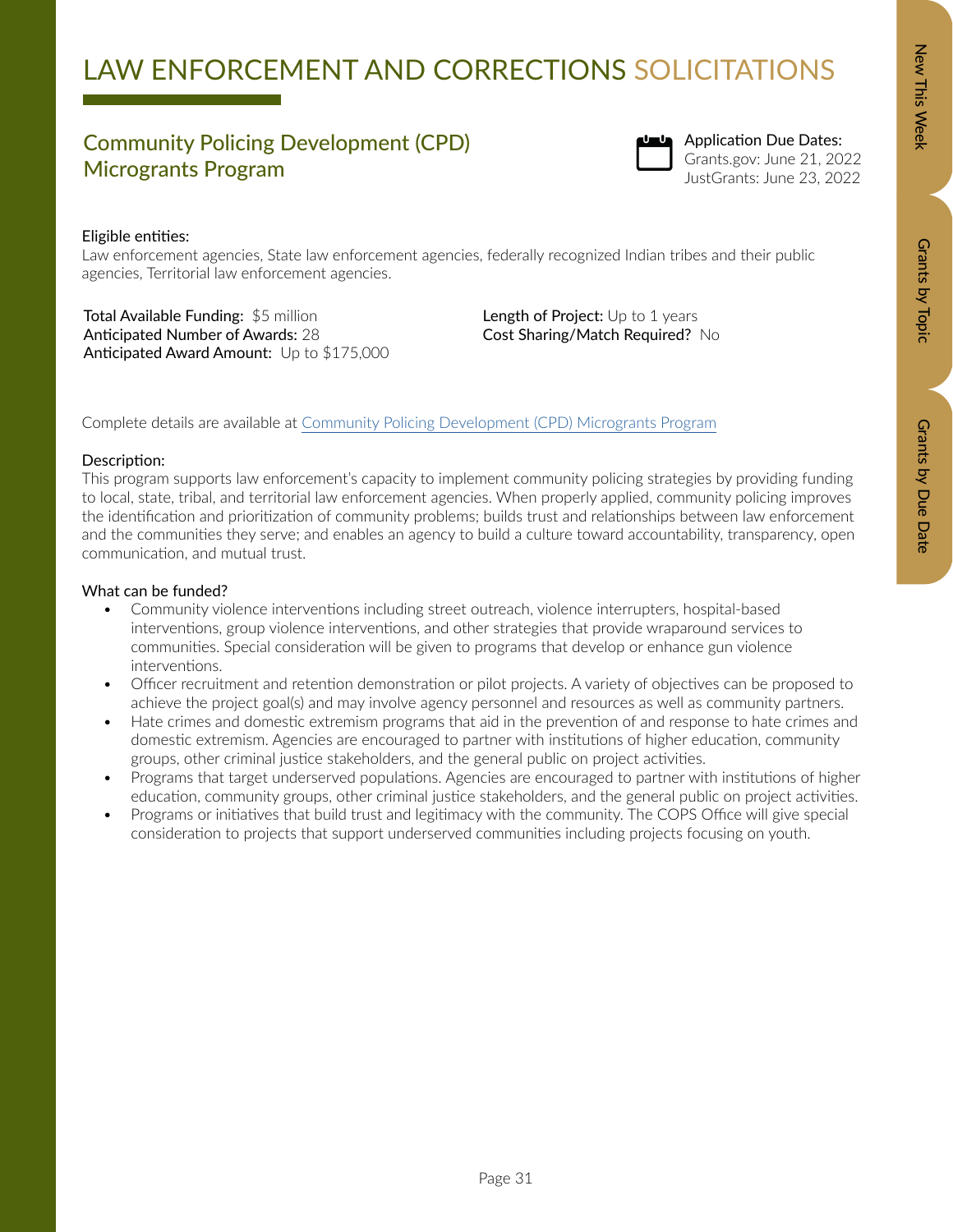Grants by Due Date

# LAW ENFORCEMENT AND CORRECTIONS SOLICITATIONS

### Community Policing Development (CPD) Microgrants Program



Application Due Dates: Grants.gov: June 21, 2022 JustGrants: June 23, 2022

### Eligible entities:

Law enforcement agencies, State law enforcement agencies, federally recognized Indian tribes and their public agencies, Territorial law enforcement agencies.

Total Available Funding: \$5 million Anticipated Number of Awards: 28 Anticipated Award Amount: Up to \$175,000 Length of Project: Up to 1 years Cost Sharing/Match Required? No

Complete details are available at [Community Policing Development \(CPD\) Microgrants Program](https://cops.usdoj.gov/cpdmicrogrants)

### Description:

This program supports law enforcement's capacity to implement community policing strategies by providing funding to local, state, tribal, and territorial law enforcement agencies. When properly applied, community policing improves the identification and prioritization of community problems; builds trust and relationships between law enforcement and the communities they serve; and enables an agency to build a culture toward accountability, transparency, open communication, and mutual trust.

- Community violence interventions including street outreach, violence interrupters, hospital-based interventions, group violence interventions, and other strategies that provide wraparound services to communities. Special consideration will be given to programs that develop or enhance gun violence interventions.
- Officer recruitment and retention demonstration or pilot projects. A variety of objectives can be proposed to achieve the project goal(s) and may involve agency personnel and resources as well as community partners.
- Hate crimes and domestic extremism programs that aid in the prevention of and response to hate crimes and domestic extremism. Agencies are encouraged to partner with institutions of higher education, community groups, other criminal justice stakeholders, and the general public on project activities.
- Programs that target underserved populations. Agencies are encouraged to partner with institutions of higher education, community groups, other criminal justice stakeholders, and the general public on project activities.
- Programs or initiatives that build trust and legitimacy with the community. The COPS Office will give special consideration to projects that support underserved communities including projects focusing on youth.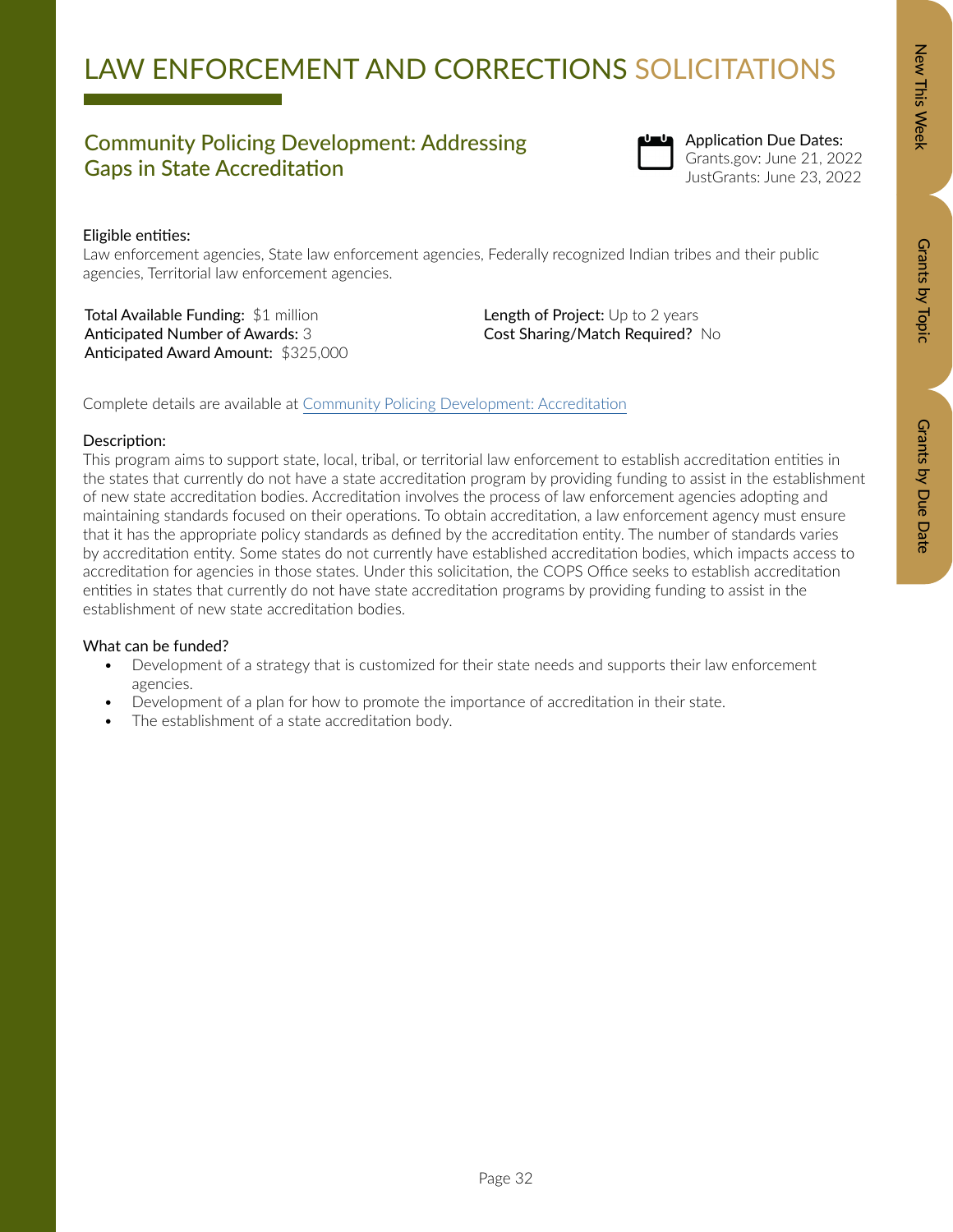Grants by Due Date

# LAW ENFORCEMENT AND CORRECTIONS SOLICITATIONS

### Community Policing Development: Addressing Gaps in State Accreditation



Application Due Dates: Grants.gov: June 21, 2022 JustGrants: June 23, 2022

### Eligible entities:

Law enforcement agencies, State law enforcement agencies, Federally recognized Indian tribes and their public agencies, Territorial law enforcement agencies.

Total Available Funding: \$1 million Anticipated Number of Awards: 3 Anticipated Award Amount: \$325,000 Length of Project: Up to 2 years Cost Sharing/Match Required? No

Complete details are available at [Community Policing Development: Accreditation](https://cops.usdoj.gov/accreditation)

### Description:

This program aims to support state, local, tribal, or territorial law enforcement to establish accreditation entities in the states that currently do not have a state accreditation program by providing funding to assist in the establishment of new state accreditation bodies. Accreditation involves the process of law enforcement agencies adopting and maintaining standards focused on their operations. To obtain accreditation, a law enforcement agency must ensure that it has the appropriate policy standards as defined by the accreditation entity. The number of standards varies by accreditation entity. Some states do not currently have established accreditation bodies, which impacts access to accreditation for agencies in those states. Under this solicitation, the COPS Office seeks to establish accreditation entities in states that currently do not have state accreditation programs by providing funding to assist in the establishment of new state accreditation bodies.

- Development of a strategy that is customized for their state needs and supports their law enforcement agencies.
- Development of a plan for how to promote the importance of accreditation in their state.
- The establishment of a state accreditation body.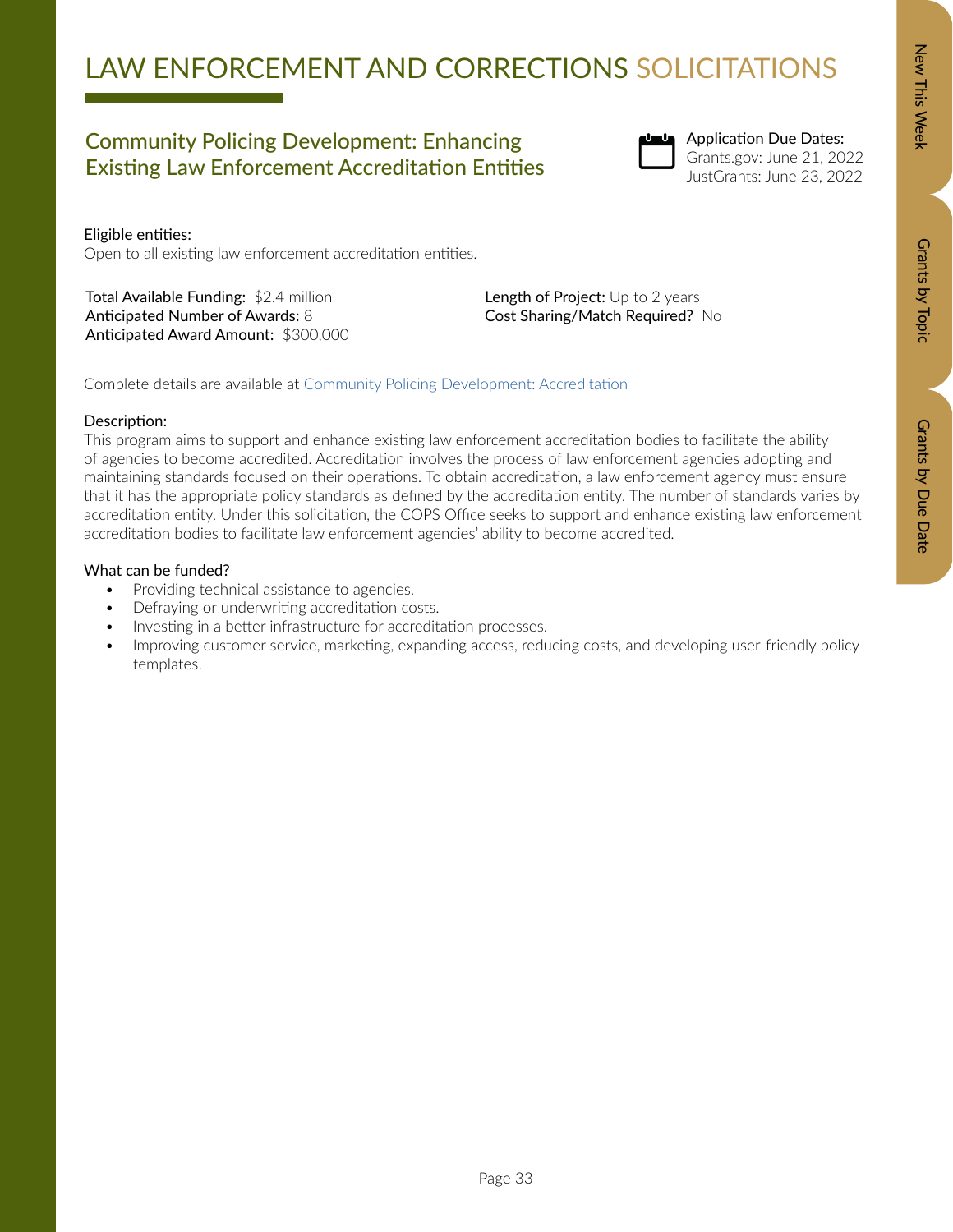### Community Policing Development: Enhancing Existing Law Enforcement Accreditation Entities



Application Due Dates: Grants.gov: June 21, 2022 JustGrants: June 23, 2022

Eligible entities: Open to all existing law enforcement accreditation entities.

Total Available Funding: \$2.4 million Anticipated Number of Awards: 8 Anticipated Award Amount: \$300,000 Length of Project: Up to 2 years Cost Sharing/Match Required? No

Complete details are available at [Community Policing Development: Accreditation](https://cops.usdoj.gov/accreditation)

### Description:

This program aims to support and enhance existing law enforcement accreditation bodies to facilitate the ability of agencies to become accredited. Accreditation involves the process of law enforcement agencies adopting and maintaining standards focused on their operations. To obtain accreditation, a law enforcement agency must ensure that it has the appropriate policy standards as defined by the accreditation entity. The number of standards varies by accreditation entity. Under this solicitation, the COPS Office seeks to support and enhance existing law enforcement accreditation bodies to facilitate law enforcement agencies' ability to become accredited.

- Providing technical assistance to agencies.
- Defraying or underwriting accreditation costs.
- Investing in a better infrastructure for accreditation processes.
- Improving customer service, marketing, expanding access, reducing costs, and developing user-friendly policy templates.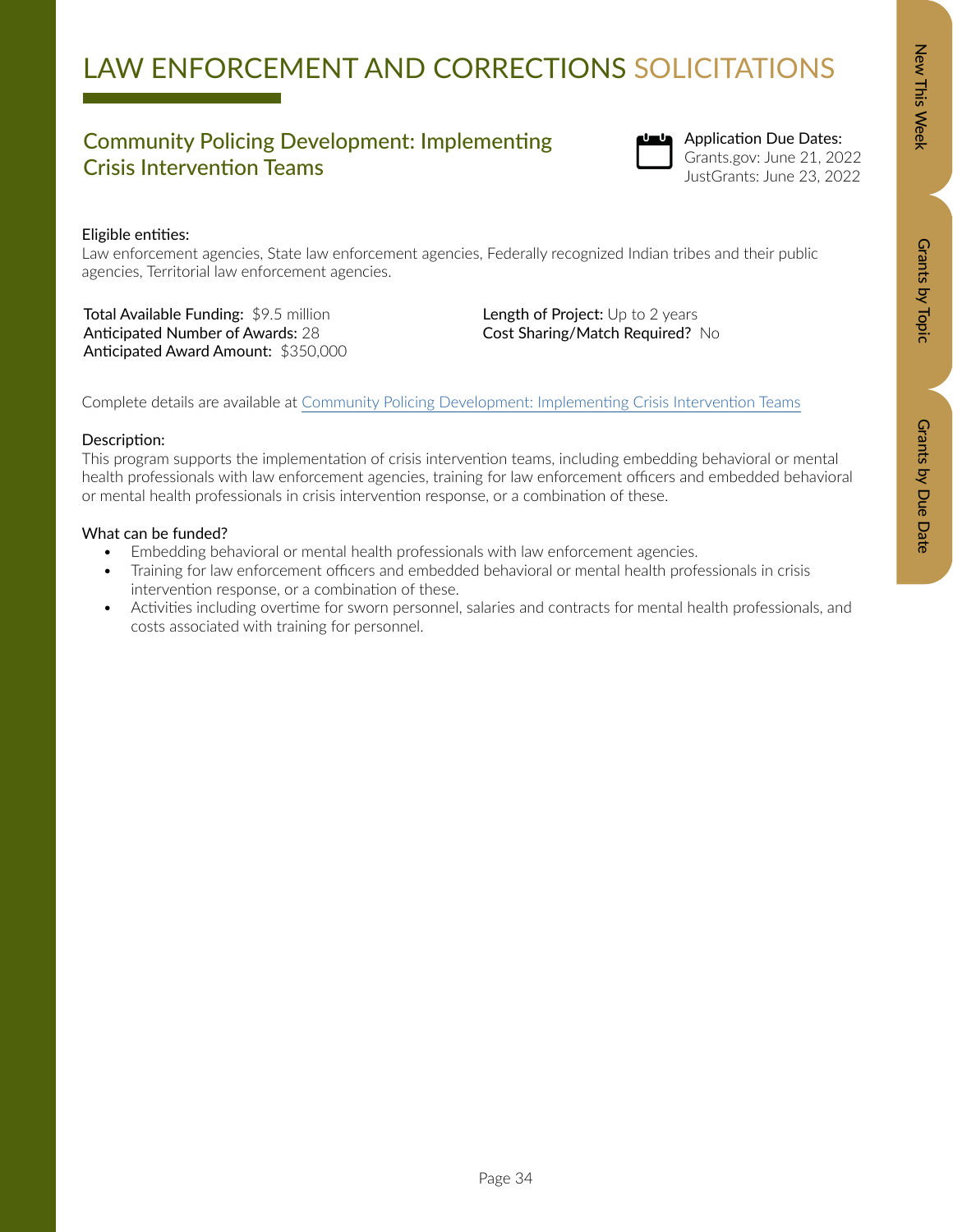# LAW ENFORCEMENT AND CORRECTIONS SOLICITATIONS

### Community Policing Development: Implementing Crisis Intervention Teams



Application Due Dates: Grants.gov: June 21, 2022 JustGrants: June 23, 2022

### Eligible entities:

Law enforcement agencies, State law enforcement agencies, Federally recognized Indian tribes and their public agencies, Territorial law enforcement agencies.

Total Available Funding: \$9.5 million Anticipated Number of Awards: 28 Anticipated Award Amount: \$350,000 Length of Project: Up to 2 years Cost Sharing/Match Required? No

Complete details are available at [Community Policing Development: Implementing Crisis Intervention Teams](https://cops.usdoj.gov/cit)

### Description:

This program supports the implementation of crisis intervention teams, including embedding behavioral or mental health professionals with law enforcement agencies, training for law enforcement officers and embedded behavioral or mental health professionals in crisis intervention response, or a combination of these.

- Embedding behavioral or mental health professionals with law enforcement agencies.
- Training for law enforcement officers and embedded behavioral or mental health professionals in crisis intervention response, or a combination of these.
- Activities including overtime for sworn personnel, salaries and contracts for mental health professionals, and costs associated with training for personnel.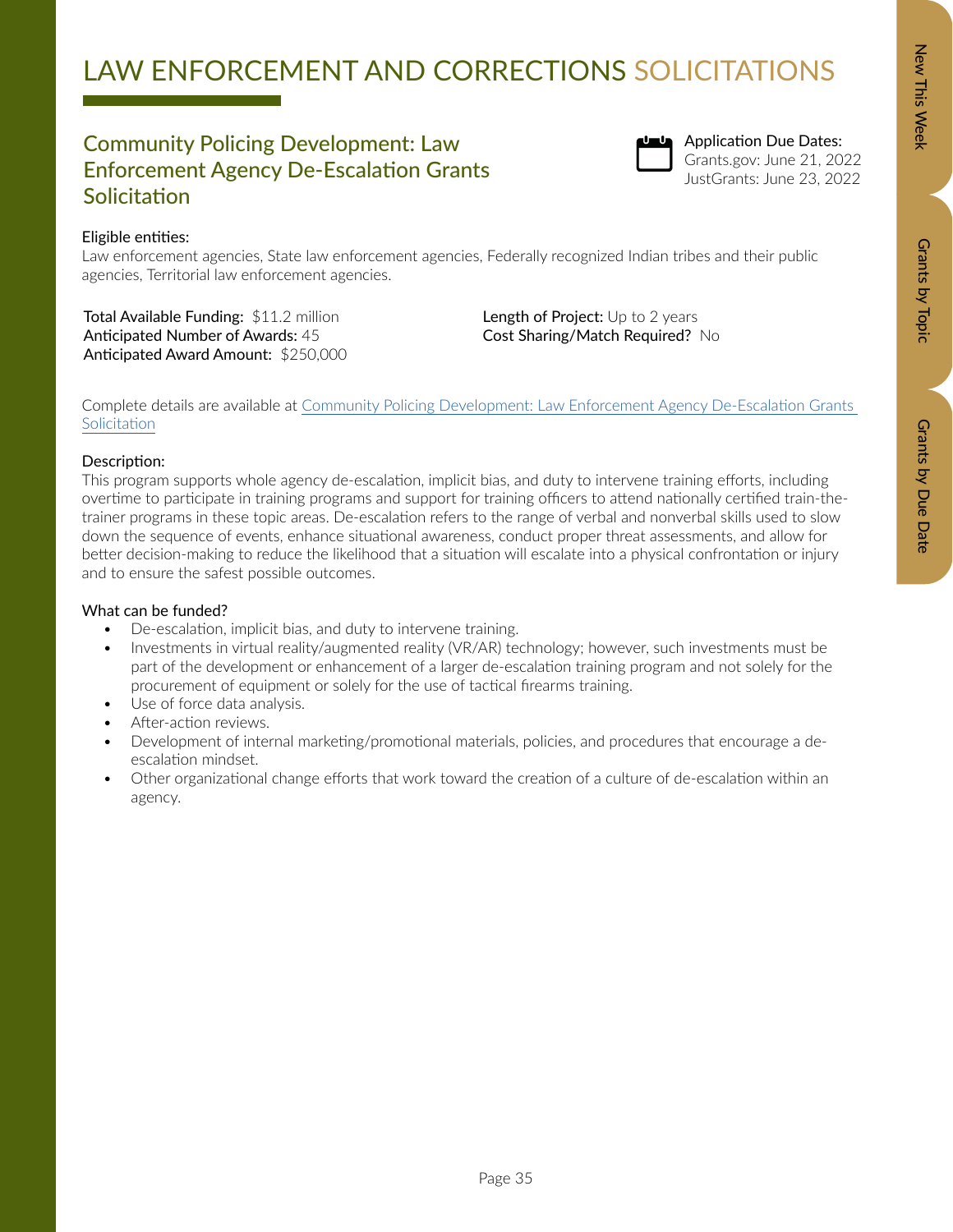### Community Policing Development: Law Enforcement Agency De-Escalation Grants **Solicitation**



Law enforcement agencies, State law enforcement agencies, Federally recognized Indian tribes and their public agencies, Territorial law enforcement agencies.

Total Available Funding: \$11.2 million Anticipated Number of Awards: 45 Anticipated Award Amount: \$250,000 Length of Project: Up to 2 years Cost Sharing/Match Required? No

Complete details are available at [Community Policing Development: Law Enforcement Agency De-Escalation Grants](https://cops.usdoj.gov/de-escalation)  **[Solicitation](https://cops.usdoj.gov/de-escalation)** 

### Description:

This program supports whole agency de-escalation, implicit bias, and duty to intervene training efforts, including overtime to participate in training programs and support for training officers to attend nationally certified train-thetrainer programs in these topic areas. De-escalation refers to the range of verbal and nonverbal skills used to slow down the sequence of events, enhance situational awareness, conduct proper threat assessments, and allow for better decision-making to reduce the likelihood that a situation will escalate into a physical confrontation or injury and to ensure the safest possible outcomes.

### What can be funded?

- De-escalation, implicit bias, and duty to intervene training.
- Investments in virtual reality/augmented reality (VR/AR) technology; however, such investments must be part of the development or enhancement of a larger de-escalation training program and not solely for the procurement of equipment or solely for the use of tactical firearms training.
- Use of force data analysis.
- After-action reviews.
- Development of internal marketing/promotional materials, policies, and procedures that encourage a deescalation mindset.
- Other organizational change efforts that work toward the creation of a culture of de-escalation within an agency.

Application Due Dates: Grants.gov: June 21, 2022 JustGrants: June 23, 2022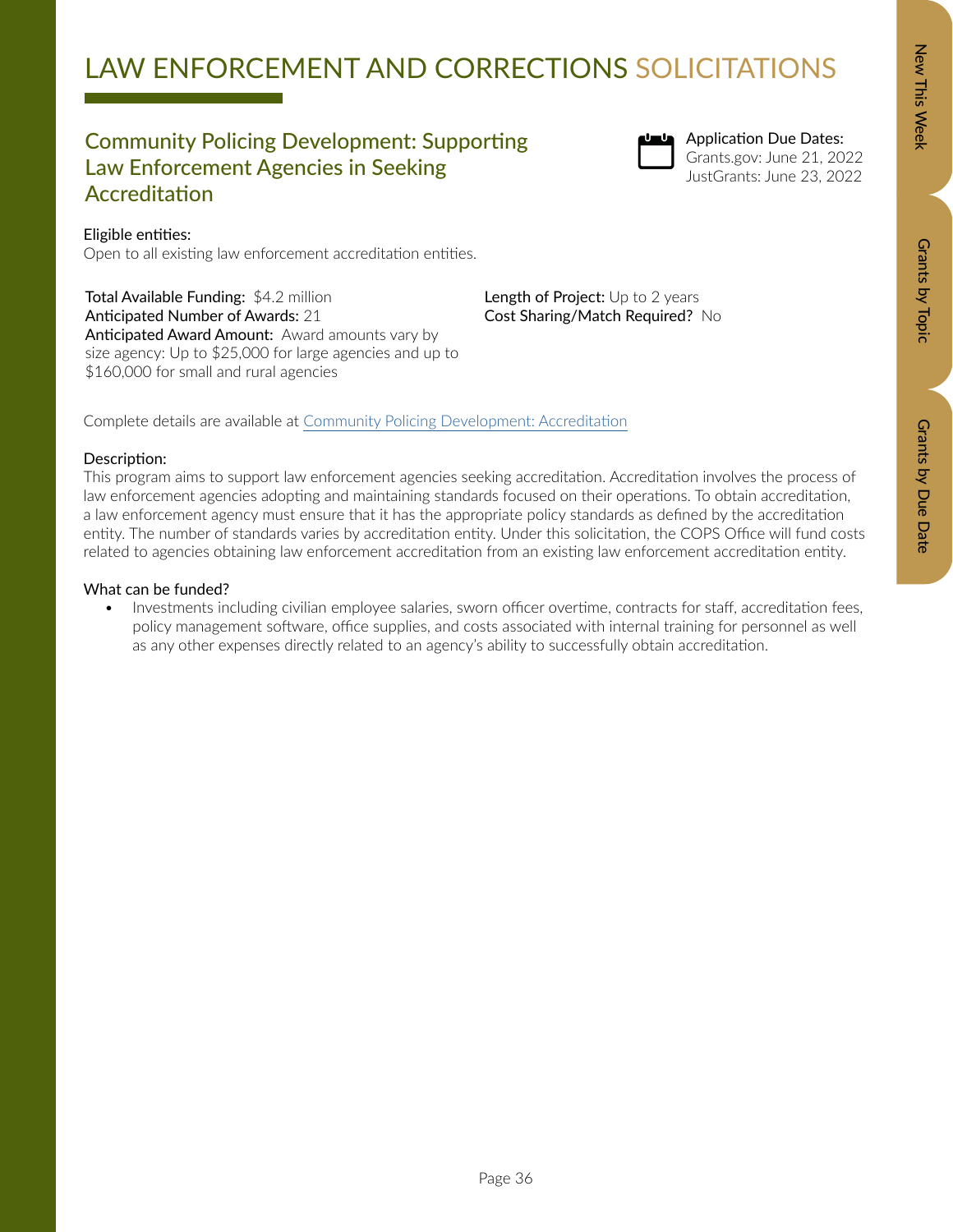### Community Policing Development: Supporting Law Enforcement Agencies in Seeking Accreditation

Open to all existing law enforcement accreditation entities.

Anticipated Award Amount: Award amounts vary by size agency: Up to \$25,000 for large agencies and up to

Total Available Funding: \$4.2 million Anticipated Number of Awards: 21

\$160,000 for small and rural agencies



Length of Project: Up to 2 years Cost Sharing/Match Required? No

Application Due Dates: Grants.gov: June 21, 2022 JustGrants: June 23, 2022

# Grants by Topic Grants by Topic

Complete details are available at [Community Policing Development: Accreditation](https://cops.usdoj.gov/accreditation)

### Description:

Eligible entities:

This program aims to support law enforcement agencies seeking accreditation. Accreditation involves the process of law enforcement agencies adopting and maintaining standards focused on their operations. To obtain accreditation, a law enforcement agency must ensure that it has the appropriate policy standards as defined by the accreditation entity. The number of standards varies by accreditation entity. Under this solicitation, the COPS Office will fund costs related to agencies obtaining law enforcement accreditation from an existing law enforcement accreditation entity.

### What can be funded?

• Investments including civilian employee salaries, sworn officer overtime, contracts for staff, accreditation fees, policy management software, office supplies, and costs associated with internal training for personnel as well as any other expenses directly related to an agency's ability to successfully obtain accreditation.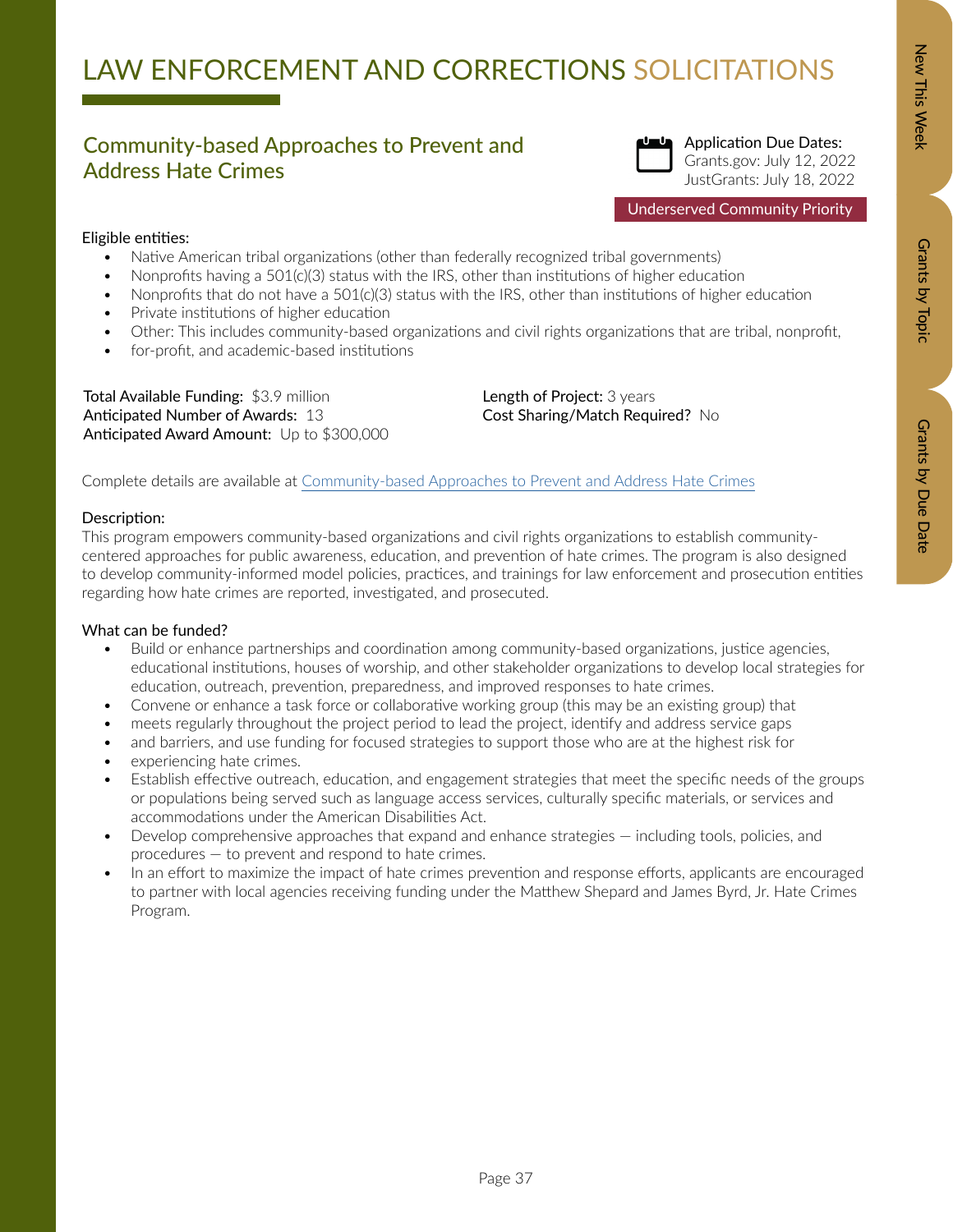### Community-based Approaches to Prevent and Address Hate Crimes



Grants.gov: July 12, 2022 JustGrants: July 18, 2022

Underserved Community Priority

### Eligible entities:

- Native American tribal organizations (other than federally recognized tribal governments)
- Nonprofits having a 501(c)(3) status with the IRS, other than institutions of higher education
- Nonprofits that do not have a 501(c)(3) status with the IRS, other than institutions of higher education
- Private institutions of higher education
- Other: This includes community-based organizations and civil rights organizations that are tribal, nonprofit,
- for-profit, and academic-based institutions

Total Available Funding: \$3.9 million Anticipated Number of Awards: 13 Anticipated Award Amount: Up to \$300,000 Length of Project: 3 years Cost Sharing/Match Required? No

Complete details are available at [Community-based Approaches to Prevent and Address Hate Crimes](https://bja.ojp.gov/funding/opportunities/o-bja-2022-171345)

### Description:

This program empowers community-based organizations and civil rights organizations to establish communitycentered approaches for public awareness, education, and prevention of hate crimes. The program is also designed to develop community-informed model policies, practices, and trainings for law enforcement and prosecution entities regarding how hate crimes are reported, investigated, and prosecuted.

- Build or enhance partnerships and coordination among community-based organizations, justice agencies, educational institutions, houses of worship, and other stakeholder organizations to develop local strategies for education, outreach, prevention, preparedness, and improved responses to hate crimes.
- Convene or enhance a task force or collaborative working group (this may be an existing group) that
- meets regularly throughout the project period to lead the project, identify and address service gaps
- and barriers, and use funding for focused strategies to support those who are at the highest risk for
- experiencing hate crimes.
- Establish effective outreach, education, and engagement strategies that meet the specific needs of the groups or populations being served such as language access services, culturally specific materials, or services and accommodations under the American Disabilities Act.
- Develop comprehensive approaches that expand and enhance strategies including tools, policies, and procedures — to prevent and respond to hate crimes.
- In an effort to maximize the impact of hate crimes prevention and response efforts, applicants are encouraged to partner with local agencies receiving funding under the Matthew Shepard and James Byrd, Jr. Hate Crimes Program.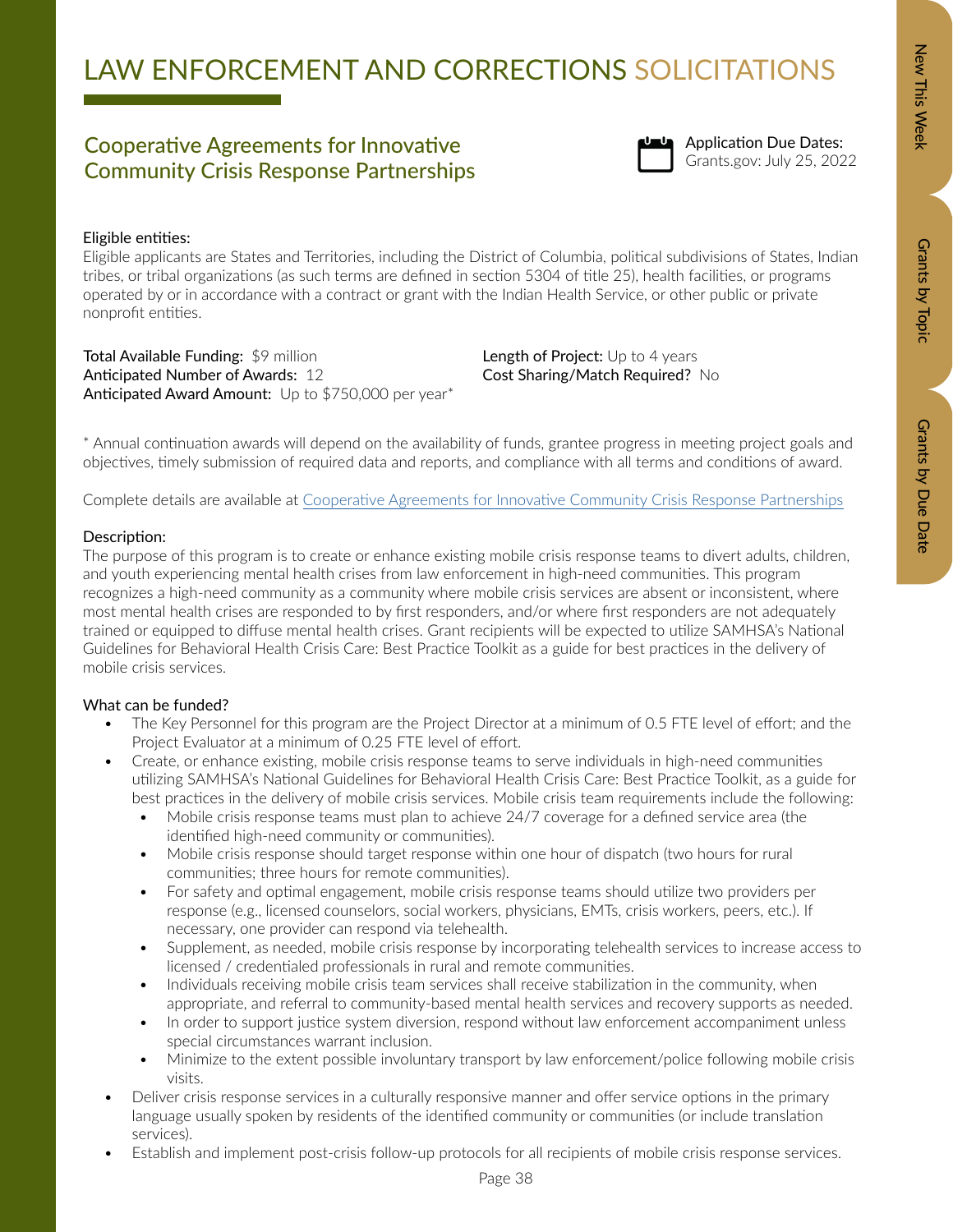Grants by Due Date

# LAW ENFORCEMENT AND CORRECTIONS SOLICITATIONS

### Cooperative Agreements for Innovative<br>
Community Crisis Reenance Reptanguling<br>
Community Crisis Reenance Reptanguling Community Crisis Response Partnerships



Application Due Dates:

### Eligible entities:

Eligible applicants are States and Territories, including the District of Columbia, political subdivisions of States, Indian tribes, or tribal organizations (as such terms are defined in section 5304 of title 25), health facilities, or programs operated by or in accordance with a contract or grant with the Indian Health Service, or other public or private nonprofit entities.

Total Available Funding: \$9 million Anticipated Number of Awards: 12 Anticipated Award Amount: Up to \$750,000 per year\* Length of Project: Up to 4 years Cost Sharing/Match Required? No

\* Annual continuation awards will depend on the availability of funds, grantee progress in meeting project goals and objectives, timely submission of required data and reports, and compliance with all terms and conditions of award.

Complete details are available at [Cooperative Agreements for Innovative Community Crisis Response Partnerships](https://www.samhsa.gov/grants/grant-announcements/sm-22-016)

### Description:

The purpose of this program is to create or enhance existing mobile crisis response teams to divert adults, children, and youth experiencing mental health crises from law enforcement in high-need communities. This program recognizes a high-need community as a community where mobile crisis services are absent or inconsistent, where most mental health crises are responded to by first responders, and/or where first responders are not adequately trained or equipped to diffuse mental health crises. Grant recipients will be expected to utilize SAMHSA's National Guidelines for Behavioral Health Crisis Care: Best Practice Toolkit as a guide for best practices in the delivery of mobile crisis services.

- The Key Personnel for this program are the Project Director at a minimum of 0.5 FTE level of effort; and the Project Evaluator at a minimum of 0.25 FTE level of effort.
- Create, or enhance existing, mobile crisis response teams to serve individuals in high-need communities utilizing SAMHSA's National Guidelines for Behavioral Health Crisis Care: Best Practice Toolkit, as a guide for best practices in the delivery of mobile crisis services. Mobile crisis team requirements include the following:
	- Mobile crisis response teams must plan to achieve 24/7 coverage for a defined service area (the identified high-need community or communities).
	- Mobile crisis response should target response within one hour of dispatch (two hours for rural communities; three hours for remote communities).
	- For safety and optimal engagement, mobile crisis response teams should utilize two providers per response (e.g., licensed counselors, social workers, physicians, EMTs, crisis workers, peers, etc.). If necessary, one provider can respond via telehealth.
	- Supplement, as needed, mobile crisis response by incorporating telehealth services to increase access to licensed / credentialed professionals in rural and remote communities.
	- Individuals receiving mobile crisis team services shall receive stabilization in the community, when appropriate, and referral to community-based mental health services and recovery supports as needed.
	- In order to support justice system diversion, respond without law enforcement accompaniment unless special circumstances warrant inclusion.
	- Minimize to the extent possible involuntary transport by law enforcement/police following mobile crisis visits.
- Deliver crisis response services in a culturally responsive manner and offer service options in the primary language usually spoken by residents of the identified community or communities (or include translation services).
- Establish and implement post-crisis follow-up protocols for all recipients of mobile crisis response services.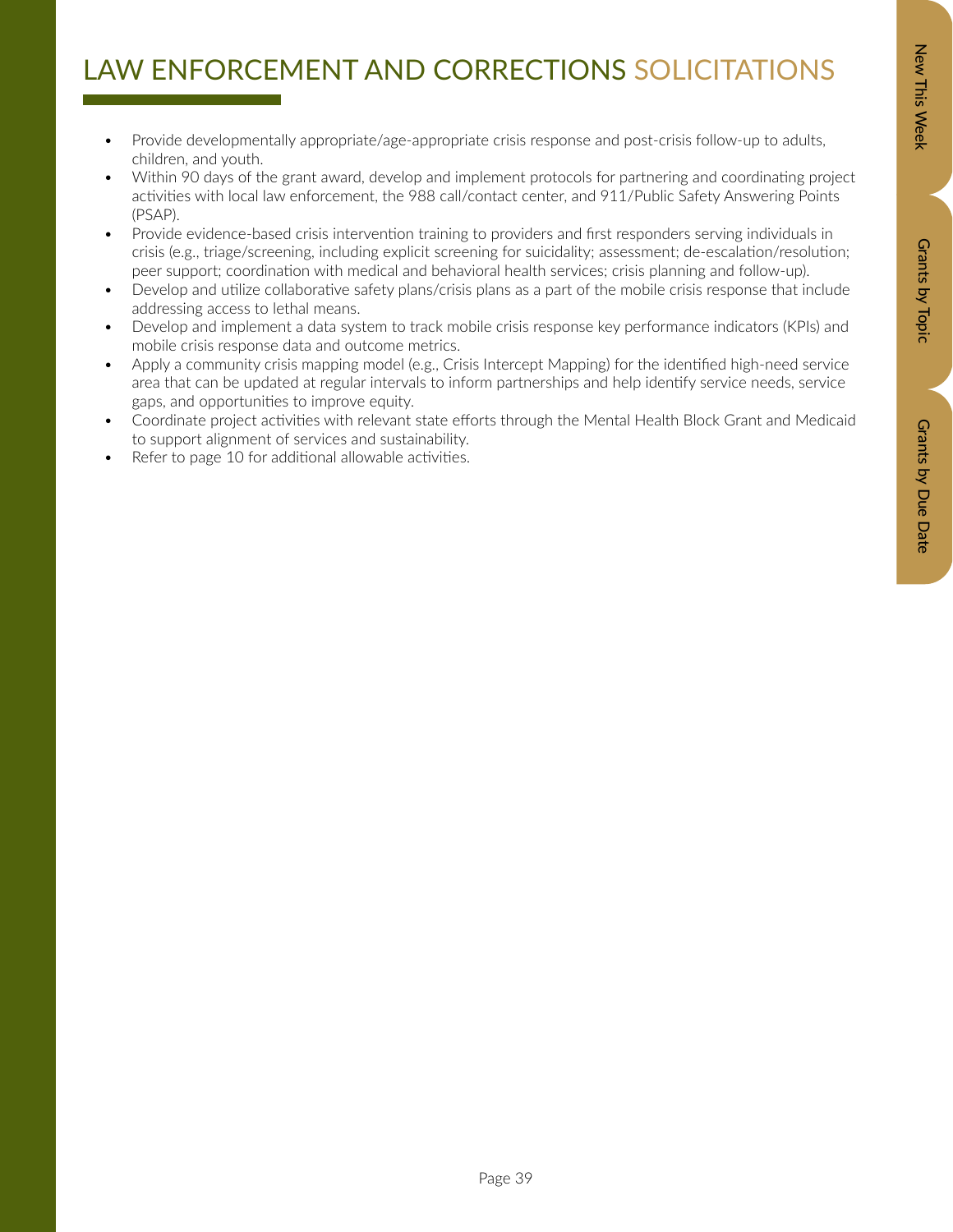# Zew This Week New Orants by Dopic Data Details by Due Data Grants by Due Date

## LAW ENFORCEMENT AND CORRECTIONS SOLICITATIONS

- Provide developmentally appropriate/age-appropriate crisis response and post-crisis follow-up to adults, children, and youth.
- Within 90 days of the grant award, develop and implement protocols for partnering and coordinating project activities with local law enforcement, the 988 call/contact center, and 911/Public Safety Answering Points (PSAP).
- Provide evidence-based crisis intervention training to providers and first responders serving individuals in crisis (e.g., triage/screening, including explicit screening for suicidality; assessment; de-escalation/resolution; peer support; coordination with medical and behavioral health services; crisis planning and follow-up).
- Develop and utilize collaborative safety plans/crisis plans as a part of the mobile crisis response that include addressing access to lethal means.
- Develop and implement a data system to track mobile crisis response key performance indicators (KPIs) and mobile crisis response data and outcome metrics.
- Apply a community crisis mapping model (e.g., Crisis Intercept Mapping) for the identified high-need service area that can be updated at regular intervals to inform partnerships and help identify service needs, service gaps, and opportunities to improve equity.
- Coordinate project activities with relevant state efforts through the Mental Health Block Grant and Medicaid to support alignment of services and sustainability.
- Refer to page 10 for additional allowable activities.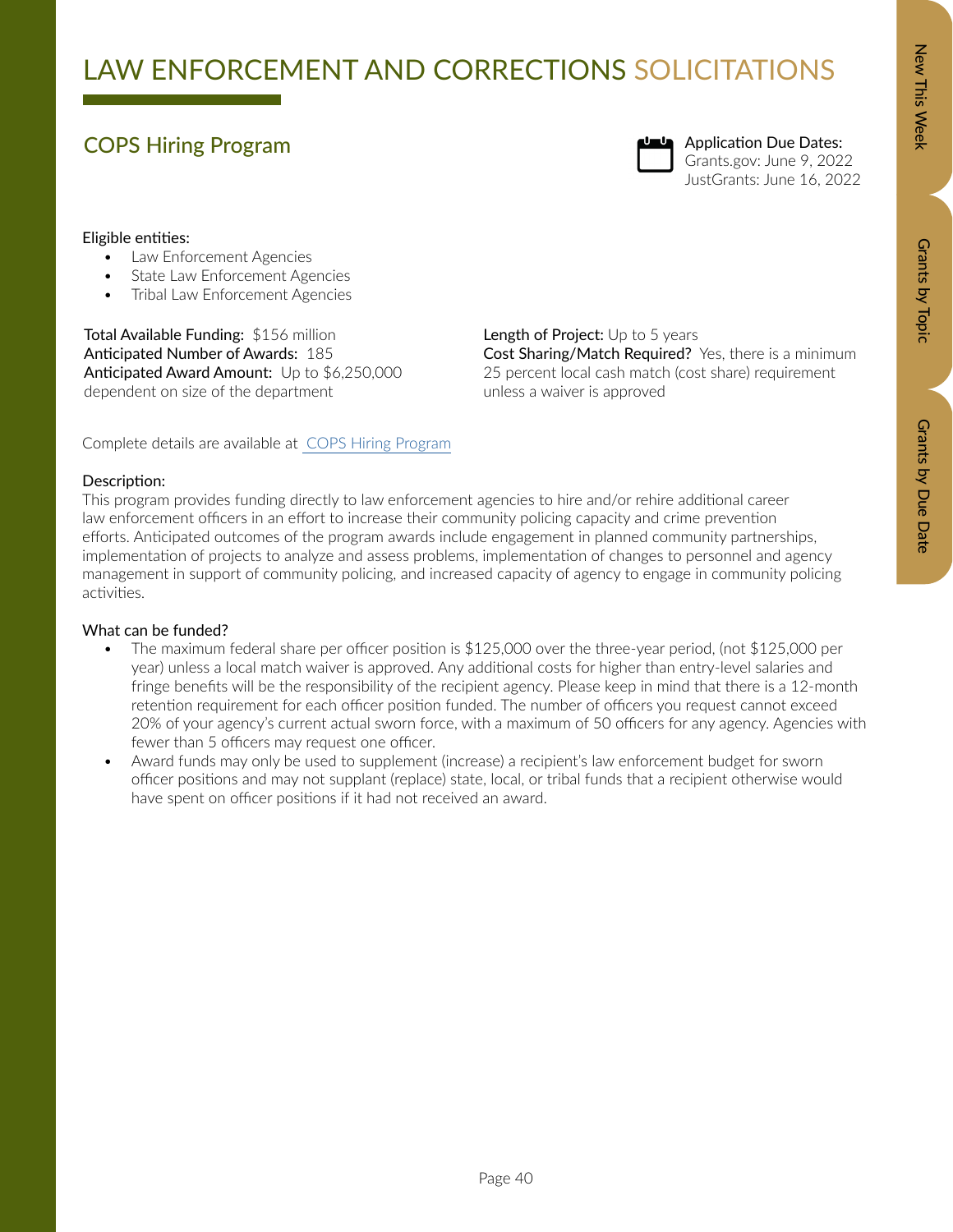### COPS Hiring Program



Application Due Dates: Grants.gov: June 9, 2022 JustGrants: June 16, 2022

### Eligible entities:

- Law Enforcement Agencies
- State Law Enforcement Agencies
- Tribal Law Enforcement Agencies

Total Available Funding: \$156 million Anticipated Number of Awards: 185 Anticipated Award Amount: Up to \$6,250,000 dependent on size of the department

Length of Project: Up to 5 years Cost Sharing/Match Required? Yes, there is a minimum 25 percent local cash match (cost share) requirement unless a waiver is approved

Complete details are available at [COPS Hiring Program](https://cops.usdoj.gov/pdf/2022ProgramDocs/chp/solicitation.pdf)

### Description:

This program provides funding directly to law enforcement agencies to hire and/or rehire additional career law enforcement officers in an effort to increase their community policing capacity and crime prevention efforts. Anticipated outcomes of the program awards include engagement in planned community partnerships, implementation of projects to analyze and assess problems, implementation of changes to personnel and agency management in support of community policing, and increased capacity of agency to engage in community policing activities.

- The maximum federal share per officer position is \$125,000 over the three-year period, (not \$125,000 per year) unless a local match waiver is approved. Any additional costs for higher than entry-level salaries and fringe benefits will be the responsibility of the recipient agency. Please keep in mind that there is a 12-month retention requirement for each officer position funded. The number of officers you request cannot exceed 20% of your agency's current actual sworn force, with a maximum of 50 officers for any agency. Agencies with fewer than 5 officers may request one officer.
- Award funds may only be used to supplement (increase) a recipient's law enforcement budget for sworn officer positions and may not supplant (replace) state, local, or tribal funds that a recipient otherwise would have spent on officer positions if it had not received an award.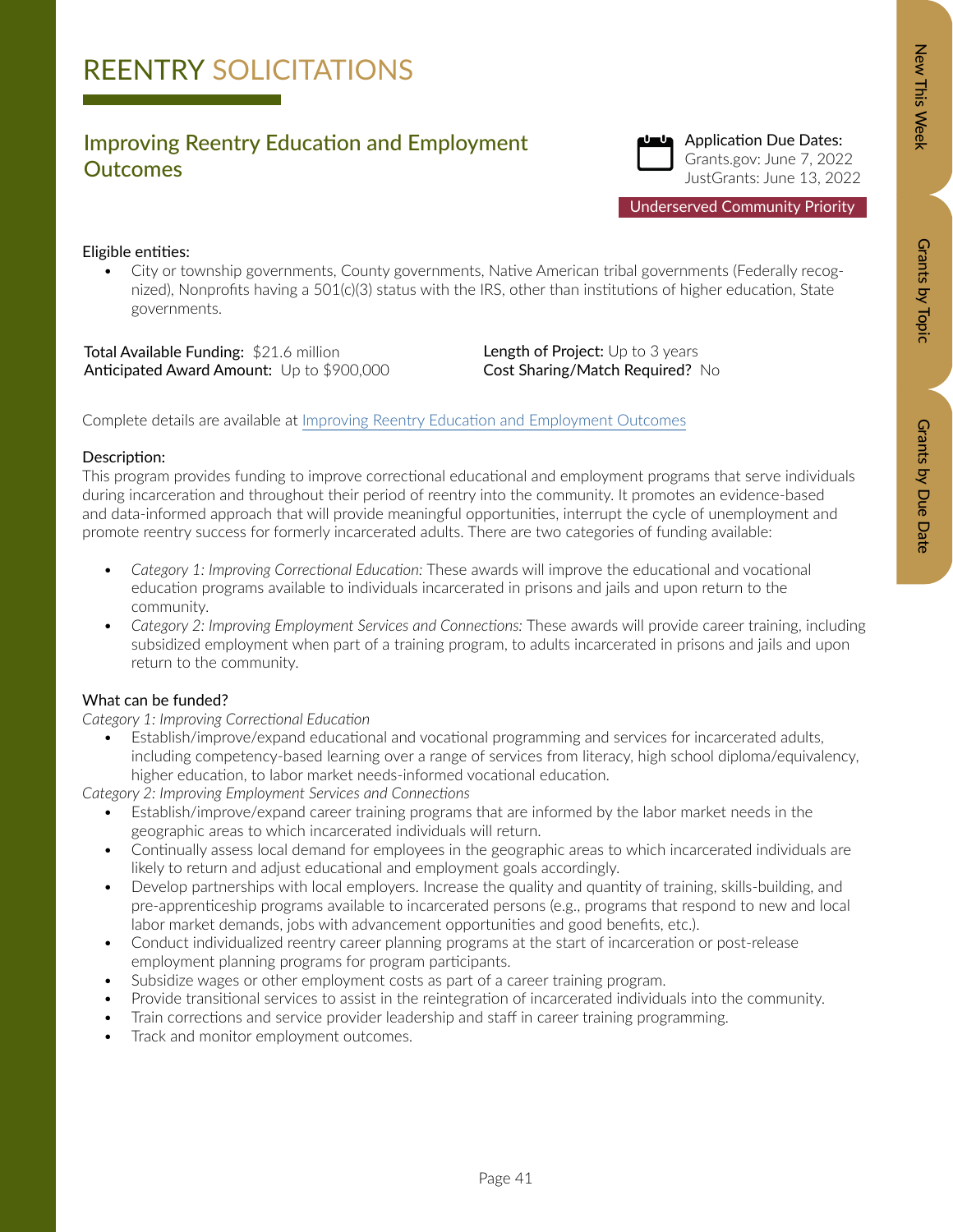# Zew This Week New Orants by Dopic Data Details by Due Data Grants by Due Date

### Improving Reentry Education and Employment **Outcomes**



Underserved Community Priority

### Eligible entities:

• City or township governments, County governments, Native American tribal governments (Federally recognized), Nonprofits having a 501(c)(3) status with the IRS, other than institutions of higher education, State governments.

Total Available Funding: \$21.6 million Anticipated Award Amount: Up to \$900,000 Length of Project: Up to 3 years Cost Sharing/Match Required? No

Complete details are available at [Improving Reentry Education and Employment Outcomes](https://bja.ojp.gov/funding/opportunities/o-bja-2022-171284)

### Description:

This program provides funding to improve correctional educational and employment programs that serve individuals during incarceration and throughout their period of reentry into the community. It promotes an evidence-based and data-informed approach that will provide meaningful opportunities, interrupt the cycle of unemployment and promote reentry success for formerly incarcerated adults. There are two categories of funding available:

- *• Category 1: Improving Correctional Education:* These awards will improve the educational and vocational education programs available to individuals incarcerated in prisons and jails and upon return to the community.
- *• Category 2: Improving Employment Services and Connections:* These awards will provide career training, including subsidized employment when part of a training program, to adults incarcerated in prisons and jails and upon return to the community.

### What can be funded?

*Category 1: Improving Correctional Education*

• Establish/improve/expand educational and vocational programming and services for incarcerated adults, including competency-based learning over a range of services from literacy, high school diploma/equivalency, higher education, to labor market needs-informed vocational education.

*Category 2: Improving Employment Services and Connections*

- Establish/improve/expand career training programs that are informed by the labor market needs in the geographic areas to which incarcerated individuals will return.
- Continually assess local demand for employees in the geographic areas to which incarcerated individuals are likely to return and adjust educational and employment goals accordingly.
- Develop partnerships with local employers. Increase the quality and quantity of training, skills-building, and pre-apprenticeship programs available to incarcerated persons (e.g., programs that respond to new and local labor market demands, jobs with advancement opportunities and good benefits, etc.).
- Conduct individualized reentry career planning programs at the start of incarceration or post-release employment planning programs for program participants.
- Subsidize wages or other employment costs as part of a career training program.
- Provide transitional services to assist in the reintegration of incarcerated individuals into the community.
- Train corrections and service provider leadership and staff in career training programming.
- Track and monitor employment outcomes.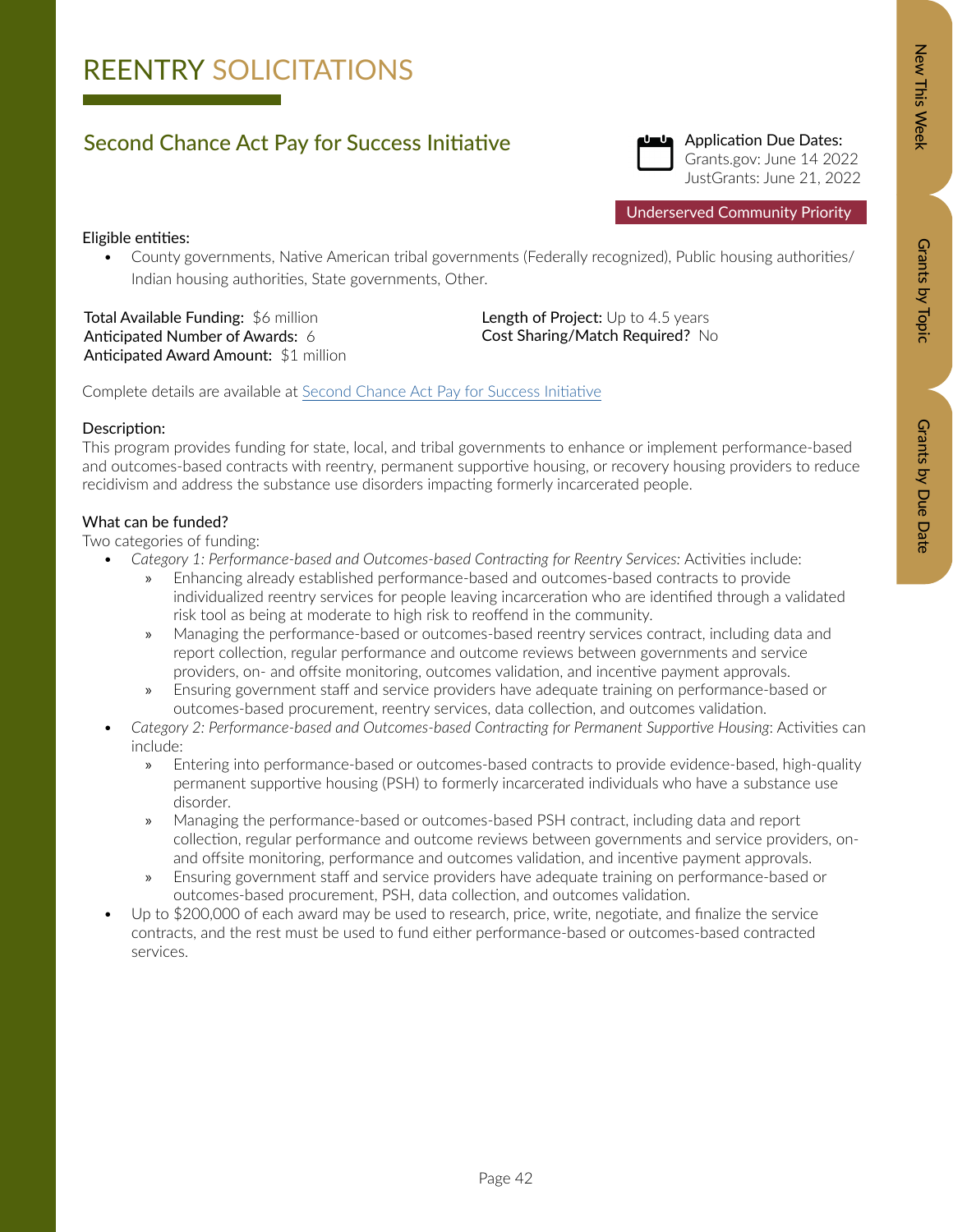# Zew This Week New Orants by Dopic Data Details by Due Data Grants by Due Date

## REENTRY SOLICITATIONS

### Second Chance Act Pay for Success Initiative



Application Due Dates: Grants.gov: June 14 2022 JustGrants: June 21, 2022

Underserved Community Priority

### Eligible entities:

• County governments, Native American tribal governments (Federally recognized), Public housing authorities/ Indian housing authorities, State governments, Other[.](https://bja.ojp.gov/funding/opportunities/o-bja-2022-171076)

Total Available Funding: \$6 million Anticipated Number of Awards: 6 Anticipated Award Amount: \$1 million Length of Project: Up to 4.5 years Cost Sharing/Match Required? No

Complete details are available at [Second Chance Act Pay for Success Initiative](https://bja.ojp.gov/funding/opportunities/o-bja-2022-171034)

### Description:

This program provides funding for state, local, and tribal governments to enhance or implement performance-based and outcomes-based contracts with reentry, permanent supportive housing, or recovery housing providers to reduce recidivism and address the substance use disorders impacting formerly incarcerated people.

### What can be funded?

Two categories of funding:

- Category 1: Performance-based and Outcomes-based Contracting for Reentry Services: Activities include:
	- » Enhancing already established performance-based and outcomes-based contracts to provide individualized reentry services for people leaving incarceration who are identified through a validated risk tool as being at moderate to high risk to reoffend in the community.
	- » Managing the performance-based or outcomes-based reentry services contract, including data and report collection, regular performance and outcome reviews between governments and service providers, on- and offsite monitoring, outcomes validation, and incentive payment approvals.
	- » Ensuring government staff and service providers have adequate training on performance-based or outcomes-based procurement, reentry services, data collection, and outcomes validation.
- *• Category 2: Performance-based and Outcomes-based Contracting for Permanent Supportive Housing*: Activities can include:
	- » Entering into performance-based or outcomes-based contracts to provide evidence-based, high-quality permanent supportive housing (PSH) to formerly incarcerated individuals who have a substance use disorder.
	- » Managing the performance-based or outcomes-based PSH contract, including data and report collection, regular performance and outcome reviews between governments and service providers, onand offsite monitoring, performance and outcomes validation, and incentive payment approvals.
	- » Ensuring government staff and service providers have adequate training on performance-based or outcomes-based procurement, PSH, data collection, and outcomes validation.
- Up to \$200,000 of each award may be used to research, price, write, negotiate, and finalize the service contracts, and the rest must be used to fund either performance-based or outcomes-based contracted services.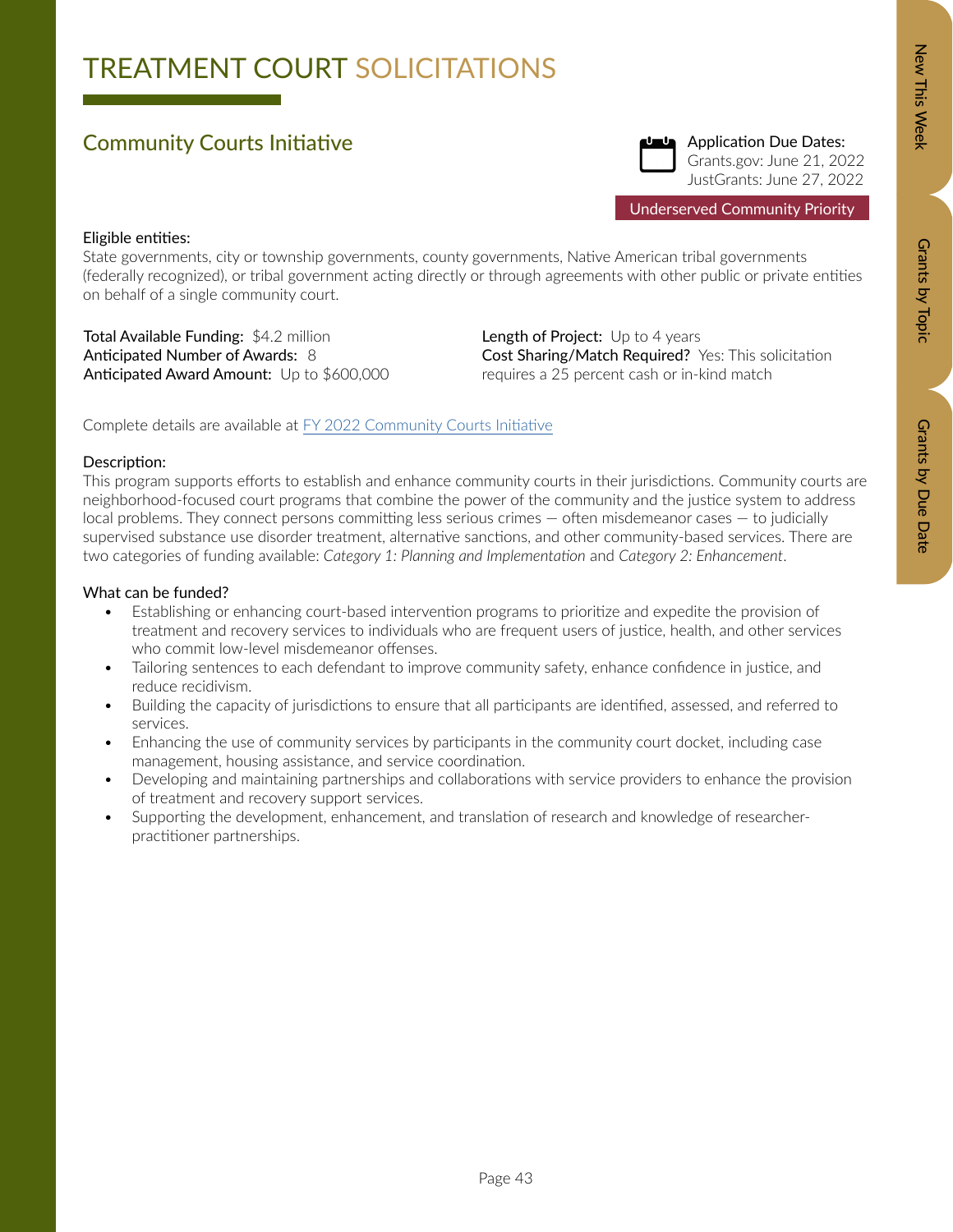# Zew This Week New Orants by Dopic Data Details by Due Data Grants by Due Date

# TREATMENT COURT SOLICITATIONS

### Community Courts Initiative



Underserved Community Priority

### Eligible entities:

State governments, city or township governments, county governments, Native American tribal governments (federally recognized), or tribal government acting directly or through agreements with other public or private entities on behalf of a single community court.

Total Available Funding: \$4.2 million Anticipated Number of Awards: 8 Anticipated Award Amount: Up to \$600,000

Length of Project: Up to 4 years Cost Sharing/Match Required? Yes: This solicitation requires a 25 percent cash or in-kind match

Complete details are available at [FY 2022 Community Courts Initiative](https://bja.ojp.gov/funding/opportunities/o-bja-2022-171297)

### Description:

This program supports efforts to establish and enhance community courts in their jurisdictions. Community courts are neighborhood-focused court programs that combine the power of the community and the justice system to address local problems. They connect persons committing less serious crimes — often misdemeanor cases — to judicially supervised substance use disorder treatment, alternative sanctions, and other community-based services. There are two categories of funding available: *Category 1: Planning and Implementation* and *Category 2: Enhancement*.

- Establishing or enhancing court-based intervention programs to prioritize and expedite the provision of treatment and recovery services to individuals who are frequent users of justice, health, and other services who commit low-level misdemeanor offenses.
- Tailoring sentences to each defendant to improve community safety, enhance confidence in justice, and reduce recidivism.
- Building the capacity of jurisdictions to ensure that all participants are identified, assessed, and referred to services.
- Enhancing the use of community services by participants in the community court docket, including case management, housing assistance, and service coordination.
- Developing and maintaining partnerships and collaborations with service providers to enhance the provision of treatment and recovery support services.
- Supporting the development, enhancement, and translation of research and knowledge of researcherpractitioner partnerships.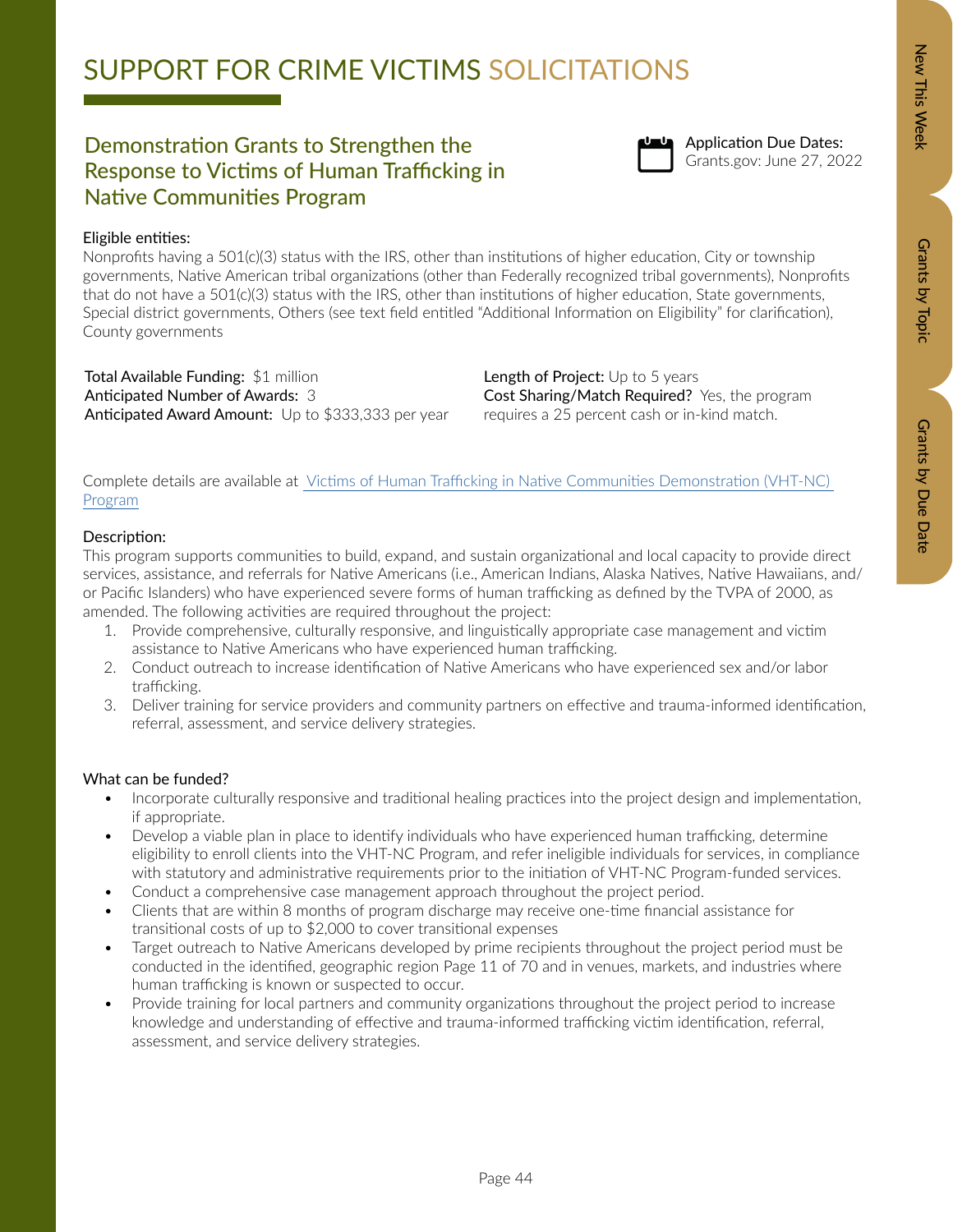## SUPPORT FOR CRIME VICTIMS SOLICITATIONS

### Demonstration Grants to Strengthen the<br>Demonstration Grants to Strengthen the<br>Grants.gov: June 27, 2022 Response to Victims of Human Trafficking in Native Communities Program



## Application Due Dates:

### Eligible entities:

Nonprofits having a 501(c)(3) status with the IRS, other than institutions of higher education, City or township governments, Native American tribal organizations (other than Federally recognized tribal governments), Nonprofits that do not have a 501(c)(3) status with the IRS, other than institutions of higher education, State governments, Special district governments, Others (see text field entitled "Additional Information on Eligibility" for clarification), County governments

Total Available Funding: \$1 million Anticipated Number of Awards: 3 Anticipated Award Amount: Up to \$333,333 per year Length of Project: Up to 5 years Cost Sharing/Match Required? Yes, the program requires a 25 percent cash or in-kind match.

Complete details are available at [Victims of Human Trafficking in Native Communities Demonstration \(VHT-NC\)](https://www.grants.gov/web/grants/view-opportunity.html?oppId=335560)  [Program](https://www.grants.gov/web/grants/view-opportunity.html?oppId=335560)

### Description:

This program supports communities to build, expand, and sustain organizational and local capacity to provide direct services, assistance, and referrals for Native Americans (i.e., American Indians, Alaska Natives, Native Hawaiians, and/ or Pacific Islanders) who have experienced severe forms of human trafficking as defined by the TVPA of 2000, as amended. The following activities are required throughout the project:

- 1. Provide comprehensive, culturally responsive, and linguistically appropriate case management and victim assistance to Native Americans who have experienced human trafficking.
- 2. Conduct outreach to increase identification of Native Americans who have experienced sex and/or labor trafficking.
- 3. Deliver training for service providers and community partners on effective and trauma-informed identification, referral, assessment, and service delivery strategies.

- Incorporate culturally responsive and traditional healing practices into the project design and implementation, if appropriate.
- Develop a viable plan in place to identify individuals who have experienced human trafficking, determine eligibility to enroll clients into the VHT-NC Program, and refer ineligible individuals for services, in compliance with statutory and administrative requirements prior to the initiation of VHT-NC Program-funded services.
- Conduct a comprehensive case management approach throughout the project period.
- Clients that are within 8 months of program discharge may receive one-time financial assistance for transitional costs of up to \$2,000 to cover transitional expenses
- Target outreach to Native Americans developed by prime recipients throughout the project period must be conducted in the identified, geographic region Page 11 of 70 and in venues, markets, and industries where human trafficking is known or suspected to occur.
- Provide training for local partners and community organizations throughout the project period to increase knowledge and understanding of effective and trauma-informed trafficking victim identification, referral, assessment, and service delivery strategies.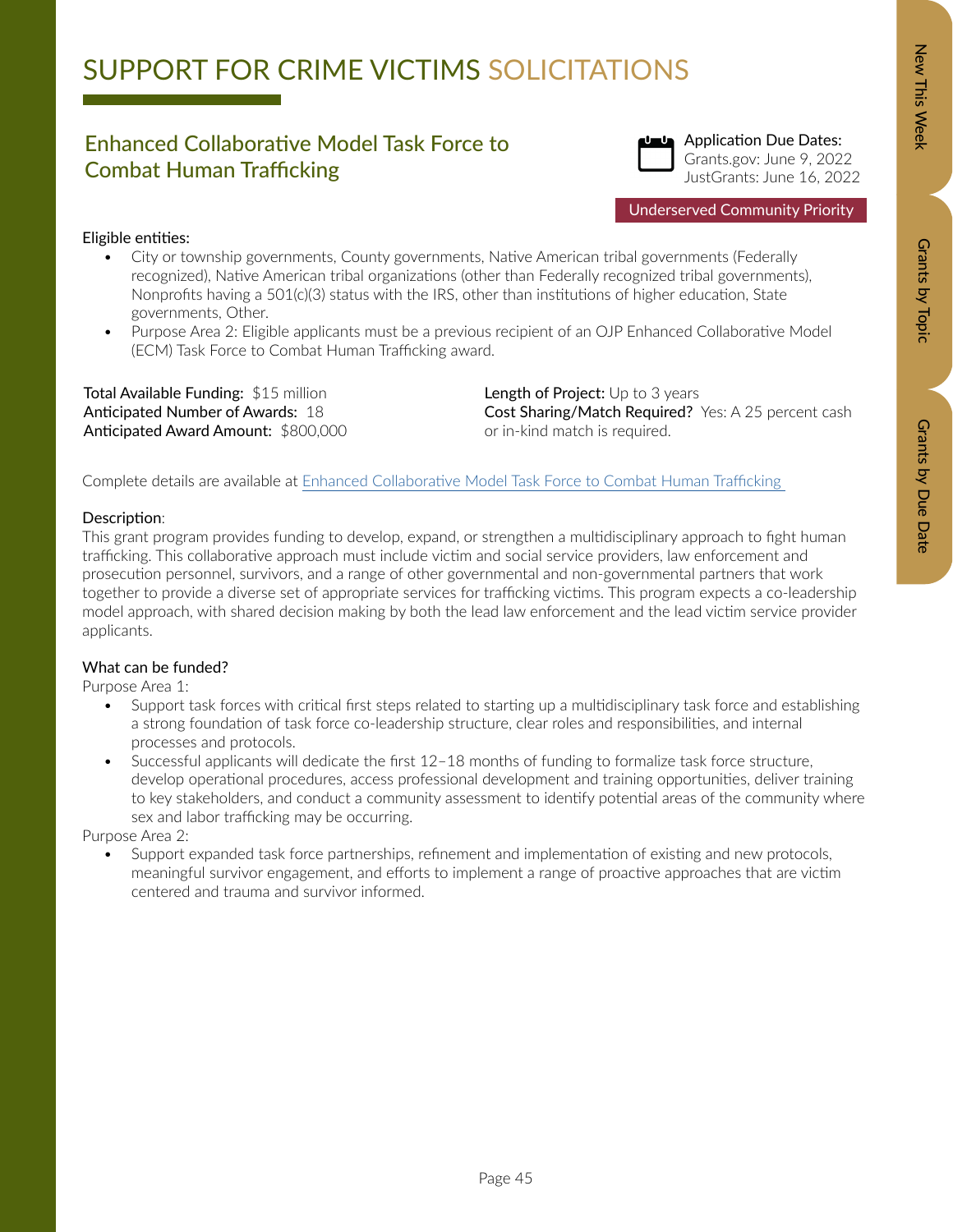# SUPPORT FOR CRIME VICTIMS SOLICITATIONS

### Enhanced Collaborative Model Task Force to Combat Human Trafficking



### Eligible entities:

- City or township governments, County governments, Native American tribal governments (Federally recognized), Native American tribal organizations (other than Federally recognized tribal governments), Nonprofits having a  $501(c)(3)$  status with the IRS, other than institutions of higher education, State governments, Other.
- Purpose Area 2: Eligible applicants must be a previous recipient of an OJP Enhanced Collaborative Model (ECM) Task Force to Combat Human Trafficking award.

Total Available Funding: \$15 million Anticipated Number of Awards: 18 Anticipated Award Amount: \$800,000 Length of Project: Up to 3 years Cost Sharing/Match Required? Yes: A 25 percent cash or in-kind match is required.

Complete details are available at Enhanced Collaborative Model Task Force to Combat Human Trafficking

### Description:

This grant program provides funding to develop, expand, or strengthen a multidisciplinary approach to fight human trafficking. This collaborative approach must include victim and social service providers, law enforcement and prosecution personnel, survivors, and a range of other governmental and non-governmental partners that work together to provide a diverse set of appropriate services for trafficking victims. This program expects a co-leadership model approach, with shared decision making by both the lead law enforcement and the lead victim service provider applicants.

### What can be funded?

Purpose Area 1:

- Support task forces with critical first steps related to starting up a multidisciplinary task force and establishing a strong foundation of task force co-leadership structure, clear roles and responsibilities, and internal processes and protocols.
- Successful applicants will dedicate the first 12–18 months of funding to formalize task force structure, develop operational procedures, access professional development and training opportunities, deliver training to key stakeholders, and conduct a community assessment to identify potential areas of the community where sex and labor trafficking may be occurring.

Purpose Area 2:

• Support expanded task force partnerships, refinement and implementation of existing and new protocols, meaningful survivor engagement, and efforts to implement a range of proactive approaches that are victim centered and trauma and survivor informed.

Grants by Topic

Grants by Topic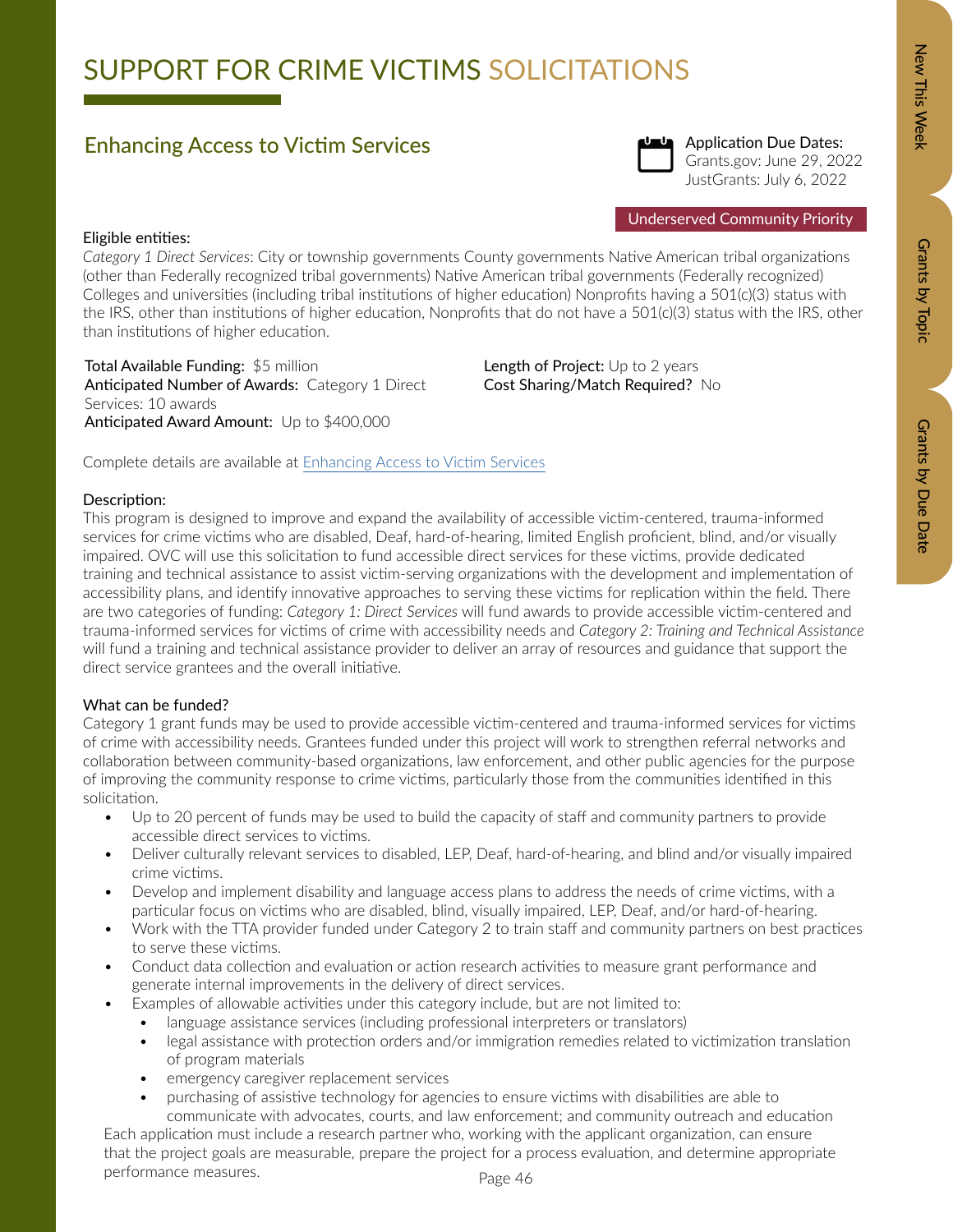Grants by Due Date

# SUPPORT FOR CRIME VICTIMS SOLICITATIONS

### Enhancing Access to Victim Services



Application Due Dates: Grants.gov: June 29, 2022 JustGrants: July 6, 2022

Underserved Community Priority

### Eligible entities:

*Category 1 Direct Services*: City or township governments County governments Native American tribal organizations (other than Federally recognized tribal governments) Native American tribal governments (Federally recognized) Colleges and universities (including tribal institutions of higher education) Nonprofits having a 501(c)(3) status with the IRS, other than institutions of higher education, Nonprofits that do not have a 501(c)(3) status with the IRS, other than institutions of higher education.

Total Available Funding: \$5 million Anticipated Number of Awards: Category 1 Direct Services: 10 awards Anticipated Award Amount: Up to \$400,000

Length of Project: Up to 2 years Cost Sharing/Match Required? No

Complete details are available at [Enhancing Access to Victim Services](https://ovc.ojp.gov/funding/opportunities/o-ovc-2022-171328)

### Description:

This program is designed to improve and expand the availability of accessible victim-centered, trauma-informed services for crime victims who are disabled, Deaf, hard-of-hearing, limited English proficient, blind, and/or visually impaired. OVC will use this solicitation to fund accessible direct services for these victims, provide dedicated training and technical assistance to assist victim-serving organizations with the development and implementation of accessibility plans, and identify innovative approaches to serving these victims for replication within the field. There are two categories of funding: *Category 1: Direct Services* will fund awards to provide accessible victim-centered and trauma-informed services for victims of crime with accessibility needs and *Category 2: Training and Technical Assistance*  will fund a training and technical assistance provider to deliver an array of resources and guidance that support the direct service grantees and the overall initiative.

### What can be funded?

Category 1 grant funds may be used to provide accessible victim-centered and trauma-informed services for victims of crime with accessibility needs. Grantees funded under this project will work to strengthen referral networks and collaboration between community-based organizations, law enforcement, and other public agencies for the purpose of improving the community response to crime victims, particularly those from the communities identified in this solicitation.

- Up to 20 percent of funds may be used to build the capacity of staff and community partners to provide accessible direct services to victims.
- Deliver culturally relevant services to disabled, LEP, Deaf, hard-of-hearing, and blind and/or visually impaired crime victims.
- Develop and implement disability and language access plans to address the needs of crime victims, with a particular focus on victims who are disabled, blind, visually impaired, LEP, Deaf, and/or hard-of-hearing.
- Work with the TTA provider funded under Category 2 to train staff and community partners on best practices to serve these victims.
- Conduct data collection and evaluation or action research activities to measure grant performance and generate internal improvements in the delivery of direct services.
- Examples of allowable activities under this category include, but are not limited to:
	- language assistance services (including professional interpreters or translators)
	- legal assistance with protection orders and/or immigration remedies related to victimization translation of program materials
	- emergency caregiver replacement services
	- purchasing of assistive technology for agencies to ensure victims with disabilities are able to communicate with advocates, courts, and law enforcement; and community outreach and education

Each application must include a research partner who, working with the applicant organization, can ensure that the project goals are measurable, prepare the project for a process evaluation, and determine appropriate performance measures.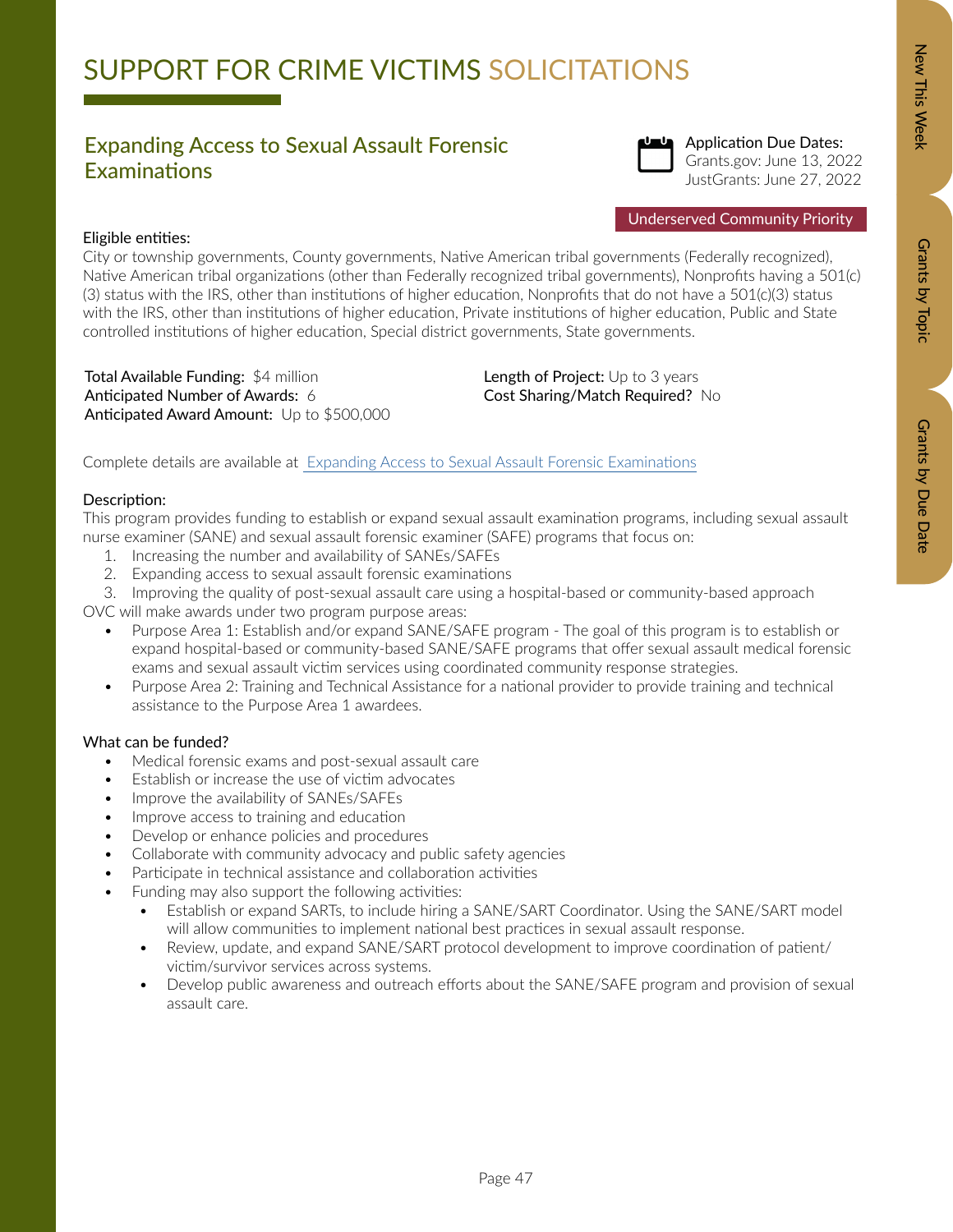# SUPPORT FOR CRIME VICTIMS SOLICITATIONS

### Expanding Access to Sexual Assault Forensic Examinations



Application Due Dates: Grants.gov: June 13, 2022 JustGrants: June 27, 2022

### Eligible entities:

City or township governments, County governments, Native American tribal governments (Federally recognized), Native American tribal organizations (other than Federally recognized tribal governments), Nonprofits having a 501(c) (3) status with the IRS, other than institutions of higher education, Nonprofits that do not have a 501(c)(3) status with the IRS, other than institutions of higher education, Private institutions of higher education, Public and State controlled institutions of higher education, Special district governments, State governments.

Total Available Funding: \$4 million Anticipated Number of Awards: 6 Anticipated Award Amount: Up to \$500,000 Length of Project: Up to 3 years Cost Sharing/Match Required? No

Complete details are available at [Expanding Access to Sexual Assault Forensic Examinations](https://ovc.ojp.gov/funding/fy-2022/o-ovc-2022-171306.pdf)

### Description:

This program provides funding to establish or expand sexual assault examination programs, including sexual assault nurse examiner (SANE) and sexual assault forensic examiner (SAFE) programs that focus on:

- 1. Increasing the number and availability of SANEs/SAFEs
- 2. Expanding access to sexual assault forensic examinations

3. Improving the quality of post-sexual assault care using a hospital-based or community-based approach

OVC will make awards under two program purpose areas:

- Purpose Area 1: Establish and/or expand SANE/SAFE program The goal of this program is to establish or expand hospital-based or community-based SANE/SAFE programs that offer sexual assault medical forensic exams and sexual assault victim services using coordinated community response strategies.
- Purpose Area 2: Training and Technical Assistance for a national provider to provide training and technical assistance to the Purpose Area 1 awardees.

### What can be funded?

- Medical forensic exams and post-sexual assault care
- Establish or increase the use of victim advocates
- Improve the availability of SANEs/SAFEs
- Improve access to training and education
- Develop or enhance policies and procedures
- Collaborate with community advocacy and public safety agencies
- Participate in technical assistance and collaboration activities
- Funding may also support the following activities:
	- Establish or expand SARTs, to include hiring a SANE/SART Coordinator. Using the SANE/SART model will allow communities to implement national best practices in sexual assault response.
	- Review, update, and expand SANE/SART protocol development to improve coordination of patient/ victim/survivor services across systems.
	- Develop public awareness and outreach efforts about the SANE/SAFE program and provision of sexual assault care.

New This Week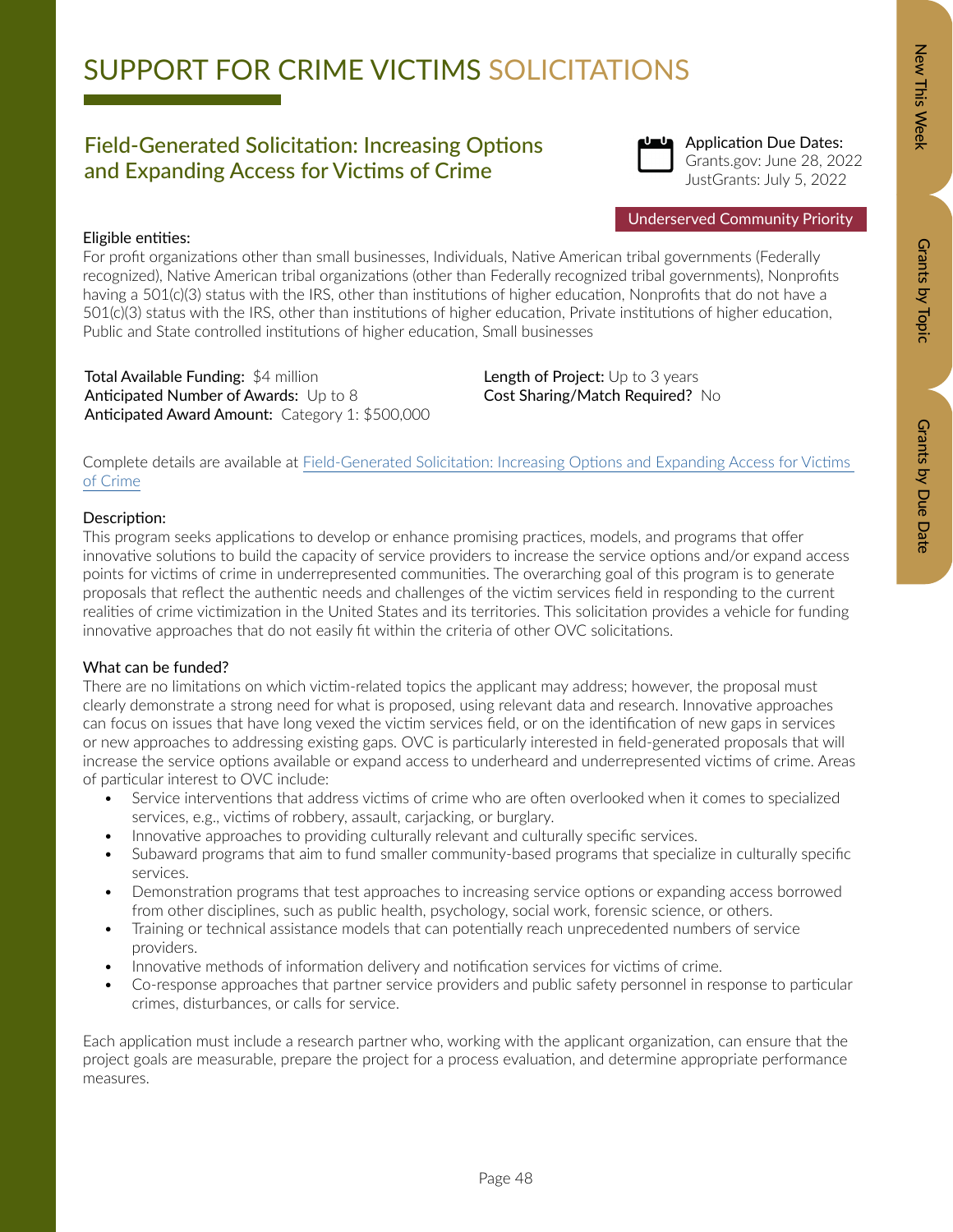# SUPPORT FOR CRIME VICTIMS SOLICITATIONS

### Field-Generated Solicitation: Increasing Options and Expanding Access for Victims of Crime



Application Due Dates: Grants.gov: June 28, 2022 JustGrants: July 5, 2022

### Eligible entities:

For profit organizations other than small businesses, Individuals, Native American tribal governments (Federally recognized), Native American tribal organizations (other than Federally recognized tribal governments), Nonprofits having a 501(c)(3) status with the IRS, other than institutions of higher education, Nonprofits that do not have a 501(c)(3) status with the IRS, other than institutions of higher education, Private institutions of higher education, Public and State controlled institutions of higher education, Small businesses

Total Available Funding: \$4 million Anticipated Number of Awards: Up to 8 Anticipated Award Amount: Category 1: \$500,000 Length of Project: Up to 3 years Cost Sharing/Match Required? No

Complete details are available at [Field-Generated Solicitation: Increasing Options and Expanding Access for Victims](https://ovc.ojp.gov/funding/opportunities/o-ovc-2022-171321)  [of Crime](https://ovc.ojp.gov/funding/opportunities/o-ovc-2022-171321)

### Description:

This program seeks applications to develop or enhance promising practices, models, and programs that offer innovative solutions to build the capacity of service providers to increase the service options and/or expand access points for victims of crime in underrepresented communities. The overarching goal of this program is to generate proposals that reflect the authentic needs and challenges of the victim services field in responding to the current realities of crime victimization in the United States and its territories. This solicitation provides a vehicle for funding innovative approaches that do not easily fit within the criteria of other OVC solicitations.

### What can be funded?

There are no limitations on which victim-related topics the applicant may address; however, the proposal must clearly demonstrate a strong need for what is proposed, using relevant data and research. Innovative approaches can focus on issues that have long vexed the victim services field, or on the identification of new gaps in services or new approaches to addressing existing gaps. OVC is particularly interested in field-generated proposals that will increase the service options available or expand access to underheard and underrepresented victims of crime. Areas of particular interest to OVC include:

- Service interventions that address victims of crime who are often overlooked when it comes to specialized services, e.g., victims of robbery, assault, carjacking, or burglary.
- Innovative approaches to providing culturally relevant and culturally specific services.
- Subaward programs that aim to fund smaller community-based programs that specialize in culturally specific services.
- Demonstration programs that test approaches to increasing service options or expanding access borrowed from other disciplines, such as public health, psychology, social work, forensic science, or others.
- Training or technical assistance models that can potentially reach unprecedented numbers of service providers.
- Innovative methods of information delivery and notification services for victims of crime.
- Co-response approaches that partner service providers and public safety personnel in response to particular crimes, disturbances, or calls for service.

Each application must include a research partner who, working with the applicant organization, can ensure that the project goals are measurable, prepare the project for a process evaluation, and determine appropriate performance measures.

Grants by Topic

Grants by Topic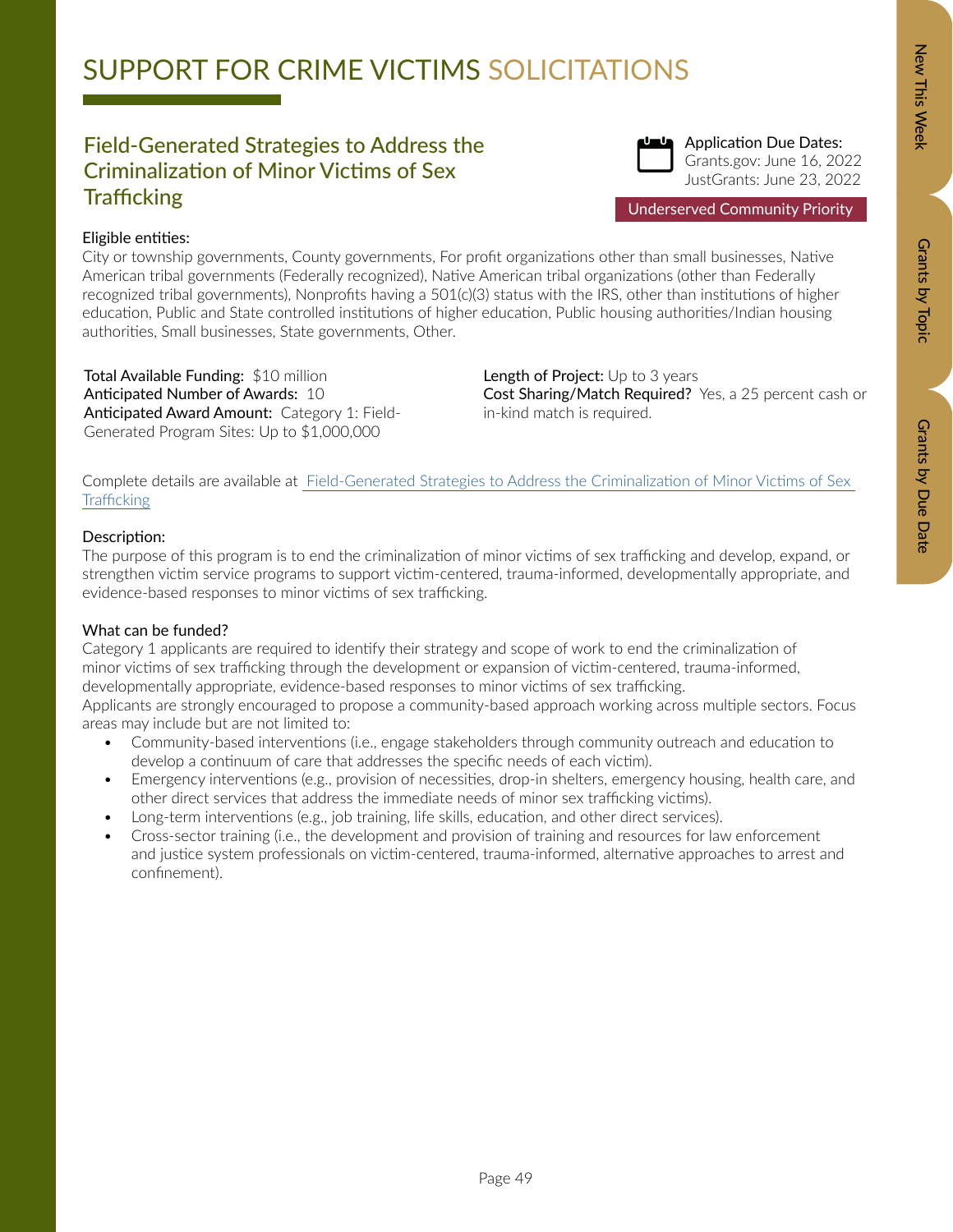# Zew This Week New Orants by Dopic Data Details by Due Data Grants by Due Date

# SUPPORT FOR CRIME VICTIMS SOLICITATIONS

### Field-Generated Strategies to Address the Criminalization of Minor Victims of Sex **Trafficking**



Grants.gov: June 16, 2022 JustGrants: June 23, 2022

Underserved Community Priority

### Eligible entities:

City or township governments, County governments, For profit organizations other than small businesses, Native American tribal governments (Federally recognized), Native American tribal organizations (other than Federally recognized tribal governments), Nonprofits having a 501(c)(3) status with the IRS, other than institutions of higher education, Public and State controlled institutions of higher education, Public housing authorities/Indian housing authorities, Small businesses, State governments, Other.

Total Available Funding: \$10 million Anticipated Number of Awards: 10 Anticipated Award Amount: Category 1: Field-Generated Program Sites: Up to \$1,000,000

Length of Project: Up to 3 years Cost Sharing/Match Required? Yes, a 25 percent cash or in-kind match is required.

Complete details are available at [Field-Generated Strategies to Address the Criminalization of Minor Victims of Sex](https://ovc.ojp.gov/funding/opportunities/o-ovc-2022-171295)  **[Trafficking](https://ovc.ojp.gov/funding/opportunities/o-ovc-2022-171295)** 

### Description:

The purpose of this program is to end the criminalization of minor victims of sex trafficking and develop, expand, or strengthen victim service programs to support victim-centered, trauma-informed, developmentally appropriate, and evidence-based responses to minor victims of sex trafficking.

### What can be funded?

Category 1 applicants are required to identify their strategy and scope of work to end the criminalization of minor victims of sex trafficking through the development or expansion of victim-centered, trauma-informed, developmentally appropriate, evidence-based responses to minor victims of sex trafficking.

Applicants are strongly encouraged to propose a community-based approach working across multiple sectors. Focus areas may include but are not limited to:

- Community-based interventions (i.e., engage stakeholders through community outreach and education to develop a continuum of care that addresses the specific needs of each victim).
- Emergency interventions (e.g., provision of necessities, drop-in shelters, emergency housing, health care, and other direct services that address the immediate needs of minor sex trafficking victims).
- Long-term interventions (e.g., job training, life skills, education, and other direct services).
- Cross-sector training (i.e., the development and provision of training and resources for law enforcement and justice system professionals on victim-centered, trauma-informed, alternative approaches to arrest and confinement).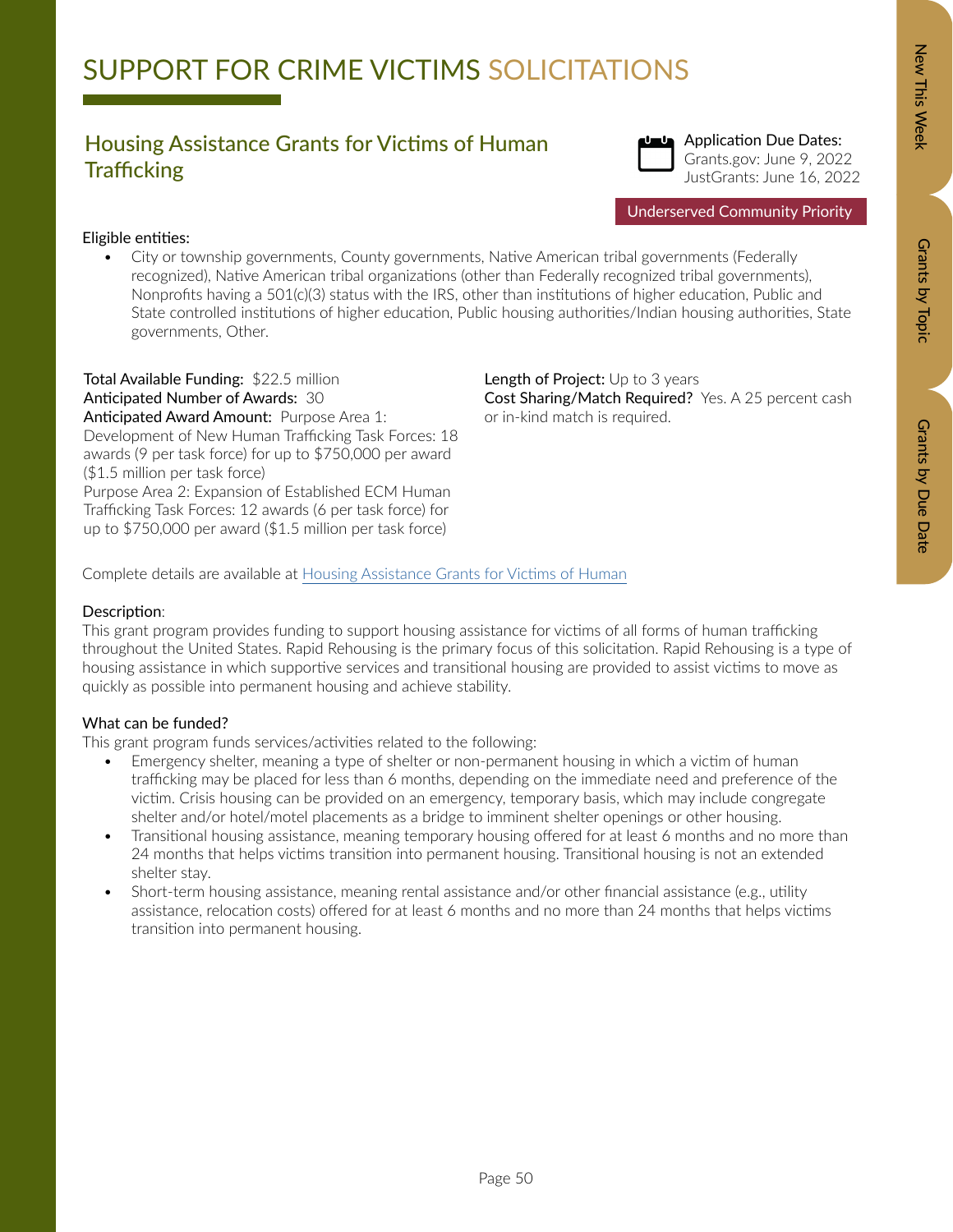# Zew This Week New Orants by Dopic Data Details by Due Data Grants by Due Date

### Housing Assistance Grants for Victims of Human **Trafficking**



Underserved Community Priority

### Eligible entities:

• City or township governments, County governments, Native American tribal governments (Federally recognized), Native American tribal organizations (other than Federally recognized tribal governments), Nonprofits having a 501(c)(3) status with the IRS, other than institutions of higher education, Public and State controlled institutions of higher education, Public housing authorities/Indian housing authorities, State governments, Other.

Total Available Funding: \$22.5 million Anticipated Number of Awards: 30 Anticipated Award Amount: Purpose Area 1: Development of New Human Trafficking Task Forces: 18 awards (9 per task force) for up to \$750,000 per award (\$1.5 million per task force) Purpose Area 2: Expansion of Established ECM Human Trafficking Task Forces: 12 awards (6 per task force) for up to \$750,000 per award (\$1.5 million per task force)

Length of Project: Up to 3 years Cost Sharing/Match Required? Yes. A 25 percent cash or in-kind match is required.

Complete details are available at [Housing Assistance Grants for Victims of Human](https://ovc.ojp.gov/funding/fy-2022/o-ovc-2022-171256.pdf)

### Description:

This grant program provides funding to support housing assistance for victims of all forms of human trafficking throughout the United States. Rapid Rehousing is the primary focus of this solicitation. Rapid Rehousing is a type of housing assistance in which supportive services and transitional housing are provided to assist victims to move as quickly as possible into permanent housing and achieve stability.

### What can be funded?

This grant program funds services/activities related to the following:

- Emergency shelter, meaning a type of shelter or non-permanent housing in which a victim of human trafficking may be placed for less than 6 months, depending on the immediate need and preference of the victim. Crisis housing can be provided on an emergency, temporary basis, which may include congregate shelter and/or hotel/motel placements as a bridge to imminent shelter openings or other housing.
- Transitional housing assistance, meaning temporary housing offered for at least 6 months and no more than 24 months that helps victims transition into permanent housing. Transitional housing is not an extended shelter stay.
- Short-term housing assistance, meaning rental assistance and/or other financial assistance (e.g., utility assistance, relocation costs) offered for at least 6 months and no more than 24 months that helps victims transition into permanent housing.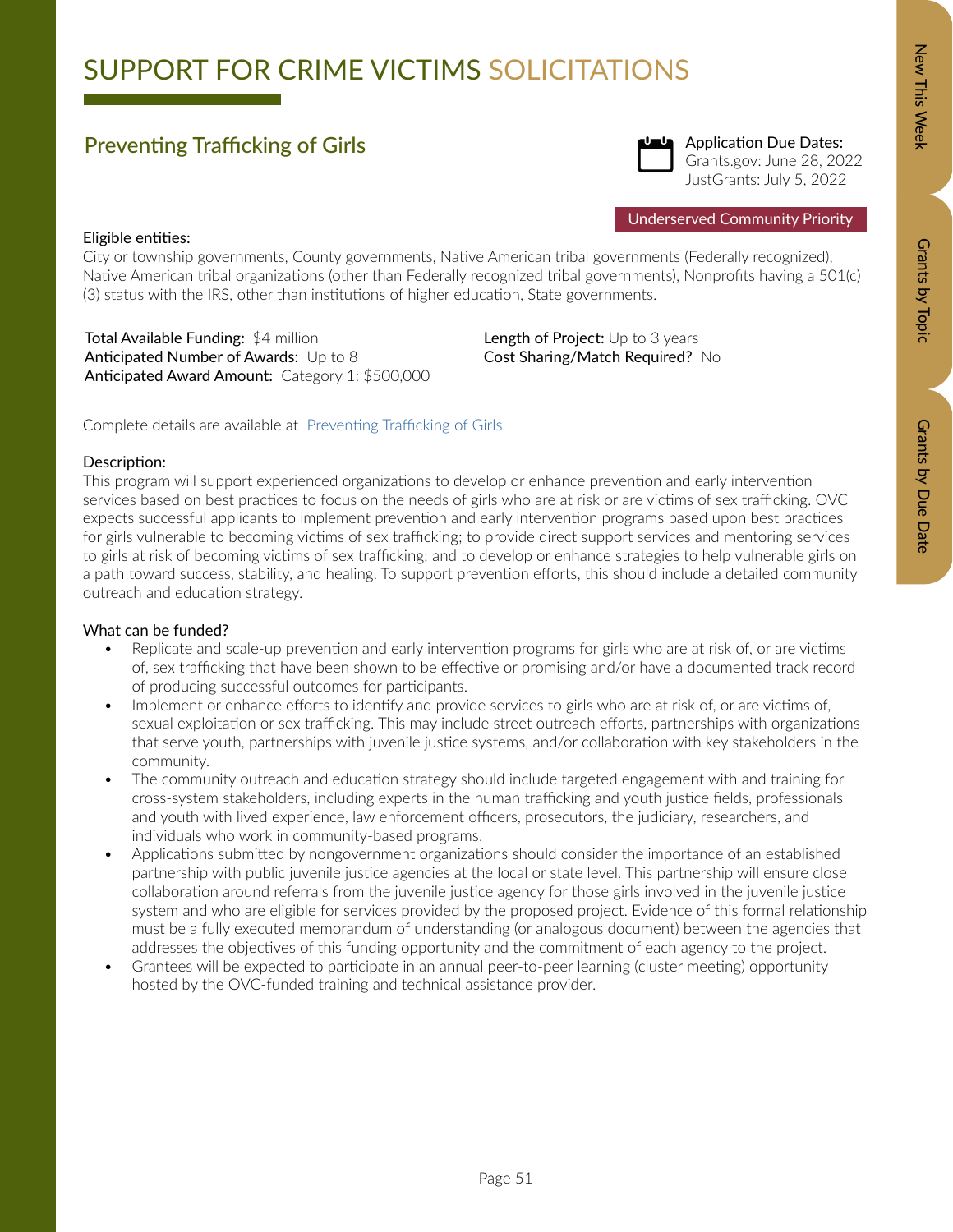## SUPPORT FOR CRIME VICTIMS SOLICITATIONS

### Preventing Trafficking of Girls



Application Due Dates: Grants.gov: June 28, 2022 JustGrants: July 5, 2022

### Eligible entities:

City or township governments, County governments, Native American tribal governments (Federally recognized), Native American tribal organizations (other than Federally recognized tribal governments), Nonprofits having a 501(c) (3) status with the IRS, other than institutions of higher education, State governments.

Total Available Funding: \$4 million Anticipated Number of Awards: Up to 8 Anticipated Award Amount: Category 1: \$500,000 Length of Project: Up to 3 years Cost Sharing/Match Required? No

Complete details are available at [Preventing Trafficking of Girls](https://ovc.ojp.gov/funding/opportunities/o-ovc-2022-171319)

### Description:

This program will support experienced organizations to develop or enhance prevention and early intervention services based on best practices to focus on the needs of girls who are at risk or are victims of sex trafficking. OVC expects successful applicants to implement prevention and early intervention programs based upon best practices for girls vulnerable to becoming victims of sex trafficking; to provide direct support services and mentoring services to girls at risk of becoming victims of sex trafficking; and to develop or enhance strategies to help vulnerable girls on a path toward success, stability, and healing. To support prevention efforts, this should include a detailed community outreach and education strategy.

- Replicate and scale-up prevention and early intervention programs for girls who are at risk of, or are victims of, sex trafficking that have been shown to be effective or promising and/or have a documented track record of producing successful outcomes for participants.
- Implement or enhance efforts to identify and provide services to girls who are at risk of, or are victims of, sexual exploitation or sex trafficking. This may include street outreach efforts, partnerships with organizations that serve youth, partnerships with juvenile justice systems, and/or collaboration with key stakeholders in the community.
- The community outreach and education strategy should include targeted engagement with and training for cross-system stakeholders, including experts in the human trafficking and youth justice fields, professionals and youth with lived experience, law enforcement officers, prosecutors, the judiciary, researchers, and individuals who work in community-based programs.
- Applications submitted by nongovernment organizations should consider the importance of an established partnership with public juvenile justice agencies at the local or state level. This partnership will ensure close collaboration around referrals from the juvenile justice agency for those girls involved in the juvenile justice system and who are eligible for services provided by the proposed project. Evidence of this formal relationship must be a fully executed memorandum of understanding (or analogous document) between the agencies that addresses the objectives of this funding opportunity and the commitment of each agency to the project.
- Grantees will be expected to participate in an annual peer-to-peer learning (cluster meeting) opportunity hosted by the OVC-funded training and technical assistance provider.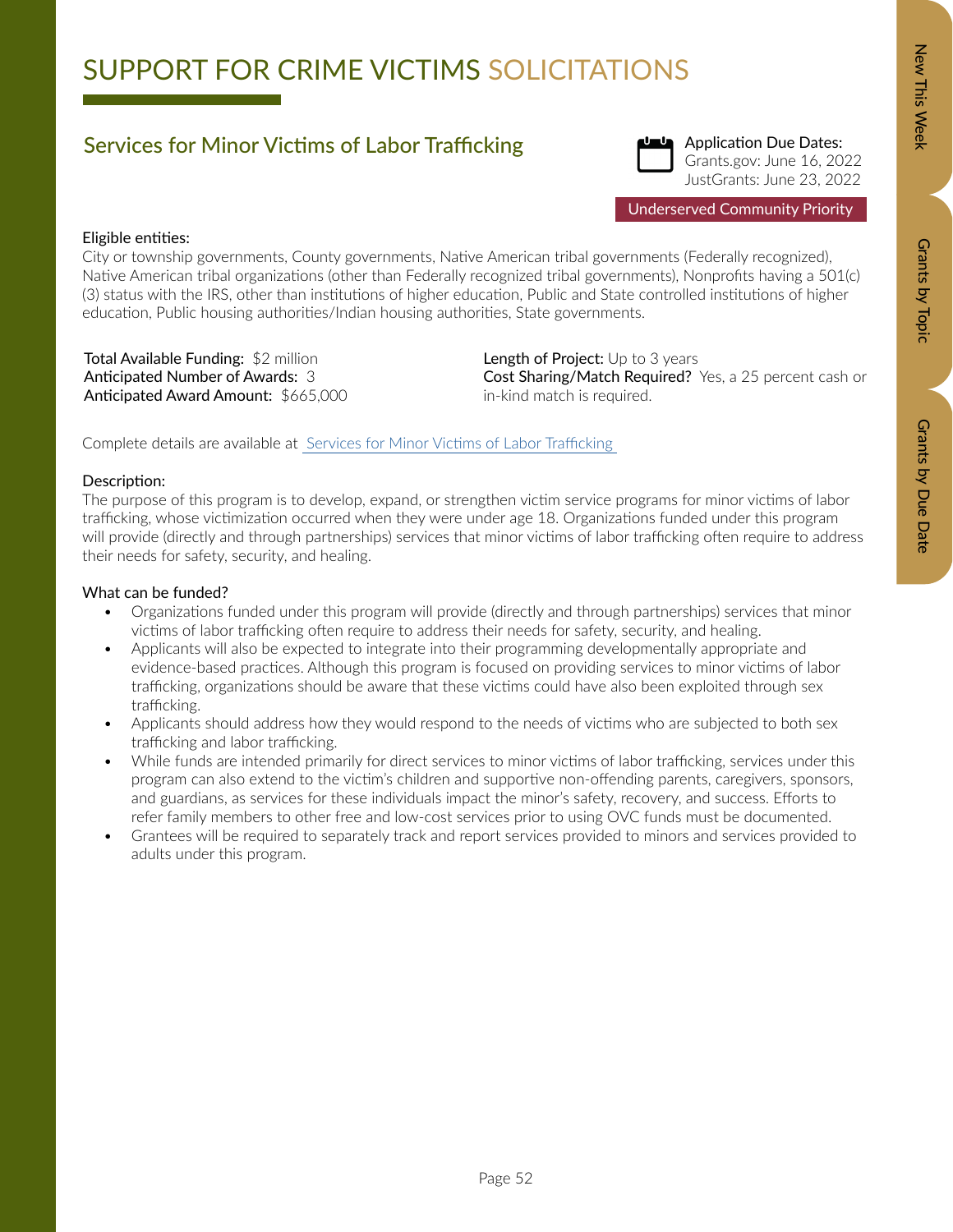# SUPPORT FOR CRIME VICTIMS SOLICITATIONS

### Services for Minor Victims of Labor Trafficking



Application Due Dates: Grants.gov: June 16, 2022 JustGrants: June 23, 2022

### Eligible entities:

City or township governments, County governments, Native American tribal governments (Federally recognized), Native American tribal organizations (other than Federally recognized tribal governments), Nonprofits having a 501(c) (3) status with the IRS, other than institutions of higher education, Public and State controlled institutions of higher education, Public housing authorities/Indian housing authorities, State governments.

Total Available Funding: \$2 million Anticipated Number of Awards: 3 Anticipated Award Amount: \$665,000 Length of Project: Up to 3 years Cost Sharing/Match Required? Yes, a 25 percent cash or in-kind match is required.

Complete details are available at [Services for Minor Victims of Labor Trafficking](https://ovc.ojp.gov/funding/opportunities/o-ovc-2022-171292) 

### Description:

The purpose of this program is to develop, expand, or strengthen victim service programs for minor victims of labor trafficking, whose victimization occurred when they were under age 18. Organizations funded under this program will provide (directly and through partnerships) services that minor victims of labor trafficking often require to address their needs for safety, security, and healing.

### What can be funded?

- Organizations funded under this program will provide (directly and through partnerships) services that minor victims of labor trafficking often require to address their needs for safety, security, and healing.
- Applicants will also be expected to integrate into their programming developmentally appropriate and evidence-based practices. Although this program is focused on providing services to minor victims of labor trafficking, organizations should be aware that these victims could have also been exploited through sex trafficking.
- Applicants should address how they would respond to the needs of victims who are subjected to both sex trafficking and labor trafficking.
- While funds are intended primarily for direct services to minor victims of labor trafficking, services under this program can also extend to the victim's children and supportive non-offending parents, caregivers, sponsors, and guardians, as services for these individuals impact the minor's safety, recovery, and success. Efforts to refer family members to other free and low-cost services prior to using OVC funds must be documented.
- Grantees will be required to separately track and report services provided to minors and services provided to adults under this program.

Grants by Topic

Grants by Topic